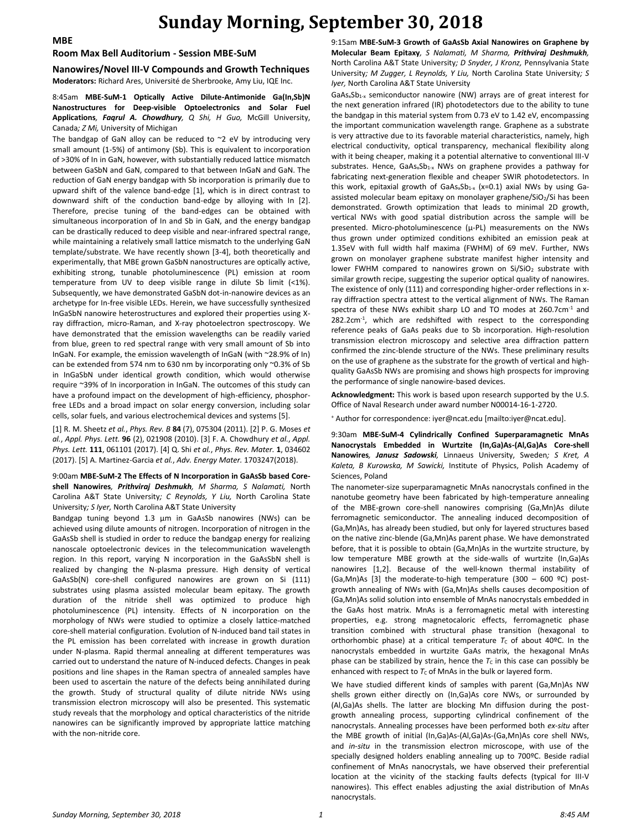### **MBE**

## **Sunday Morning, September 30, 2018**

#### **Room Max Bell Auditorium - Session MBE-SuM**

**Nanowires/Novel III-V Compounds and Growth Techniques Moderators:** Richard Ares, Université de Sherbrooke, Amy Liu, IQE Inc.

### 8:45am **MBE-SuM-1 Optically Active Dilute-Antimonide Ga(In,Sb)N Nanostructures for Deep-visible Optoelectronics and Solar Fuel Applications***, Faqrul A. Chowdhury, Q Shi, H Guo,* McGill University, Canada*; Z Mi,* University of Michigan

The bandgap of GaN alloy can be reduced to  $\sim$ 2 eV by introducing very small amount (1-5%) of antimony (Sb). This is equivalent to incorporation of >30% of In in GaN, however, with substantially reduced lattice mismatch between GaSbN and GaN, compared to that between InGaN and GaN. The reduction of GaN energy bandgap with Sb incorporation is primarily due to upward shift of the valence band-edge [1], which is in direct contrast to downward shift of the conduction band-edge by alloying with In [2]. Therefore, precise tuning of the band-edges can be obtained with simultaneous incorporation of In and Sb in GaN, and the energy bandgap can be drastically reduced to deep visible and near-infrared spectral range, while maintaining a relatively small lattice mismatch to the underlying GaN template/substrate. We have recently shown [3-4], both theoretically and experimentally, that MBE grown GaSbN nanostructures are optically active, exhibiting strong, tunable photoluminescence (PL) emission at room temperature from UV to deep visible range in dilute Sb limit (<1%). Subsequently, we have demonstrated GaSbN dot-in-nanowire devices as an archetype for In-free visible LEDs. Herein, we have successfully synthesized InGaSbN nanowire heterostructures and explored their properties using Xray diffraction, micro-Raman, and X-ray photoelectron spectroscopy. We have demonstrated that the emission wavelengths can be readily varied from blue, green to red spectral range with very small amount of Sb into InGaN. For example, the emission wavelength of InGaN (with ~28.9% of In) can be extended from 574 nm to 630 nm by incorporating only ~0.3% of Sb in InGaSbN under identical growth condition, which would otherwise require ~39% of In incorporation in InGaN. The outcomes of this study can have a profound impact on the development of high-efficiency, phosphorfree LEDs and a broad impact on solar energy conversion, including solar cells, solar fuels, and various electrochemical devices and systems [5].

[1] R. M. Sheetz *et al.*, *Phys. Rev. B* **84** (7), 075304 (2011). [2] P. G. Moses *et al.*, *Appl. Phys. Lett.* **96** (2), 021908 (2010). [3] F. A. Chowdhury *et al.*, *Appl. Phys. Lett.* **111**, 061101 (2017). [4] Q. Shi *et al.*, *Phys. Rev. Mater.* **1**, 034602 (2017). [5] A. Martinez‐Garcia *et al.*, *Adv. Energy Mater.* 1703247(2018).

9:00am **MBE-SuM-2 The Effects of N Incorporation in GaAsSb based Coreshell Nanowires***, Prithviraj Deshmukh, M Sharma, S Nalamati,* North Carolina A&T State University*; C Reynolds, Y Liu,* North Carolina State University*; S Iyer,* North Carolina A&T State University

Bandgap tuning beyond 1.3 μm in GaAsSb nanowires (NWs) can be achieved using dilute amounts of nitrogen. Incorporation of nitrogen in the GaAsSb shell is studied in order to reduce the bandgap energy for realizing nanoscale optoelectronic devices in the telecommunication wavelength region. In this report, varying N incorporation in the GaAsSbN shell is realized by changing the N-plasma pressure. High density of vertical GaAsSb(N) core-shell configured nanowires are grown on Si (111) substrates using plasma assisted molecular beam epitaxy. The growth duration of the nitride shell was optimized to produce high photoluminescence (PL) intensity. Effects of N incorporation on the morphology of NWs were studied to optimize a closely lattice-matched core-shell material configuration. Evolution of N-induced band tail states in the PL emission has been correlated with increase in growth duration under N-plasma. Rapid thermal annealing at different temperatures was carried out to understand the nature of N-induced defects. Changes in peak positions and line shapes in the Raman spectra of annealed samples have been used to ascertain the nature of the defects being annihilated during the growth. Study of structural quality of dilute nitride NWs using transmission electron microscopy will also be presented. This systematic study reveals that the morphology and optical characteristics of the nitride nanowires can be significantly improved by appropriate lattice matching with the non-nitride core.

9:15am **MBE-SuM-3 Growth of GaAsSb Axial Nanowires on Graphene by Molecular Beam Epitaxy***, S Nalamati, M Sharma, Prithviraj Deshmukh,*  North Carolina A&T State University*; D Snyder, J Kronz,* Pennsylvania State University*; M Zugger, L Reynolds, Y Liu,* North Carolina State University*; S Iyer,* North Carolina A&T State University

 $GaAs_xSb_{1-x}$  semiconductor nanowire (NW) arrays are of great interest for the next generation infrared (IR) photodetectors due to the ability to tune the bandgap in this material system from 0.73 eV to 1.42 eV, encompassing the important communication wavelength range. Graphene as a substrate is very attractive due to its favorable material characteristics, namely, high electrical conductivity, optical transparency, mechanical flexibility along with it being cheaper, making it a potential alternative to conventional III-V substrates. Hence,  $GaAs_xSb_{1-x}$  NWs on graphene provides a pathway for fabricating next-generation flexible and cheaper SWIR photodetectors. In this work, epitaxial growth of  $GaAs_xSb_{1-x}$  (x=0.1) axial NWs by using Gaassisted molecular beam epitaxy on monolayer graphene/SiO2/Si has been demonstrated. Growth optimization that leads to minimal 2D growth, vertical NWs with good spatial distribution across the sample will be presented. Micro-photoluminescence (µ-PL) measurements on the NWs thus grown under optimized conditions exhibited an emission peak at 1.35eV with full width half maxima (FWHM) of 69 meV. Further, NWs grown on monolayer graphene substrate manifest higher intensity and lower FWHM compared to nanowires grown on  $Si/SiO<sub>2</sub>$  substrate with similar growth recipe, suggesting the superior optical quality of nanowires. The existence of only (111) and corresponding higher-order reflections in xray diffraction spectra attest to the vertical alignment of NWs. The Raman spectra of these NWs exhibit sharp LO and TO modes at 260.7cm<sup>-1</sup> and 282.2cm<sup>-1</sup>, which are redshifted with respect to the corresponding reference peaks of GaAs peaks due to Sb incorporation. High-resolution transmission electron microscopy and selective area diffraction pattern confirmed the zinc-blende structure of the NWs. These preliminary results on the use of graphene as the substrate for the growth of vertical and highquality GaAsSb NWs are promising and shows high prospects for improving the performance of single nanowire-based devices.

**Acknowledgment:** This work is based upon research supported by the U.S. Office of Naval Research under award number N00014-16-1-2720.

<sup>+</sup> Author for correspondence: iyer@ncat.edu [mailto:iyer@ncat.edu].

9:30am **MBE-SuM-4 Cylindrically Confined Superparamagnetic MnAs Nanocrystals Embedded in Wurtzite (In,Ga)As-(Al,Ga)As Core-shell Nanowires***, Janusz Sadowski,* Linnaeus University, Sweden*; S Kret, A Kaleta, B Kurowska, M Sawicki,* Institute of Physics, Polish Academy of Sciences, Poland

The nanometer-size superparamagnetic MnAs nanocrystals confined in the nanotube geometry have been fabricated by high-temperature annealing of the MBE-grown core-shell nanowires comprising (Ga,Mn)As dilute ferromagnetic semiconductor. The annealing induced decomposition of (Ga,Mn)As, has already been studied, but only for layered structures based on the native zinc-blende (Ga,Mn)As parent phase. We have demonstrated before, that it is possible to obtain (Ga,Mn)As in the wurtzite structure, by low temperature MBE growth at the side-walls of wurtzite (In,Ga)As nanowires [1,2]. Because of the well-known thermal instability of (Ga, Mn)As [3] the moderate-to-high temperature (300 – 600 °C) postgrowth annealing of NWs with (Ga,Mn)As shells causes decomposition of (Ga,Mn)As solid solution into ensemble of MnAs nanocrystals embedded in the GaAs host matrix. MnAs is a ferromagnetic metal with interesting properties, e.g. strong magnetocaloric effects, ferromagnetic phase transition combined with structural phase transition (hexagonal to orthorhombic phase) at a critical temperature  $T_c$  of about 40°C. In the nanocrystals embedded in wurtzite GaAs matrix, the hexagonal MnAs phase can be stabilized by strain, hence the  $T<sub>C</sub>$  in this case can possibly be enhanced with respect to  $T_c$  of MnAs in the bulk or layered form.

We have studied different kinds of samples with parent (Ga,Mn)As NW shells grown either directly on (In,Ga)As core NWs, or surrounded by (Al,Ga)As shells. The latter are blocking Mn diffusion during the postgrowth annealing process, supporting cylindrical confinement of the nanocrystals. Annealing processes have been performed both *ex-situ* after the MBE growth of initial (In,Ga)As-(Al,Ga)As-(Ga,Mn)As core shell NWs, and *in-situ* in the transmission electron microscope, with use of the specially designed holders enabling annealing up to 700ºC. Beside radial confinement of MnAs nanocrystals, we have observed their preferential location at the vicinity of the stacking faults defects (typical for III-V nanowires). This effect enables adjusting the axial distribution of MnAs nanocrystals.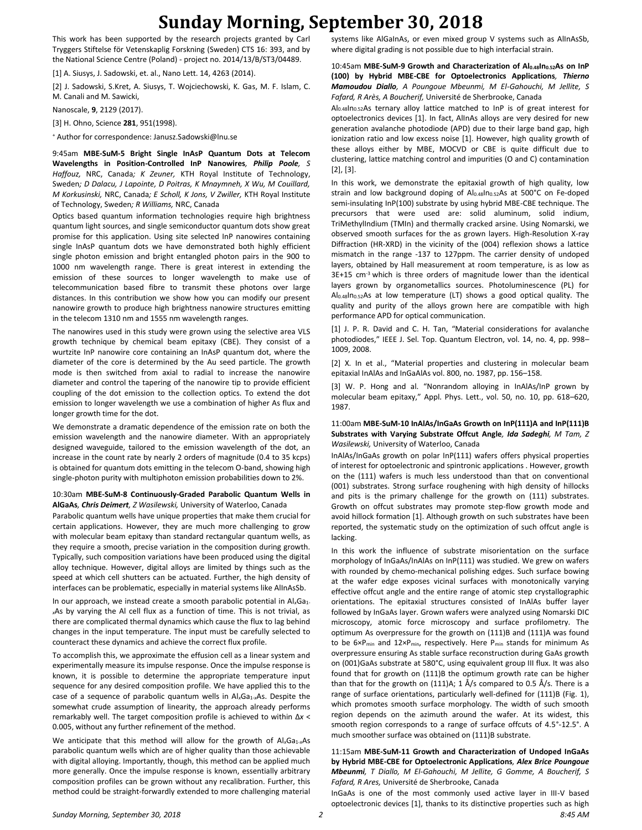## **Sunday Morning, September 30, 2018**

This work has been supported by the research projects granted by Carl Tryggers Stiftelse för Vetenskaplig Forskning (Sweden) CTS 16: 393, and by the National Science Centre (Poland) - project no. 2014/13/B/ST3/04489.

[1] A. Siusys, J. Sadowski, et. al., Nano Lett. 14, 4263 (2014).

[2] J. Sadowski, S.Kret, A. Siusys, T. Wojciechowski, K. Gas, M. F. Islam, C. M. Canali and M. Sawicki,

Nanoscale, **9**, 2129 (2017).

[3] H. Ohno, Science **281**, 951(1998).

<sup>+</sup> Author for correspondence: Janusz.Sadowski@lnu.se

9:45am **MBE-SuM-5 Bright Single InAsP Quantum Dots at Telecom Wavelengths in Position-Controlled InP Nanowires***, Philip Poole, S Haffouz,* NRC, Canada*; K Zeuner,* KTH Royal Institute of Technology, Sweden*; D Dalacu, J Lapointe, D Poitras, K Mnaymneh, X Wu, M Couillard, M Korkusinski,* NRC, Canada*; E Scholl, K Jons, V Zwiller,* KTH Royal Institute of Technology, Sweden*; R Williams,* NRC, Canada

Optics based quantum information technologies require high brightness quantum light sources, and single semiconductor quantum dots show great promise for this application. Using site selected InP nanowires containing single InAsP quantum dots we have demonstrated both highly efficient single photon emission and bright entangled photon pairs in the 900 to 1000 nm wavelength range. There is great interest in extending the emission of these sources to longer wavelength to make use of telecommunication based fibre to transmit these photons over large distances. In this contribution we show how you can modify our present nanowire growth to produce high brightness nanowire structures emitting in the telecom 1310 nm and 1555 nm wavelength ranges.

The nanowires used in this study were grown using the selective area VLS growth technique by chemical beam epitaxy (CBE). They consist of a wurtzite InP nanowire core containing an InAsP quantum dot, where the diameter of the core is determined by the Au seed particle. The growth mode is then switched from axial to radial to increase the nanowire diameter and control the tapering of the nanowire tip to provide efficient coupling of the dot emission to the collection optics. To extend the dot emission to longer wavelength we use a combination of higher As flux and longer growth time for the dot.

We demonstrate a dramatic dependence of the emission rate on both the emission wavelength and the nanowire diameter. With an appropriately designed waveguide, tailored to the emission wavelength of the dot, an increase in the count rate by nearly 2 orders of magnitude (0.4 to 35 kcps) is obtained for quantum dots emitting in the telecom O-band, showing high single-photon purity with multiphoton emission probabilities down to 2%.

#### 10:30am **MBE-SuM-8 Continuously-Graded Parabolic Quantum Wells in AlGaAs***, Chris Deimert, Z Wasilewski,* University of Waterloo, Canada

Parabolic quantum wells have unique properties that make them crucial for certain applications. However, they are much more challenging to grow with molecular beam epitaxy than standard rectangular quantum wells, as they require a smooth, precise variation in the composition during growth. Typically, such composition variations have been produced using the digital alloy technique. However, digital alloys are limited by things such as the speed at which cell shutters can be actuated. Further, the high density of interfaces can be problematic, especially in material systems like AlInAsSb.

In our approach, we instead create a smooth parabolic potential in Al<sub>x</sub>Ga<sub>1</sub>. *<sup>x</sup>*As by varying the Al cell flux as a function of time. This is not trivial, as there are complicated thermal dynamics which cause the flux to lag behind changes in the input temperature. The input must be carefully selected to counteract these dynamics and achieve the correct flux profile.

To accomplish this, we approximate the effusion cell as a linear system and experimentally measure its impulse response. Once the impulse response is known, it is possible to determine the appropriate temperature input sequence for any desired composition profile. We have applied this to the case of a sequence of parabolic quantum wells in Al<sub>x</sub>Ga<sub>1-x</sub>As. Despite the somewhat crude assumption of linearity, the approach already performs remarkably well. The target composition profile is achieved to within Δ*x* < 0.005, without any further refinement of the method.

We anticipate that this method will allow for the growth of Al<sub>x</sub>Ga<sub>1-x</sub>As parabolic quantum wells which are of higher quality than those achievable with digital alloying. Importantly, though, this method can be applied much more generally. Once the impulse response is known, essentially arbitrary composition profiles can be grown without any recalibration. Further, this method could be straight-forwardly extended to more challenging material systems like AlGaInAs, or even mixed group V systems such as AlInAsSb, where digital grading is not possible due to high interfacial strain.

### 10:45am **MBE-SuM-9 Growth and Characterization of Al0.48In0.52As on InP (100) by Hybrid MBE-CBE for Optoelectronics Applications***, Thierno Mamoudou Diallo, A Poungoue Mbeunmi, M El-Gahouchi, M Jellite, S Fafard, R Arès, A Boucherif,* Université de Sherbrooke, Canada

Al0.48In0.52As ternary alloy lattice matched to InP is of great interest for optoelectronics devices [1]. In fact, AlInAs alloys are very desired for new generation avalanche photodiode (APD) due to their large band gap, high ionization ratio and low excess noise [1]. However, high quality growth of these alloys either by MBE, MOCVD or CBE is quite difficult due to clustering, lattice matching control and impurities (O and C) contamination [2], [3].

In this work, we demonstrate the epitaxial growth of high quality, low strain and low background doping of Al0.48In0.52As at 500°C on Fe-doped semi-insulating InP(100) substrate by using hybrid MBE-CBE technique. The precursors that were used are: solid aluminum, solid indium, TriMethylIndium (TMIn) and thermally cracked arsine. Using Nomarski, we observed smooth surfaces for the as grown layers. High-Resolution X-ray Diffraction (HR-XRD) in the vicinity of the (004) reflexion shows a lattice mismatch in the range -137 to 127ppm. The carrier density of undoped layers, obtained by Hall measurement at room temperature, is as low as  $3E+15$  cm<sup>-3</sup> which is three orders of magnitude lower than the identical layers grown by organometallics sources. Photoluminescence (PL) for Al0.48In0.52As at low temperature (LT) shows a good optical quality. The quality and purity of the alloys grown here are compatible with high performance APD for optical communication.

[1] J. P. R. David and C. H. Tan, "Material considerations for avalanche photodiodes," IEEE J. Sel. Top. Quantum Electron, vol. 14, no. 4, pp. 998– 1009, 2008.

[2] X. In et al., "Material properties and clustering in molecular beam epitaxial InAlAs and InGaAlAs vol. 800, no. 1987, pp. 156–158.

[3] W. P. Hong and al. "Nonrandom alloying in InAlAs/InP grown by molecular beam epitaxy," Appl. Phys. Lett., vol. 50, no. 10, pp. 618–620, 1987.

### 11:00am **MBE-SuM-10 InAlAs/InGaAs Growth on InP(111)A and InP(111)B Substrates with Varying Substrate Offcut Angle***, Ida Sadeghi, M Tam, Z Wasilewski,* University of Waterloo, Canada

InAlAs/InGaAs growth on polar InP(111) wafers offers physical properties of interest for optoelectronic and spintronic applications . However, growth on the (111) wafers is much less understood than that on conventional (001) substrates. Strong surface roughening with high density of hillocks and pits is the primary challenge for the growth on (111) substrates. Growth on offcut substrates may promote step-flow growth mode and avoid hillock formation [1]. Although growth on such substrates have been reported, the systematic study on the optimization of such offcut angle is lacking.

In this work the influence of substrate misorientation on the surface morphology of InGaAs/InAlAs on InP(111) was studied. We grew on wafers with rounded by chemo-mechanical polishing edges. Such surface bowing at the wafer edge exposes vicinal surfaces with monotonically varying effective offcut angle and the entire range of atomic step crystallographic orientations. The epitaxial structures consisted of InAlAs buffer layer followed by InGaAs layer. Grown wafers were analyzed using Nomarski DIC microscopy, atomic force microscopy and surface profilometry. The optimum As overpressure for the growth on (111)B and (111)A was found to be  $6\times P_{min}$  and  $12\times P_{min}$ , respectively. Here  $P_{min}$  stands for minimum As overpressure ensuring As stable surface reconstruction during GaAs growth on (001)GaAs substrate at 580°C, using equivalent group III flux. It was also found that for growth on (111)B the optimum growth rate can be higher than that for the growth on (111)A; 1 Å/s compared to 0.5 Å/s. There is a range of surface orientations, particularly well-defined for (111)B (Fig. 1), which promotes smooth surface morphology. The width of such smooth region depends on the azimuth around the wafer. At its widest, this smooth region corresponds to a range of surface offcuts of 4.5°-12.5°. A much smoother surface was obtained on (111)B substrate.

11:15am **MBE-SuM-11 Growth and Characterization of Undoped InGaAs by Hybrid MBE-CBE for Optoelectronic Applications***, Alex Brice Poungoue Mbeunmi, T Diallo, M El-Gahouchi, M Jellite, G Gomme, A Boucherif, S Fafard, R Ares,* Université de Sherbrooke, Canada

InGaAs is one of the most commonly used active layer in III-V based optoelectronic devices [1], thanks to its distinctive properties such as high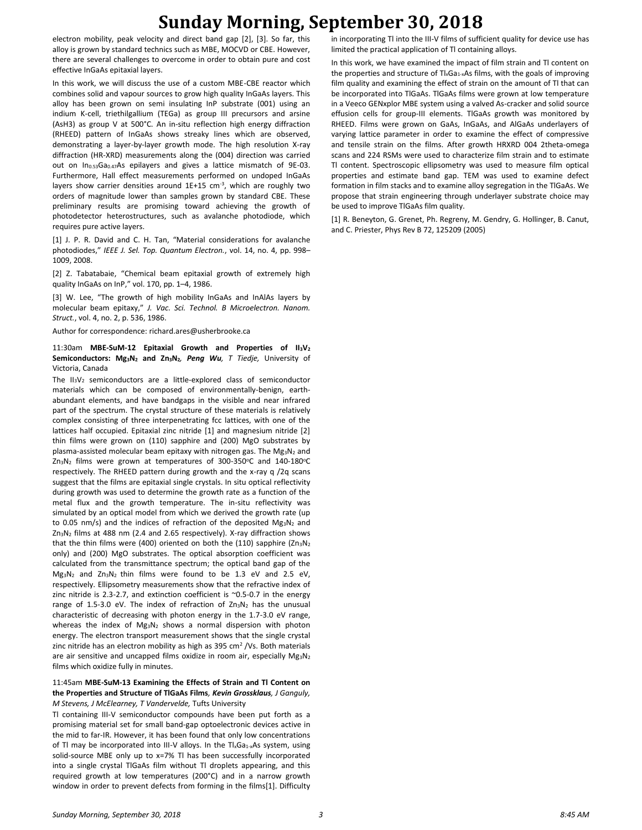## **Sunday Morning, September 30, 2018**

electron mobility, peak velocity and direct band gap [2], [3]. So far, this alloy is grown by standard technics such as MBE, MOCVD or CBE. However, there are several challenges to overcome in order to obtain pure and cost effective InGaAs epitaxial layers.

In this work, we will discuss the use of a custom MBE-CBE reactor which combines solid and vapour sources to grow high quality InGaAs layers. This alloy has been grown on semi insulating InP substrate (001) using an indium K-cell, triethilgallium (TEGa) as group III precursors and arsine (AsH3) as group V at 500°C. An in-situ reflection high energy diffraction (RHEED) pattern of InGaAs shows streaky lines which are observed, demonstrating a layer-by-layer growth mode. The high resolution X-ray diffraction (HR-XRD) measurements along the (004) direction was carried out on In<sub>0.53</sub>Ga<sub>0.47</sub>As epilayers and gives a lattice mismatch of 9E-03. Furthermore, Hall effect measurements performed on undoped InGaAs layers show carrier densities around 1E+15 cm<sup>-3</sup>, which are roughly two orders of magnitude lower than samples grown by standard CBE. These preliminary results are promising toward achieving the growth of photodetector heterostructures, such as avalanche photodiode, which requires pure active layers.

[1] J. P. R. David and C. H. Tan, "Material considerations for avalanche photodiodes," *IEEE J. Sel. Top. Quantum Electron.*, vol. 14, no. 4, pp. 998– 1009, 2008.

[2] Z. Tabatabaie, "Chemical beam epitaxial growth of extremely high quality InGaAs on InP," vol. 170, pp. 1–4, 1986.

[3] W. Lee, "The growth of high mobility InGaAs and InAlAs layers by molecular beam epitaxy," *J. Vac. Sci. Technol. B Microelectron. Nanom. Struct.*, vol. 4, no. 2, p. 536, 1986.

Author for correspondence: richard.ares@usherbrooke.ca

11:30am **MBE-SuM-12 Epitaxial Growth and Properties of II3V<sup>2</sup> Semiconductors: Mg3N<sup>2</sup> and Zn3N2***, Peng Wu, T Tiedje,* University of Victoria, Canada

The  $II_3V_2$  semiconductors are a little-explored class of semiconductor materials which can be composed of environmentally-benign, earthabundant elements, and have bandgaps in the visible and near infrared part of the spectrum. The crystal structure of these materials is relatively complex consisting of three interpenetrating fcc lattices, with one of the lattices half occupied. Epitaxial zinc nitride [1] and magnesium nitride [2] thin films were grown on (110) sapphire and (200) MgO substrates by plasma-assisted molecular beam epitaxy with nitrogen gas. The  $Mg_3N_2$  and  $Zn_3N_2$  films were grown at temperatures of 300-350°C and 140-180°C respectively. The RHEED pattern during growth and the x-ray q /2q scans suggest that the films are epitaxial single crystals. In situ optical reflectivity during growth was used to determine the growth rate as a function of the metal flux and the growth temperature. The in-situ reflectivity was simulated by an optical model from which we derived the growth rate (up to 0.05 nm/s) and the indices of refraction of the deposited  $Mg_3N_2$  and Zn3N<sup>2</sup> films at 488 nm (2.4 and 2.65 respectively). X-ray diffraction shows that the thin films were (400) oriented on both the (110) sapphire ( $\text{Zn}_3\text{N}_2$ only) and (200) MgO substrates. The optical absorption coefficient was calculated from the transmittance spectrum; the optical band gap of the Mg3N<sup>2</sup> and Zn3N2 thin films were found to be 1.3 eV and 2.5 eV, respectively. Ellipsometry measurements show that the refractive index of zinc nitride is 2.3-2.7, and extinction coefficient is ~0.5-0.7 in the energy range of 1.5-3.0 eV. The index of refraction of  $Zn_3N_2$  has the unusual characteristic of decreasing with photon energy in the 1.7-3.0 eV range, whereas the index of  $Mg_3N_2$  shows a normal dispersion with photon energy. The electron transport measurement shows that the single crystal zinc nitride has an electron mobility as high as 395 cm<sup>2</sup> /Vs. Both materials are air sensitive and uncapped films oxidize in room air, especially Mg<sub>3</sub>N<sub>2</sub> films which oxidize fully in minutes.

### 11:45am **MBE-SuM-13 Examining the Effects of Strain and Tl Content on the Properties and Structure of TlGaAs Films***, Kevin Grossklaus, J Ganguly, M Stevens, J McElearney, T Vandervelde,* Tufts University

Tl containing III-V semiconductor compounds have been put forth as a promising material set for small band-gap optoelectronic devices active in the mid to far-IR. However, it has been found that only low concentrations of Tl may be incorporated into III-V alloys. In the  $T_xGa_{1-x}As$  system, using solid-source MBE only up to x=7% Tl has been successfully incorporated into a single crystal TlGaAs film without Tl droplets appearing, and this required growth at low temperatures (200°C) and in a narrow growth window in order to prevent defects from forming in the films[1]. Difficulty in incorporating Tl into the III-V films of sufficient quality for device use has limited the practical application of Tl containing alloys.

In this work, we have examined the impact of film strain and Tl content on the properties and structure of Tl<sub>x</sub>Ga<sub>1-x</sub>As films, with the goals of improving film quality and examining the effect of strain on the amount of Tl that can be incorporated into TlGaAs. TlGaAs films were grown at low temperature in a Veeco GENxplor MBE system using a valved As-cracker and solid source effusion cells for group-III elements. TlGaAs growth was monitored by RHEED. Films were grown on GaAs, InGaAs, and AlGaAs underlayers of varying lattice parameter in order to examine the effect of compressive and tensile strain on the films. After growth HRXRD 004 2theta-omega scans and 224 RSMs were used to characterize film strain and to estimate Tl content. Spectroscopic ellipsometry was used to measure film optical properties and estimate band gap. TEM was used to examine defect formation in film stacks and to examine alloy segregation in the TlGaAs. We propose that strain engineering through underlayer substrate choice may be used to improve TlGaAs film quality.

[1] R. Beneyton, G. Grenet, Ph. Regreny, M. Gendry, G. Hollinger, B. Canut, and C. Priester, Phys Rev B 72, 125209 (2005)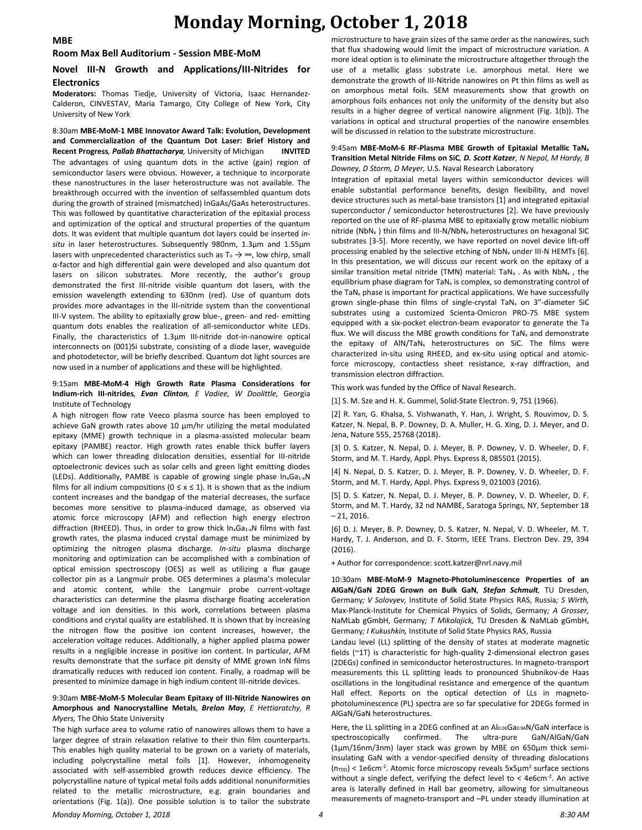## **Monday Morning, October 1, 2018**

**MBE**

#### **Room Max Bell Auditorium - Session MBE-MoM**

### **Novel III-N Growth and Applications/III-Nitrides for Electronics**

**Moderators:** Thomas Tiedje, University of Victoria, Isaac Hernandez-Calderon, CINVESTAV, Maria Tamargo, City College of New York, City University of New York

8:30am **MBE-MoM-1 MBE Innovator Award Talk: Evolution, Development and Commercialization of the Quantum Dot Laser: Brief History and Recent Progress***, Pallab Bhattacharya,* University of Michigan **INVITED** The advantages of using quantum dots in the active (gain) region of semiconductor lasers were obvious. However, a technique to incorporate these nanostructures in the laser heterostructure was not available. The breakthrough occurred with the invention of selfassembled quantum dots during the growth of strained (mismatched) InGaAs/GaAs heterostructures. This was followed by quantitative characterization of the epitaxial process and optimization of the optical and structural properties of the quantum dots. It was evident that multiple quantum dot layers could be inserted *insitu* in laser heterostructures. Subsequently 980nm, 1.3μm and 1.55μm lasers with unprecedented characteristics such as  $T_0$  →  $\infty$ , low chirp, small α-factor and high differential gain were developed and also quantum dot lasers on silicon substrates. More recently, the author's group demonstrated the first III-nitride visible quantum dot lasers, with the emission wavelength extending to 630nm (red). Use of quantum dots provides more advantages in the III-nitride system than the conventional III-V system. The ability to epitaxially grow blue-, green- and red- emitting quantum dots enables the realization of all-semiconductor white LEDs. Finally, the characteristics of 1.3μm III-nitride dot-in-nanowire optical interconnects on (001)Si substrate, consisting of a diode laser, waveguide and photodetector, will be briefly described. Quantum dot light sources are now used in a number of applications and these will be highlighted.

#### 9:15am **MBE-MoM-4 High Growth Rate Plasma Considerations for Indium-rich III-nitrides***, Evan Clinton, E Vadiee, W Doolittle,* Georgia Institute of Technology

A high nitrogen flow rate Veeco plasma source has been employed to achieve GaN growth rates above 10  $\mu$ m/hr utilizing the metal modulated epitaxy (MME) growth technique in a plasma-assisted molecular beam epitaxy (PAMBE) reactor. High growth rates enable thick buffer layers which can lower threading dislocation densities, essential for III-nitride optoelectronic devices such as solar cells and green light emitting diodes (LEDs). Additionally, PAMBE is capable of growing single phase  $In_xGa_{1-x}N$ films for all indium compositions ( $0 \le x \le 1$ ). It is shown that as the indium content increases and the bandgap of the material decreases, the surface becomes more sensitive to plasma-induced damage, as observed via atomic force microscopy (AFM) and reflection high energy electron diffraction (RHEED). Thus, in order to grow thick In<sub>x</sub>Ga<sub>1-x</sub>N films with fast growth rates, the plasma induced crystal damage must be minimized by optimizing the nitrogen plasma discharge. *In-situ* plasma discharge monitoring and optimization can be accomplished with a combination of optical emission spectroscopy (OES) as well as utilizing a flux gauge collector pin as a Langmuir probe. OES determines a plasma's molecular and atomic content, while the Langmuir probe current-voltage characteristics can determine the plasma discharge floating acceleration voltage and ion densities. In this work, correlations between plasma conditions and crystal quality are established. It is shown that by increasing the nitrogen flow the positive ion content increases, however, the acceleration voltage reduces. Additionally, a higher applied plasma power results in a negligible increase in positive ion content. In particular, AFM results demonstrate that the surface pit density of MME grown InN films dramatically reduces with reduced ion content. Finally, a roadmap will be presented to minimize damage in high indium content III-nitride devices.

#### 9:30am **MBE-MoM-5 Molecular Beam Epitaxy of III-Nitride Nanowires on Amorphous and Nanocrystalline Metals***, Brelon May, E Hettiaratchy, R Myers,* The Ohio State University

The high surface area to volume ratio of nanowires allows them to have a larger degree of strain relaxation relative to their thin film counterparts. This enables high quality material to be grown on a variety of materials, including polycrystalline metal foils [1]. However, inhomogeneity associated with self-assembled growth reduces device efficiency. The polycrystalline nature of typical metal foils adds additional nonuniformities related to the metallic microstructure, e.g. grain boundaries and orientations (Fig. 1(a)). One possible solution is to tailor the substrate microstructure to have grain sizes of the same order as the nanowires, such that flux shadowing would limit the impact of microstructure variation. A more ideal option is to eliminate the microstructure altogether through the use of a metallic glass substrate i.e. amorphous metal. Here we demonstrate the growth of III-Nitride nanowires on Pt thin films as well as on amorphous metal foils. SEM measurements show that growth on amorphous foils enhances not only the uniformity of the density but also results in a higher degree of vertical nanowire alignment (Fig. 1(b)). The variations in optical and structural properties of the nanowire ensembles will be discussed in relation to the substrate microstructure.

#### 9:45am **MBE-MoM-6 RF-Plasma MBE Growth of Epitaxial Metallic TaN<sup>x</sup> Transition Metal Nitride Films on SiC***, D. Scott Katzer, N Nepal, M Hardy, B Downey, D Storm, D Meyer,* U.S. Naval Research Laboratory

Integration of epitaxial metal layers within semiconductor devices will enable substantial performance benefits, design flexibility, and novel device structures such as metal-base transistors [1] and integrated epitaxial superconductor / semiconductor heterostructures [2]. We have previously reported on the use of RF-plasma MBE to epitaxially grow metallic niobium nitride (NbN<sub>x</sub>) thin films and III-N/NbN<sub>x</sub> heterostructures on hexagonal SiC substrates [3-5]. More recently, we have reported on novel device lift-off processing enabled by the selective etching of  $NbN<sub>x</sub>$  under III-N HEMTs [6]. In this presentation, we will discuss our recent work on the epitaxy of a similar transition metal nitride (TMN) material: TaN<sub>x</sub> . As with NbN<sub>x</sub>, the equilibrium phase diagram for TaN<sub>x</sub> is complex, so demonstrating control of the TaN<sub>x</sub> phase is important for practical applications. We have successfully grown single-phase thin films of single-crystal TaN<sub>x</sub> on 3"-diameter SiC substrates using a customized Scienta-Omicron PRO-75 MBE system equipped with a six-pocket electron-beam evaporator to generate the Ta flux. We will discuss the MBE growth conditions for TaN<sub>x</sub> and demonstrate the epitaxy of AIN/TaN<sub>x</sub> heterostructures on SiC. The films were characterized in-situ using RHEED, and ex-situ using optical and atomicforce microscopy, contactless sheet resistance, x-ray diffraction, and transmission electron diffraction.

This work was funded by the Office of Naval Research.

[1] S. M. Sze and H. K. Gummel, Solid-State Electron. 9, 751 (1966).

[2] R. Yan, G. Khalsa, S. Vishwanath, Y. Han, J. Wright, S. Rouvimov, D. S. Katzer, N. Nepal, B. P. Downey, D. A. Muller, H. G. Xing, D. J. Meyer, and D. Jena, Nature 555, 25768 (2018).

[3] D. S. Katzer, N. Nepal, D. J. Meyer, B. P. Downey, V. D. Wheeler, D. F. Storm, and M. T. Hardy, Appl. Phys. Express 8, 085501 (2015).

[4] N. Nepal, D. S. Katzer, D. J. Meyer, B. P. Downey, V. D. Wheeler, D. F. Storm, and M. T. Hardy, Appl. Phys. Express 9, 021003 (2016).

[5] D. S. Katzer, N. Nepal, D. J. Meyer, B. P. Downey, V. D. Wheeler, D. F. Storm, and M. T. Hardy, 32 nd NAMBE, Saratoga Springs, NY, September 18 – 21, 2016.

[6] D. J. Meyer, B. P. Downey, D. S. Katzer, N. Nepal, V. D. Wheeler, M. T. Hardy, T. J. Anderson, and D. F. Storm, IEEE Trans. Electron Dev. 29, 394 (2016).

+ Author for correspondence: scott.katzer@nrl.navy.mil

10:30am **MBE-MoM-9 Magneto-Photoluminescence Properties of an AlGaN/GaN 2DEG Grown on Bulk GaN***, Stefan Schmult,* TU Dresden, Germany*; V Solovyev,* Institute of Solid State Physics RAS, Russia*; S Wirth,*  Max-Planck-Institute for Chemical Physics of Solids, Germany*; A Grosser,*  NaMLab gGmbH, Germany*; T Mikolajick,* TU Dresden & NaMLab gGmbH, Germany*; I Kukushkin,* Institute of Solid State Physics RAS, Russia

Landau level (LL) splitting of the density of states at moderate magnetic fields (~1T) is characteristic for high-quality 2-dimensional electron gases (2DEGs) confined in semiconductor heterostructures. In magneto-transport measurements this LL splitting leads to pronounced Shubnikov-de Haas oscillations in the longitudinal resistance and emergence of the quantum Hall effect. Reports on the optical detection of LLs in magnetophotoluminescence (PL) spectra are so far speculative for 2DEGs formed in AlGaN/GaN heterostructures.

Here, the LL splitting in a 2DEG confined at an Al0.06Ga0.94N/GaN interface is spectroscopically confirmed. The ultra-pure GaN/AlGaN/GaN (1µm/16nm/3nm) layer stack was grown by MBE on 650µm thick semiinsulating GaN with a vendor-specified density of threading dislocations  $(n_{TDD})$  < 1e6cm<sup>-2</sup>. Atomic force microscopy reveals  $5x5\mu m^2$  surface sections without a single defect, verifying the defect level to  $<$  4e6cm $<sup>2</sup>$ . An active</sup> area is laterally defined in Hall bar geometry, allowing for simultaneous measurements of magneto-transport and –PL under steady illumination at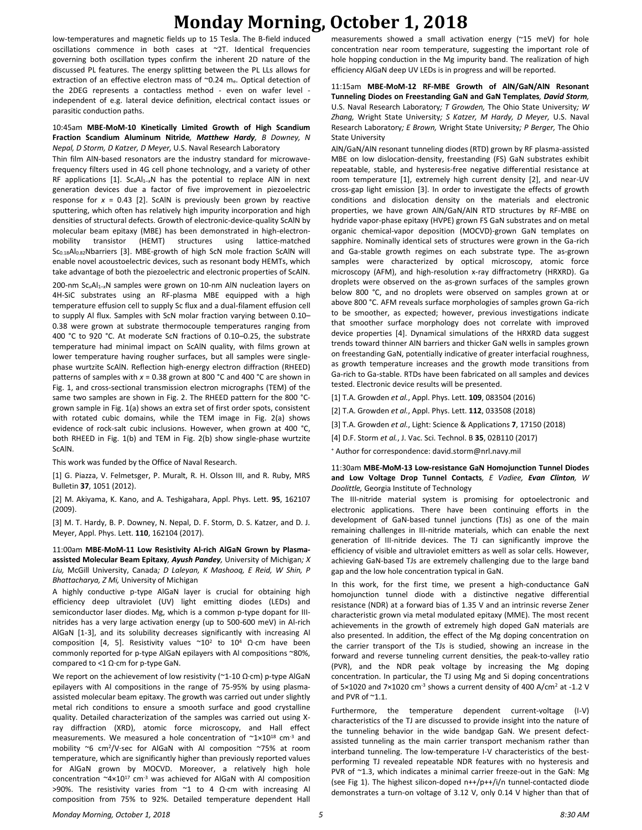## **Monday Morning, October 1, 2018**

low-temperatures and magnetic fields up to 15 Tesla. The B-field induced oscillations commence in both cases at ~2T. Identical frequencies governing both oscillation types confirm the inherent 2D nature of the discussed PL features. The energy splitting between the PL LLs allows for extraction of an effective electron mass of ~0.24 me. Optical detection of the 2DEG represents a contactless method - even on wafer level independent of e.g. lateral device definition, electrical contact issues or parasitic conduction paths.

#### 10:45am **MBE-MoM-10 Kinetically Limited Growth of High Scandium Fraction Scandium Aluminum Nitride***, Matthew Hardy, B Downey, N Nepal, D Storm, D Katzer, D Meyer,* U.S. Naval Research Laboratory

Thin film AlN-based resonators are the industry standard for microwavefrequency filters used in 4G cell phone technology, and a variety of other RF applications [1]. Sc<sub>x</sub>Al<sub>1-x</sub>N has the potential to replace AlN in next generation devices due a factor of five improvement in piezoelectric response for  $x = 0.43$  [2]. ScAlN is previously been grown by reactive sputtering, which often has relatively high impurity incorporation and high densities of structural defects. Growth of electronic-device-quality ScAlN by molecular beam epitaxy (MBE) has been demonstrated in high-electronmobility transistor (HEMT) structures using lattice-matched Sc<sub>0.18</sub>Al<sub>0.82</sub>Nbarriers [3]. MBE-growth of high ScN mole fraction ScAlN will enable novel acoustoelectric devices, such as resonant body HEMTs, which take advantage of both the piezoelectric and electronic properties of ScAlN.

200-nm Sc<sub>x</sub>Al<sub>1-x</sub>N samples were grown on 10-nm AlN nucleation layers on 4H-SiC substrates using an RF-plasma MBE equipped with a high temperature effusion cell to supply Sc flux and a dual-filament effusion cell to supply Al flux. Samples with ScN molar fraction varying between 0.10– 0.38 were grown at substrate thermocouple temperatures ranging from 400 °C to 920 °C. At moderate ScN fractions of 0.10–0.25, the substrate temperature had minimal impact on ScAlN quality, with films grown at lower temperature having rougher surfaces, but all samples were singlephase wurtzite ScAlN. Reflection high-energy electron diffraction (RHEED) patterns of samples with *x* = 0.38 grown at 800 °C and 400 °C are shown in Fig. 1, and cross-sectional transmission electron micrographs (TEM) of the same two samples are shown in Fig. 2. The RHEED pattern for the 800 °Cgrown sample in Fig. 1(a) shows an extra set of first order spots, consistent with rotated cubic domains, while the TEM image in Fig. 2(a) shows evidence of rock-salt cubic inclusions. However, when grown at 400 °C, both RHEED in Fig. 1(b) and TEM in Fig. 2(b) show single-phase wurtzite ScAlN.

This work was funded by the Office of Naval Research.

[1] G. Piazza, V. Felmetsger, P. Muralt, R. H. Olsson III, and R. Ruby, MRS Bulletin **37**, 1051 (2012).

[2] M. Akiyama, K. Kano, and A. Teshigahara, Appl. Phys. Lett. **95**, 162107 (2009).

[3] M. T. Hardy, B. P. Downey, N. Nepal, D. F. Storm, D. S. Katzer, and D. J. Meyer, Appl. Phys. Lett. **110**, 162104 (2017).

11:00am **MBE-MoM-11 Low Resistivity Al-rich AlGaN Grown by Plasmaassisted Molecular Beam Epitaxy***, Ayush Pandey,* University of Michigan*; X Liu,* McGill University, Canada*; D Laleyan, K Mashooq, E Reid, W Shin, P Bhattacharya, Z Mi,* University of Michigan

A highly conductive p-type AlGaN layer is crucial for obtaining high efficiency deep ultraviolet (UV) light emitting diodes (LEDs) and semiconductor laser diodes. Mg, which is a common p-type dopant for IIInitrides has a very large activation energy (up to 500-600 meV) in Al-rich AlGaN [1-3], and its solubility decreases significantly with increasing Al composition [4, 5]. Resistivity values  $\sim 10^2$  to 10<sup>4</sup> Ω·cm have been commonly reported for p-type AlGaN epilayers with Al compositions ~80%, compared to <1 Ω·cm for p-type GaN.

We report on the achievement of low resistivity (~1-10  $\Omega$ ·cm) p-type AlGaN epilayers with Al compositions in the range of 75-95% by using plasmaassisted molecular beam epitaxy. The growth was carried out under slightly metal rich conditions to ensure a smooth surface and good crystalline quality. Detailed characterization of the samples was carried out using Xray diffraction (XRD), atomic force microscopy, and Hall effect measurements. We measured a hole concentration of  $\sim 1 \times 10^{18}$  cm<sup>-3</sup> and mobility ~6 cm<sup>2</sup> /V·sec for AlGaN with Al composition ~75% at room temperature, which are significantly higher than previously reported values for AlGaN grown by MOCVD. Moreover, a relatively high hole concentration  $\sim 4 \times 10^{17}$  cm<sup>-3</sup> was achieved for AlGaN with Al composition >90%. The resistivity varies from  $\sim$ 1 to 4 Ω·cm with increasing Al composition from 75% to 92%. Detailed temperature dependent Hall measurements showed a small activation energy (~15 meV) for hole concentration near room temperature, suggesting the important role of hole hopping conduction in the Mg impurity band. The realization of high efficiency AlGaN deep UV LEDs is in progress and will be reported.

11:15am **MBE-MoM-12 RF-MBE Growth of AlN/GaN/AlN Resonant Tunneling Diodes on Freestanding GaN and GaN Templates***, David Storm,*  U.S. Naval Research Laboratory*; T Growden,* The Ohio State University*; W Zhang,* Wright State University*; S Katzer, M Hardy, D Meyer,* U.S. Naval Research Laboratory*; E Brown,* Wright State University*; P Berger,* The Ohio State University

AlN/GaN/AlN resonant tunneling diodes (RTD) grown by RF plasma-assisted MBE on low dislocation-density, freestanding (FS) GaN substrates exhibit repeatable, stable, and hysteresis-free negative differential resistance at room temperature [1], extremely high current density [2], and near-UV cross-gap light emission [3]. In order to investigate the effects of growth conditions and dislocation density on the materials and electronic properties, we have grown AlN/GaN/AlN RTD structures by RF-MBE on hydride vapor-phase epitaxy (HVPE) grown FS GaN substrates and on metal organic chemical-vapor deposition (MOCVD)-grown GaN templates on sapphire. Nominally identical sets of structures were grown in the Ga-rich and Ga-stable growth regimes on each substrate type. The as-grown samples were characterized by optical microscopy, atomic force microscopy (AFM), and high-resolution x-ray diffractometry (HRXRD). Ga droplets were observed on the as-grown surfaces of the samples grown below 800 °C, and no droplets were observed on samples grown at or above 800 °C. AFM reveals surface morphologies of samples grown Ga-rich to be smoother, as expected; however, previous investigations indicate that smoother surface morphology does not correlate with improved device properties [4]. Dynamical simulations of the HRXRD data suggest trends toward thinner AlN barriers and thicker GaN wells in samples grown on freestanding GaN, potentially indicative of greater interfacial roughness, as growth temperature increases and the growth mode transitions from Ga-rich to Ga-stable. RTDs have been fabricated on all samples and devices tested. Electronic device results will be presented.

[1] T.A. Growden *et al.*, Appl. Phys. Lett. **109**, 083504 (2016)

[2] T.A. Growden *et al.*, Appl. Phys. Lett. **112**, 033508 (2018)

[3] T.A. Growden *et al.*, Light: Science & Applications **7**, 17150 (2018)

[4] D.F. Storm *et al.*, J. Vac. Sci. Technol. B **35**, 02B110 (2017)

<sup>+</sup> Author for correspondence: david.storm@nrl.navy.mil

#### 11:30am **MBE-MoM-13 Low-resistance GaN Homojunction Tunnel Diodes and Low Voltage Drop Tunnel Contacts***, E Vadiee, Evan Clinton, W Doolittle,* Georgia Institute of Technology

The III-nitride material system is promising for optoelectronic and electronic applications. There have been continuing efforts in the development of GaN-based tunnel junctions (TJs) as one of the main remaining challenges in III-nitride materials, which can enable the next generation of III-nitride devices. The TJ can significantly improve the efficiency of visible and ultraviolet emitters as well as solar cells. However, achieving GaN-based TJs are extremely challenging due to the large band gap and the low hole concentration typical in GaN.

In this work, for the first time, we present a high-conductance GaN homojunction tunnel diode with a distinctive negative differential resistance (NDR) at a forward bias of 1.35 V and an intrinsic reverse Zener characteristic grown via metal modulated epitaxy (MME). The most recent achievements in the growth of extremely high doped GaN materials are also presented. In addition, the effect of the Mg doping concentration on the carrier transport of the TJs is studied, showing an increase in the forward and reverse tunneling current densities, the peak-to-valley ratio (PVR), and the NDR peak voltage by increasing the Mg doping concentration. In particular, the TJ using Mg and Si doping concentrations of 5×1020 and 7×1020 cm<sup>-3</sup> shows a current density of 400 A/cm<sup>2</sup> at -1.2 V and PVR of ~1.1.

Furthermore, the temperature dependent current-voltage (I-V) characteristics of the TJ are discussed to provide insight into the nature of the tunneling behavior in the wide bandgap GaN. We present defectassisted tunneling as the main carrier transport mechanism rather than interband tunneling. The low-temperature I-V characteristics of the bestperforming TJ revealed repeatable NDR features with no hysteresis and PVR of ~1.3, which indicates a minimal carrier freeze-out in the GaN: Mg (see Fig 1). The highest silicon-doped n++/p++/i/n tunnel-contacted diode demonstrates a turn-on voltage of 3.12 V, only 0.14 V higher than that of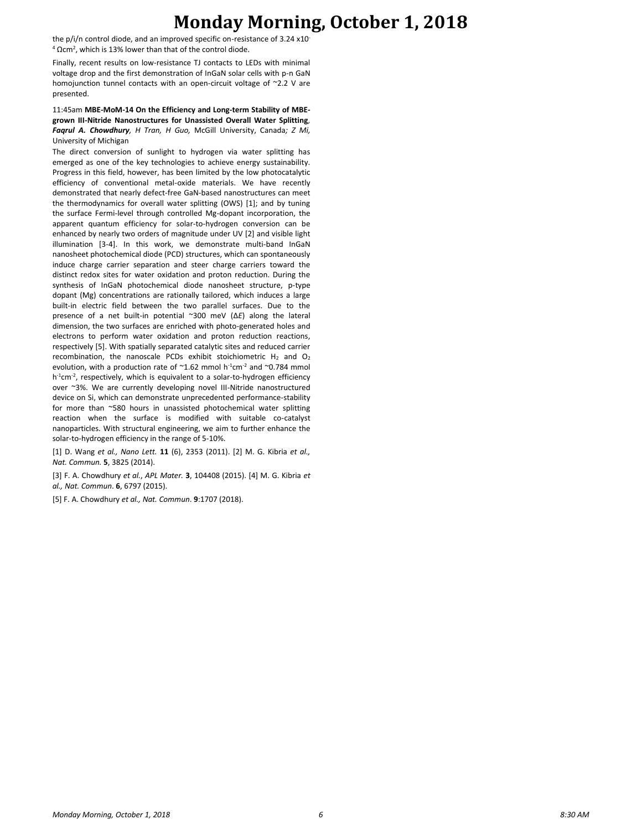## **Monday Morning, October 1, 2018**

the p/i/n control diode, and an improved specific on-resistance of 3.24 x10<sup>-</sup>  $4$  Ωcm<sup>2</sup>, which is 13% lower than that of the control diode.

Finally, recent results on low-resistance TJ contacts to LEDs with minimal voltage drop and the first demonstration of InGaN solar cells with p-n GaN homojunction tunnel contacts with an open-circuit voltage of ~2.2 V are presented.

### 11:45am **MBE-MoM-14 On the Efficiency and Long-term Stability of MBEgrown III-Nitride Nanostructures for Unassisted Overall Water Splitting***, Faqrul A. Chowdhury, H Tran, H Guo,* McGill University, Canada*; Z Mi,*  University of Michigan

The direct conversion of sunlight to hydrogen via water splitting has emerged as one of the key technologies to achieve energy sustainability. Progress in this field, however, has been limited by the low photocatalytic efficiency of conventional metal-oxide materials. We have recently demonstrated that nearly defect-free GaN-based nanostructures can meet the thermodynamics for overall water splitting (OWS) [1]; and by tuning the surface Fermi-level through controlled Mg-dopant incorporation, the apparent quantum efficiency for solar-to-hydrogen conversion can be enhanced by nearly two orders of magnitude under UV [2] and visible light illumination [3-4]. In this work, we demonstrate multi-band InGaN nanosheet photochemical diode (PCD) structures, which can spontaneously induce charge carrier separation and steer charge carriers toward the distinct redox sites for water oxidation and proton reduction. During the synthesis of InGaN photochemical diode nanosheet structure, p-type dopant (Mg) concentrations are rationally tailored, which induces a large built-in electric field between the two parallel surfaces. Due to the presence of a net built-in potential ~300 meV (Δ*E*) along the lateral dimension, the two surfaces are enriched with photo-generated holes and electrons to perform water oxidation and proton reduction reactions, respectively [5]. With spatially separated catalytic sites and reduced carrier recombination, the nanoscale PCDs exhibit stoichiometric  $H_2$  and  $O_2$ evolution, with a production rate of  $~1.62$  mmol h<sup>-1</sup>cm<sup>-2</sup> and  $~0.784$  mmol h<sup>-1</sup>cm<sup>-2</sup>, respectively, which is equivalent to a solar-to-hydrogen efficiency over ~3%. We are currently developing novel III-Nitride nanostructured device on Si, which can demonstrate unprecedented performance-stability for more than ~580 hours in unassisted photochemical water splitting reaction when the surface is modified with suitable co-catalyst nanoparticles. With structural engineering, we aim to further enhance the solar-to-hydrogen efficiency in the range of 5-10%.

[1] D. Wang *et al., Nano Lett.* **11** (6), 2353 (2011). [2] M. G. Kibria *et al., Nat. Commun.* **5**, 3825 (2014).

[3] F. A. Chowdhury *et al.*, *APL Mater.* **3**, 104408 (2015). [4] M. G. Kibria *et al., Nat. Commun*. **6**, 6797 (2015).

[5] F. A. Chowdhury *et al., Nat. Commun*. **9**:1707 (2018).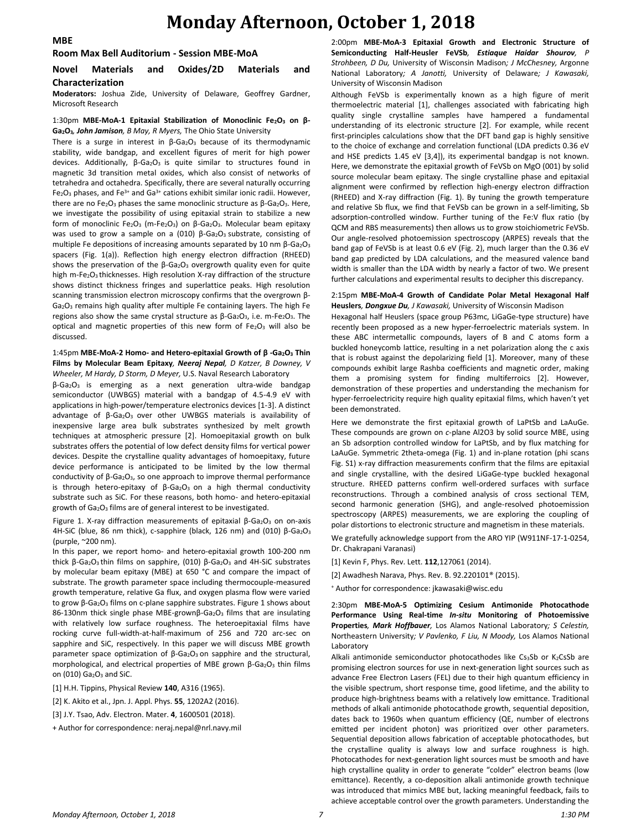## **Monday Afternoon, October 1, 2018**

#### **MBE**

#### **Room Max Bell Auditorium - Session MBE-MoA**

### **Novel Materials and Oxides/2D Materials and Characterization**

**Moderators:** Joshua Zide, University of Delaware, Geoffrey Gardner, Microsoft Research

#### 1:30pm **MBE-MoA-1 Epitaxial Stabilization of Monoclinic Fe2O<sup>3</sup> on β-Ga2O3***, John Jamison, B May, R Myers,* The Ohio State University

There is a surge in interest in  $β$ -Ga<sub>2</sub>O<sub>3</sub> because of its thermodynamic stability, wide bandgap, and excellent figures of merit for high power devices. Additionally, β-Ga<sub>2</sub>O<sub>3</sub> is quite similar to structures found in magnetic 3d transition metal oxides, which also consist of networks of tetrahedra and octahedra. Specifically, there are several naturally occurring  $Fe<sub>2</sub>O<sub>3</sub>$  phases, and  $Fe<sup>3+</sup>$  and  $Ga<sup>3+</sup>$  cations exhibit similar ionic radii. However, there are no Fe<sub>2</sub>O<sub>3</sub> phases the same monoclinic structure as  $β$ -Ga<sub>2</sub>O<sub>3</sub>. Here, we investigate the possibility of using epitaxial strain to stabilize a new form of monoclinic Fe<sub>2</sub>O<sub>3</sub> (m-Fe<sub>2</sub>O<sub>3</sub>) on β-Ga<sub>2</sub>O<sub>3</sub>. Molecular beam epitaxy was used to grow a sample on a (010) β-Ga<sub>2</sub>O<sub>3</sub> substrate, consisting of multiple Fe depositions of increasing amounts separated by 10 nm β-Ga<sub>2</sub>O<sub>3</sub> spacers (Fig. 1(a)). Reflection high energy electron diffraction (RHEED) shows the preservation of the  $β$ -Ga<sub>2</sub>O<sub>3</sub> overgrowth quality even for quite high m-Fe<sub>2</sub>O<sub>3</sub> thicknesses. High resolution X-ray diffraction of the structure shows distinct thickness fringes and superlattice peaks. High resolution scanning transmission electron microscopy confirms that the overgrown β-Ga2O<sup>3</sup> remains high quality after multiple Fe containing layers. The high Fe regions also show the same crystal structure as  $\beta$ -Ga<sub>2</sub>O<sub>3</sub>, i.e. m-Fe<sub>2</sub>O<sub>3</sub>. The optical and magnetic properties of this new form of  $Fe<sub>2</sub>O<sub>3</sub>$  will also be discussed.

#### 1:45pm **MBE-MoA-2 Homo- and Hetero-epitaxial Growth of β -Ga2O<sup>3</sup> Thin Films by Molecular Beam Epitaxy***, Neeraj Nepal, D Katzer, B Downey, V Wheeler, M Hardy, D Storm, D Meyer,* U.S. Naval Research Laboratory

β-Ga2O3 is emerging as a next generation ultra-wide bandgap semiconductor (UWBGS) material with a bandgap of 4.5-4.9 eV with applications in high-power/temperature electronics devices [1-3]. A distinct advantage of β-Ga<sub>2</sub>O<sub>3</sub> over other UWBGS materials is availability of inexpensive large area bulk substrates synthesized by melt growth techniques at atmospheric pressure [2]. Homoepitaxial growth on bulk substrates offers the potential of low defect density films for vertical power devices. Despite the crystalline quality advantages of homoepitaxy, future device performance is anticipated to be limited by the low thermal conductivity of  $β$ -Ga<sub>2</sub>O<sub>3</sub>, so one approach to improve thermal performance is through hetero-epitaxy of  $β$ -Ga<sub>2</sub>O<sub>3</sub> on a high thermal conductivity substrate such as SiC. For these reasons, both homo- and hetero-epitaxial growth of  $Ga<sub>2</sub>O<sub>3</sub>$  films are of general interest to be investigated.

Figure 1. X-ray diffraction measurements of epitaxial  $β$ -Ga<sub>2</sub>O<sub>3</sub> on on-axis 4H-SiC (blue, 86 nm thick), c-sapphire (black, 126 nm) and (010) β-Ga2O3 (purple, ~200 nm).

In this paper, we report homo- and hetero-epitaxial growth 100-200 nm thick  $β$ -Ga<sub>2</sub>O<sub>3</sub> thin films on sapphire, (010)  $β$ -Ga<sub>2</sub>O<sub>3</sub> and 4H-SiC substrates by molecular beam epitaxy (MBE) at 650 °C and compare the impact of substrate. The growth parameter space including thermocouple-measured growth temperature, relative Ga flux, and oxygen plasma flow were varied to grow β-Ga<sub>2</sub>O<sub>3</sub> films on c-plane sapphire substrates. Figure 1 shows about 86-130nm thick single phase MBE-grownβ-Ga2O<sup>3</sup> films that are insulating with relatively low surface roughness. The heteroepitaxial films have rocking curve full-width-at-half-maximum of 256 and 720 arc-sec on sapphire and SiC, respectively. In this paper we will discuss MBE growth parameter space optimization of  $β$ -Ga<sub>2</sub>O<sub>3</sub> on sapphire and the structural, morphological, and electrical properties of MBE grown  $β$ -Ga<sub>2</sub>O<sub>3</sub> thin films on (010)  $Ga<sub>2</sub>O<sub>3</sub>$  and SiC.

[1] H.H. Tippins, Physical Review **140**, A316 (1965).

[2] K. Akito et al., Jpn. J. Appl. Phys. **55**, 1202A2 (2016).

[3] J.Y. Tsao, Adv. Electron. Mater. **4**, 1600501 (2018).

+ Author for correspondence: neraj.nepal@nrl.navy.mil

2:00pm **MBE-MoA-3 Epitaxial Growth and Electronic Structure of Semiconducting Half-Heusler FeVSb***, Estiaque Haidar Shourov, P Strohbeen, D Du,* University of Wisconsin Madison*; J McChesney,* Argonne National Laboratory*; A Janotti,* University of Delaware*; J Kawasaki,*  University of Wisconsin Madison

Although FeVSb is experimentally known as a high figure of merit thermoelectric material [1], challenges associated with fabricating high quality single crystalline samples have hampered a fundamental understanding of its electronic structure [2]. For example, while recent first-principles calculations show that the DFT band gap is highly sensitive to the choice of exchange and correlation functional (LDA predicts 0.36 eV and HSE predicts 1.45 eV [3,4]), its experimental bandgap is not known. Here, we demonstrate the epitaxial growth of FeVSb on MgO (001) by solid source molecular beam epitaxy. The single crystalline phase and epitaxial alignment were confirmed by reflection high-energy electron diffraction (RHEED) and X-ray diffraction (Fig. 1). By tuning the growth temperature and relative Sb flux, we find that FeVSb can be grown in a self-limiting, Sb adsorption-controlled window. Further tuning of the Fe:V flux ratio (by QCM and RBS measurements) then allows us to grow stoichiometric FeVSb. Our angle-resolved photoemission spectroscopy (ARPES) reveals that the band gap of FeVSb is at least 0.6 eV (Fig. 2), much larger than the 0.36 eV band gap predicted by LDA calculations, and the measured valence band width is smaller than the LDA width by nearly a factor of two. We present further calculations and experimental results to decipher this discrepancy.

#### 2:15pm **MBE-MoA-4 Growth of Candidate Polar Metal Hexagonal Half Heuslers***, Dongxue Du, J Kawasaki,* University of Wisconsin Madison

Hexagonal half Heuslers (space group P63mc, LiGaGe-type structure) have recently been proposed as a new hyper-ferroelectric materials system. In these ABC intermetallic compounds, layers of B and C atoms form a buckled honeycomb lattice, resulting in a net polarization along the c axis that is robust against the depolarizing field [1]. Moreover, many of these compounds exhibit large Rashba coefficients and magnetic order, making them a promising system for finding multiferroics [2]. However, demonstration of these properties and understanding the mechanism for hyper-ferroelectricity require high quality epitaxial films, which haven't yet been demonstrated.

Here we demonstrate the first epitaxial growth of LaPtSb and LaAuGe. These compounds are grown on *c*-plane Al2O3 by solid source MBE, using an Sb adsorption controlled window for LaPtSb, and by flux matching for LaAuGe. Symmetric 2theta-omega (Fig. 1) and in-plane rotation (phi scans Fig. S1) x-ray diffraction measurements confirm that the films are epitaxial and single crystalline, with the desired LiGaGe-type buckled hexagonal structure. RHEED patterns confirm well-ordered surfaces with surface reconstructions. Through a combined analysis of cross sectional TEM, second harmonic generation (SHG), and angle-resolved photoemission spectroscopy (ARPES) measurements, we are exploring the coupling of polar distortions to electronic structure and magnetism in these materials.

We gratefully acknowledge support from the ARO YIP (W911NF-17-1-0254, Dr. Chakrapani Varanasi)

- [1] Kevin F, Phys. Rev. Lett. **112**,127061 (2014).
- [2] Awadhesh Narava, Phys. Rev. B. 92.220101® (2015).
- <sup>+</sup> Author for correspondence: jkawasaki@wisc.edu

2:30pm **MBE-MoA-5 Optimizing Cesium Antimonide Photocathode Performance Using Real-time** *In-situ* **Monitoring of Photoemissive Properties***, Mark Hoffbauer,* Los Alamos National Laboratory*; S Celestin,*  Northeastern University*; V Pavlenko, F Liu, N Moody,* Los Alamos National Laboratory

Alkali antimonide semiconductor photocathodes like Cs3Sb or K2CsSb are promising electron sources for use in next-generation light sources such as advance Free Electron Lasers (FEL) due to their high quantum efficiency in the visible spectrum, short response time, good lifetime, and the ability to produce high-brightness beams with a relatively low emittance. Traditional methods of alkali antimonide photocathode growth, sequential deposition, dates back to 1960s when quantum efficiency (QE, number of electrons emitted per incident photon) was prioritized over other parameters. Sequential deposition allows fabrication of acceptable photocathodes, but the crystalline quality is always low and surface roughness is high. Photocathodes for next-generation light sources must be smooth and have high crystalline quality in order to generate "colder" electron beams (low emittance). Recently, a co-deposition alkali antimonide growth technique was introduced that mimics MBE but, lacking meaningful feedback, fails to achieve acceptable control over the growth parameters. Understanding the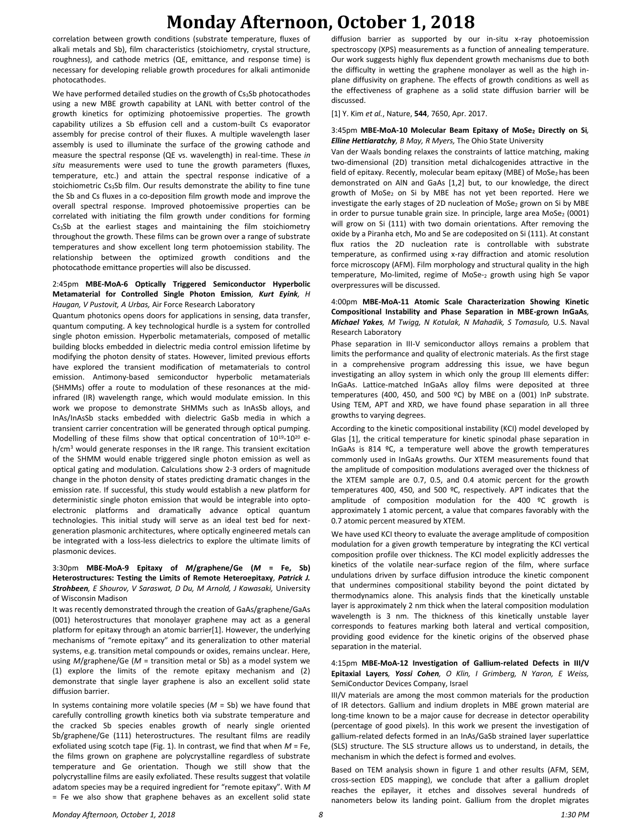## **Monday Afternoon, October 1, 2018**

correlation between growth conditions (substrate temperature, fluxes of alkali metals and Sb), film characteristics (stoichiometry, crystal structure, roughness), and cathode metrics (QE, emittance, and response time) is necessary for developing reliable growth procedures for alkali antimonide photocathodes.

We have performed detailed studies on the growth of Cs3Sb photocathodes using a new MBE growth capability at LANL with better control of the growth kinetics for optimizing photoemissive properties. The growth capability utilizes a Sb effusion cell and a custom-built Cs evaporator assembly for precise control of their fluxes. A multiple wavelength laser assembly is used to illuminate the surface of the growing cathode and measure the spectral response (QE vs. wavelength) in real-time. These *in situ* measurements were used to tune the growth parameters (fluxes, temperature, etc.) and attain the spectral response indicative of a stoichiometric  $Cs<sub>3</sub>Sb$  film. Our results demonstrate the ability to fine tune the Sb and Cs fluxes in a co-deposition film growth mode and improve the overall spectral response. Improved photoemissive properties can be correlated with initiating the film growth under conditions for forming Cs3Sb at the earliest stages and maintaining the film stoichiometry throughout the growth. These films can be grown over a range of substrate temperatures and show excellent long term photoemission stability. The relationship between the optimized growth conditions and the photocathode emittance properties will also be discussed.

#### 2:45pm **MBE-MoA-6 Optically Triggered Semiconductor Hyperbolic Metamaterial for Controlled Single Photon Emission***, Kurt Eyink, H Haugan, V Pustovit, A Urbas,* Air Force Research Laboratory

Quantum photonics opens doors for applications in sensing, data transfer, quantum computing. A key technological hurdle is a system for controlled single photon emission. Hyperbolic metamaterials, composed of metallic building blocks embedded in dielectric media control emission lifetime by modifying the photon density of states. However, limited previous efforts have explored the transient modification of metamaterials to control emission. Antimony-based semiconductor hyperbolic metamaterials (SHMMs) offer a route to modulation of these resonances at the midinfrared (IR) wavelength range, which would modulate emission. In this work we propose to demonstrate SHMMs such as InAsSb alloys, and InAs/InAsSb stacks embedded with dielectric GaSb media in which a transient carrier concentration will be generated through optical pumping. Modelling of these films show that optical concentration of 10<sup>19</sup>-10<sup>20</sup> eh/cm<sup>3</sup> would generate responses in the IR range. This transient excitation of the SHMM would enable triggered single photon emission as well as optical gating and modulation. Calculations show 2-3 orders of magnitude change in the photon density of states predicting dramatic changes in the emission rate. If successful, this study would establish a new platform for deterministic single photon emission that would be integrable into optoelectronic platforms and dramatically advance optical quantum technologies. This initial study will serve as an ideal test bed for nextgeneration plasmonic architectures, where optically engineered metals can be integrated with a loss-less dielectrics to explore the ultimate limits of plasmonic devices.

### 3:30pm **MBE-MoA-9 Epitaxy of** *M***/graphene/Ge (***M* **= Fe, Sb) Heterostructures: Testing the Limits of Remote Heteroepitaxy***, Patrick J. Strohbeen, E Shourov, V Saraswat, D Du, M Arnold, J Kawasaki,* University of Wisconsin Madison

It was recently demonstrated through the creation of GaAs/graphene/GaAs (001) heterostructures that monolayer graphene may act as a general platform for epitaxy through an atomic barrier[1]. However, the underlying mechanisms of "remote epitaxy" and its generalization to other material systems, e.g. transition metal compounds or oxides, remains unclear. Here, using *M*/graphene/Ge (*M* = transition metal or Sb) as a model system we (1) explore the limits of the remote epitaxy mechanism and (2) demonstrate that single layer graphene is also an excellent solid state diffusion barrier.

In systems containing more volatile species (*M* = Sb) we have found that carefully controlling growth kinetics both via substrate temperature and the cracked Sb species enables growth of nearly single oriented Sb/graphene/Ge (111) heterostructures. The resultant films are readily exfoliated using scotch tape (Fig. 1). In contrast, we find that when *M* = Fe, the films grown on graphene are polycrystalline regardless of substrate temperature and Ge orientation. Though we still show that the polycrystalline films are easily exfoliated. These results suggest that volatile adatom species may be a required ingredient for "remote epitaxy". With *M* = Fe we also show that graphene behaves as an excellent solid state diffusion barrier as supported by our in-situ x-ray photoemission spectroscopy (XPS) measurements as a function of annealing temperature. Our work suggests highly flux dependent growth mechanisms due to both the difficulty in wetting the graphene monolayer as well as the high inplane diffusivity on graphene. The effects of growth conditions as well as the effectiveness of graphene as a solid state diffusion barrier will be discussed.

[1] Y. Kim *et al.*, Nature, **544**, 7650, Apr. 2017.

#### 3:45pm **MBE-MoA-10 Molecular Beam Epitaxy of MoSe<sup>2</sup> Directly on Si***, Elline Hettiaratchy, B May, R Myers,* The Ohio State University

Van der Waals bonding relaxes the constraints of lattice matching, making two-dimensional (2D) transition metal dichalcogenides attractive in the field of epitaxy. Recently, molecular beam epitaxy (MBE) of MoSe2 has been demonstrated on AlN and GaAs [1,2] but, to our knowledge, the direct growth of MoSe<sub>2</sub> on Si by MBE has not yet been reported. Here we investigate the early stages of 2D nucleation of MoSe<sub>2</sub> grown on Si by MBE in order to pursue tunable grain size. In principle, large area  $Mose<sub>2</sub>$  (0001) will grow on Si (111) with two domain orientations. After removing the oxide by a Piranha etch, Mo and Se are codeposited on Si (111). At constant flux ratios the 2D nucleation rate is controllable with substrate temperature, as confirmed using x-ray diffraction and atomic resolution force microscopy (AFM). Film morphology and structural quality in the high temperature, Mo-limited, regime of MoSe-<sup>2</sup> growth using high Se vapor overpressures will be discussed.

### 4:00pm **MBE-MoA-11 Atomic Scale Characterization Showing Kinetic Compositional Instability and Phase Separation in MBE-grown InGaAs***, Michael Yakes, M Twigg, N Kotulak, N Mahadik, S Tomasulo,* U.S. Naval Research Laboratory

Phase separation in III-V semiconductor alloys remains a problem that limits the performance and quality of electronic materials. As the first stage in a comprehensive program addressing this issue, we have begun investigating an alloy system in which only the group III elements differ: InGaAs. Lattice-matched InGaAs alloy films were deposited at three temperatures (400, 450, and 500 ºC) by MBE on a (001) InP substrate. Using TEM, APT and XRD, we have found phase separation in all three growths to varying degrees.

According to the kinetic compositional instability (KCI) model developed by Glas [1], the critical temperature for kinetic spinodal phase separation in InGaAs is 814 ºC, a temperature well above the growth temperatures commonly used in InGaAs growths. Our XTEM measurements found that the amplitude of composition modulations averaged over the thickness of the XTEM sample are 0.7, 0.5, and 0.4 atomic percent for the growth temperatures 400, 450, and 500 ºC, respectively. APT indicates that the amplitude of composition modulation for the 400 ºC growth is approximately 1 atomic percent, a value that compares favorably with the 0.7 atomic percent measured by XTEM.

We have used KCI theory to evaluate the average amplitude of composition modulation for a given growth temperature by integrating the KCI vertical composition profile over thickness. The KCI model explicitly addresses the kinetics of the volatile near-surface region of the film, where surface undulations driven by surface diffusion introduce the kinetic component that undermines compositional stability beyond the point dictated by thermodynamics alone. This analysis finds that the kinetically unstable layer is approximately 2 nm thick when the lateral composition modulation wavelength is 3 nm. The thickness of this kinetically unstable layer corresponds to features marking both lateral and vertical composition, providing good evidence for the kinetic origins of the observed phase separation in the material.

#### 4:15pm **MBE-MoA-12 Investigation of Gallium-related Defects in III/V Epitaxial Layers***, Yossi Cohen, O Klin, I Grimberg, N Yaron, E Weiss,*  SemiConductor Devices Company, Israel

III/V materials are among the most common materials for the production of IR detectors. Gallium and indium droplets in MBE grown material are long-time known to be a major cause for decrease in detector operability (percentage of good pixels). In this work we present the investigation of gallium-related defects formed in an InAs/GaSb strained layer superlattice (SLS) structure. The SLS structure allows us to understand, in details, the mechanism in which the defect is formed and evolves.

Based on TEM analysis shown in figure 1 and other results (AFM, SEM, cross-section EDS mapping), we conclude that after a gallium droplet reaches the epilayer, it etches and dissolves several hundreds of nanometers below its landing point. Gallium from the droplet migrates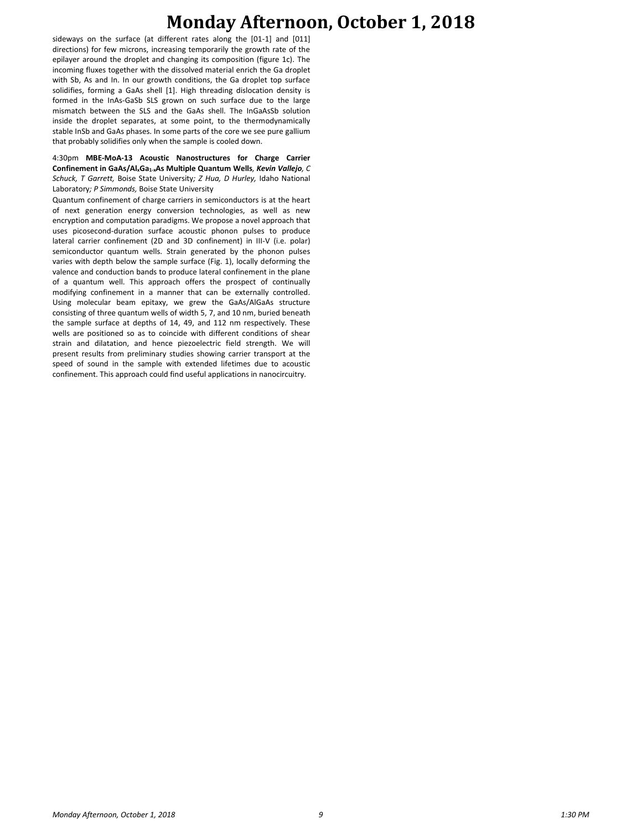## **Monday Afternoon, October 1, 2018**

sideways on the surface (at different rates along the [01-1] and [011] directions) for few microns, increasing temporarily the growth rate of the epilayer around the droplet and changing its composition (figure 1c). The incoming fluxes together with the dissolved material enrich the Ga droplet with Sb, As and In. In our growth conditions, the Ga droplet top surface solidifies, forming a GaAs shell [1]. High threading dislocation density is formed in the InAs-GaSb SLS grown on such surface due to the large mismatch between the SLS and the GaAs shell. The InGaAsSb solution inside the droplet separates, at some point, to the thermodynamically stable InSb and GaAs phases. In some parts of the core we see pure gallium that probably solidifies only when the sample is cooled down.

4:30pm **MBE-MoA-13 Acoustic Nanostructures for Charge Carrier Confinement in GaAs/AlxGa1-xAs Multiple Quantum Wells***, Kevin Vallejo, C Schuck, T Garrett,* Boise State University*; Z Hua, D Hurley,* Idaho National Laboratory*; P Simmonds,* Boise State University

Quantum confinement of charge carriers in semiconductors is at the heart of next generation energy conversion technologies, as well as new encryption and computation paradigms. We propose a novel approach that uses picosecond-duration surface acoustic phonon pulses to produce lateral carrier confinement (2D and 3D confinement) in III-V (i.e. polar) semiconductor quantum wells. Strain generated by the phonon pulses varies with depth below the sample surface (Fig. 1), locally deforming the valence and conduction bands to produce lateral confinement in the plane of a quantum well. This approach offers the prospect of continually modifying confinement in a manner that can be externally controlled. Using molecular beam epitaxy, we grew the GaAs/AlGaAs structure consisting of three quantum wells of width 5, 7, and 10 nm, buried beneath the sample surface at depths of 14, 49, and 112 nm respectively. These wells are positioned so as to coincide with different conditions of shear strain and dilatation, and hence piezoelectric field strength. We will present results from preliminary studies showing carrier transport at the speed of sound in the sample with extended lifetimes due to acoustic confinement. This approach could find useful applications in nanocircuitry.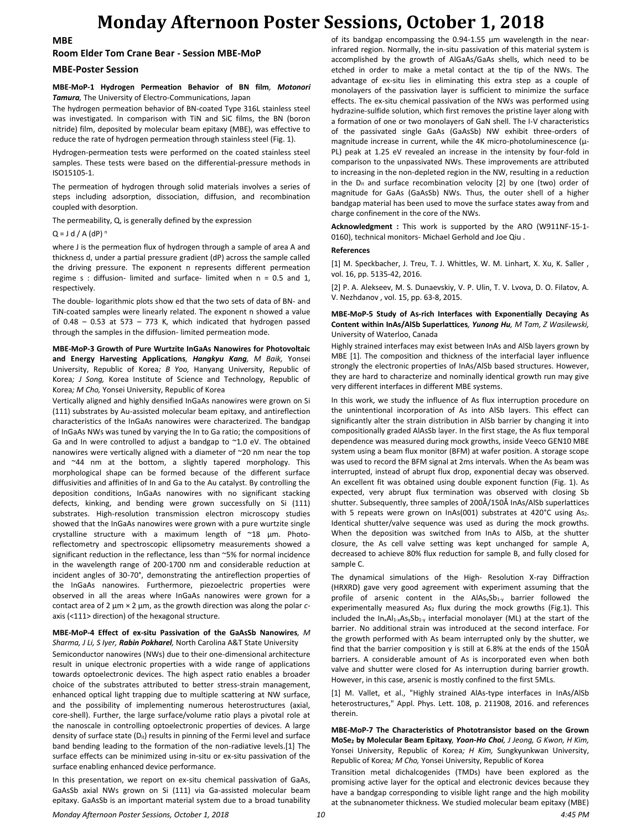## **Monday Afternoon Poster Sessions, October 1, 2018**

**MBE**

### **Room Elder Tom Crane Bear - Session MBE-MoP**

### **MBE-Poster Session**

### **MBE-MoP-1 Hydrogen Permeation Behavior of BN film***, Motonori Tamura,* The University of Electro-Communications, Japan

The hydrogen permeation behavior of BN-coated Type 316L stainless steel was investigated. In comparison with TiN and SiC films, the BN (boron nitride) film, deposited by molecular beam epitaxy (MBE), was effective to reduce the rate of hydrogen permeation through stainless steel (Fig. 1).

Hydrogen-permeation tests were performed on the coated stainless steel samples. These tests were based on the differential-pressure methods in ISO15105-1.

The permeation of hydrogen through solid materials involves a series of steps including adsorption, dissociation, diffusion, and recombination coupled with desorption.

The permeability, Q, is generally defined by the expression

 $Q = J d / A (dP)^n$ 

where J is the permeation flux of hydrogen through a sample of area A and thickness d, under a partial pressure gradient (dP) across the sample called the driving pressure. The exponent n represents different permeation regime s : diffusion- limited and surface- limited when n = 0.5 and 1, respectively.

The double- logarithmic plots show ed that the two sets of data of BN- and TiN-coated samples were linearly related. The exponent n showed a value of  $0.48 - 0.53$  at 573 - 773 K, which indicated that hydrogen passed through the samples in the diffusion- limited permeation mode.

**MBE-MoP-3 Growth of Pure Wurtzite InGaAs Nanowires for Photovoltaic and Energy Harvesting Applications***, Hangkyu Kang, M Baik,* Yonsei University, Republic of Korea*; B Yoo,* Hanyang University, Republic of Korea*; J Song,* Korea Institute of Science and Technology, Republic of Korea*; M Cho,* Yonsei University, Republic of Korea

Vertically aligned and highly densified InGaAs nanowires were grown on Si (111) substrates by Au-assisted molecular beam epitaxy, and antireflection characteristics of the InGaAs nanowires were characterized. The bandgap of InGaAs NWs was tuned by varying the In to Ga ratio; the compositions of Ga and In were controlled to adjust a bandgap to ~1.0 eV. The obtained nanowires were vertically aligned with a diameter of ~20 nm near the top and ~44 nm at the bottom, a slightly tapered morphology. This morphological shape can be formed because of the different surface diffusivities and affinities of In and Ga to the Au catalyst. By controlling the deposition conditions, InGaAs nanowires with no significant stacking defects, kinking, and bending were grown successfully on Si (111) substrates. High-resolution transmission electron microscopy studies showed that the InGaAs nanowires were grown with a pure wurtzite single crystalline structure with a maximum length of ~18 µm. Photoreflectometry and spectroscopic ellipsometry measurements showed a significant reduction in the reflectance, less than ~5% for normal incidence in the wavelength range of 200-1700 nm and considerable reduction at incident angles of 30-70°, demonstrating the antireflection properties of the InGaAs nanowires. Furthermore, piezoelectric properties were observed in all the areas where InGaAs nanowires were grown for a contact area of 2 μm × 2 μm, as the growth direction was along the polar *c*axis (<111> direction) of the hexagonal structure.

#### **MBE-MoP-4 Effect of ex-situ Passivation of the GaAsSb Nanowires***, M Sharma, J Li, S Iyer, Rabin Pokharel,* North Carolina A&T State University

Semiconductor nanowires (NWs) due to their one-dimensional architecture result in unique electronic properties with a wide range of applications towards optoelectronic devices. The high aspect ratio enables a broader choice of the substrates attributed to better stress-strain management, enhanced optical light trapping due to multiple scattering at NW surface, and the possibility of implementing numerous heterostructures (axial, core-shell). Further, the large surface/volume ratio plays a pivotal role at the nanoscale in controlling optoelectronic properties of devices. A large density of surface state  $(D_{it})$  results in pinning of the Fermi level and surface band bending leading to the formation of the non-radiative levels.[1] The surface effects can be minimized using in-situ or ex-situ passivation of the surface enabling enhanced device performance.

In this presentation, we report on ex-situ chemical passivation of GaAs, GaAsSb axial NWs grown on Si (111) via Ga-assisted molecular beam epitaxy. GaAsSb is an important material system due to a broad tunability of its bandgap encompassing the 0.94-1.55 μm wavelength in the nearinfrared region. Normally, the in-situ passivation of this material system is accomplished by the growth of AlGaAs/GaAs shells, which need to be etched in order to make a metal contact at the tip of the NWs. The advantage of ex-situ lies in eliminating this extra step as a couple of monolayers of the passivation layer is sufficient to minimize the surface effects. The ex-situ chemical passivation of the NWs was performed using hydrazine-sulfide solution, which first removes the pristine layer along with a formation of one or two monolayers of GaN shell. The I-V characteristics of the passivated single GaAs (GaAsSb) NW exhibit three-orders of magnitude increase in current, while the 4K micro-photoluminescence (μ-PL) peak at 1.25 eV revealed an increase in the intensity by four-fold in comparison to the unpassivated NWs. These improvements are attributed to increasing in the non-depleted region in the NW, resulting in a reduction in the  $D_{it}$  and surface recombination velocity  $[2]$  by one (two) order of magnitude for GaAs (GaAsSb) NWs. Thus, the outer shell of a higher bandgap material has been used to move the surface states away from and charge confinement in the core of the NWs.

**Acknowledgment :** This work is supported by the ARO (W911NF-15-1- 0160), technical monitors- Michael Gerhold and Joe Qiu .

#### **References**

[1] M. Speckbacher, J. Treu, T. J. Whittles, W. M. Linhart, X. Xu, K. Saller , vol. 16, pp. 5135-42, 2016.

[2] P. A. Alekseev, M. S. Dunaevskiy, V. P. Ulin, T. V. Lvova, D. O. Filatov, A. V. Nezhdanov , vol. 15, pp. 63-8, 2015.

#### **MBE-MoP-5 Study of As-rich Interfaces with Exponentially Decaying As Content within InAs/AlSb Superlattices***, Yunong Hu, M Tam, Z Wasilewski,*  University of Waterloo, Canada

Highly strained interfaces may exist between InAs and AlSb layers grown by MBE [1]. The composition and thickness of the interfacial layer influence strongly the electronic properties of InAs/AlSb based structures. However, they are hard to characterize and nominally identical growth run may give very different interfaces in different MBE systems.

In this work, we study the influence of As flux interruption procedure on the unintentional incorporation of As into AlSb layers. This effect can significantly alter the strain distribution in AlSb barrier by changing it into compositionally graded AlAsSb layer. In the first stage, the As flux temporal dependence was measured during mock growths, inside Veeco GEN10 MBE system using a beam flux monitor (BFM) at wafer position. A storage scope was used to record the BFM signal at 2ms intervals. When the As beam was interrupted, instead of abrupt flux drop, exponential decay was observed. An excellent fit was obtained using double exponent function (Fig. 1). As expected, very abrupt flux termination was observed with closing Sb shutter. Subsequently, three samples of 200Å/150Å InAs/AlSb superlattices with 5 repeats were grown on InAs(001) substrates at 420°C using As2. Identical shutter/valve sequence was used as during the mock growths. When the deposition was switched from InAs to AlSb, at the shutter closure, the As cell valve setting was kept unchanged for sample A, decreased to achieve 80% flux reduction for sample B, and fully closed for sample C.

The dynamical simulations of the High- Resolution X-ray Diffraction (HRXRD) gave very good agreement with experiment assuming that the profile of arsenic content in the  $A|As_ySb_{1-y}$  barrier followed the experimentally measured As<sub>2</sub> flux during the mock growths (Fig.1). This included the  $In_xAl_{1-x}As_ySb_{1-y}$  interfacial monolayer (ML) at the start of the barrier. No additional strain was introduced at the second interface. For the growth performed with As beam interrupted only by the shutter, we find that the barrier composition y is still at 6.8% at the ends of the 150Å barriers. A considerable amount of As is incorporated even when both valve and shutter were closed for As interruption during barrier growth. However, in this case, arsenic is mostly confined to the first 5MLs.

[1] M. Vallet, et al., "Highly strained AlAs-type interfaces in InAs/AlSb heterostructures," Appl. Phys. Lett. 108, p. 211908, 2016. and references therein.

**MBE-MoP-7 The Characteristics of Phototransistor based on the Grown MoSe<sup>2</sup> by Molecular Beam Epitaxy***, Yoon-Ho Choi, J Jeong, G Kwon, H Kim,*  Yonsei University, Republic of Korea*; H Kim,* Sungkyunkwan University, Republic of Korea*; M Cho,* Yonsei University, Republic of Korea

Transition metal dichalcogenides (TMDs) have been explored as the promising active layer for the optical and electronic devices because they have a bandgap corresponding to visible light range and the high mobility at the subnanometer thickness. We studied molecular beam epitaxy (MBE)

*Monday Afternoon Poster Sessions, October 1, 2018 10 4:45 PM*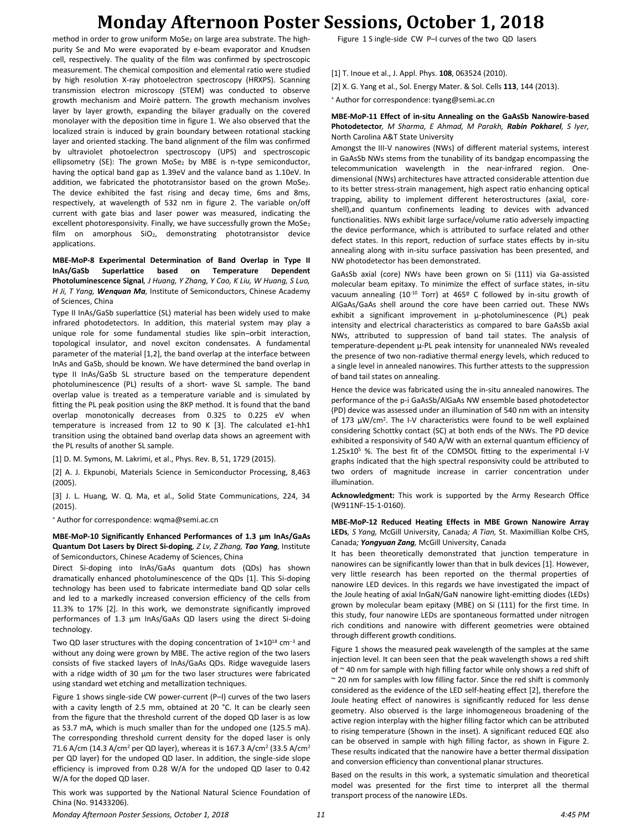## **Monday Afternoon Poster Sessions, October 1, 2018**

method in order to grow uniform MoSe<sub>2</sub> on large area substrate. The highpurity Se and Mo were evaporated by e-beam evaporator and Knudsen cell, respectively. The quality of the film was confirmed by spectroscopic measurement. The chemical composition and elemental ratio were studied by high resolution X-ray photoelectron spectroscopy (HRXPS). Scanning transmission electron microscopy (STEM) was conducted to observe growth mechanism and Moirѐ pattern. The growth mechanism involves layer by layer growth, expanding the bilayer gradually on the covered monolayer with the deposition time in figure 1. We also observed that the localized strain is induced by grain boundary between rotational stacking layer and oriented stacking. The band alignment of the film was confirmed by ultraviolet photoelectron spectroscopy (UPS) and spectroscopic ellipsometry (SE): The grown MoSe<sub>2</sub> by MBE is n-type semiconductor, having the optical band gap as 1.39eV and the valance band as 1.10eV. In addition, we fabricated the phototransistor based on the grown MoSe2. The device exhibited the fast rising and decay time, 6ms and 8ms, respectively, at wavelength of 532 nm in figure 2. The variable on/off current with gate bias and laser power was measured, indicating the excellent photoresponsivity. Finally, we have successfully grown the MoSe2 film on amorphous SiO<sub>2</sub>, demonstrating phototransistor device applications.

**MBE-MoP-8 Experimental Determination of Band Overlap in Type II InAs/GaSb Superlattice based on Temperature Dependent Photoluminescence Signal***, J Huang, Y Zhang, Y Cao, K Liu, W Huang, S Luo, H Ji, T Yang, Wenquan Ma,* Institute of Semiconductors, Chinese Academy of Sciences, China

Type II InAs/GaSb superlattice (SL) material has been widely used to make infrared photodetectors. In addition, this material system may play a unique role for some fundamental studies like spin–orbit interaction, topological insulator, and novel exciton condensates. A fundamental parameter of the material [1,2], the band overlap at the interface between InAs and GaSb, should be known. We have determined the band overlap in type II InAs/GaSb SL structure based on the temperature dependent photoluminescence (PL) results of a short- wave SL sample. The band overlap value is treated as a temperature variable and is simulated by fitting the PL peak position using the 8KP method. It is found that the band overlap monotonically decreases from 0.325 to 0.225 eV when temperature is increased from 12 to 90 K [3]. The calculated e1-hh1 transition using the obtained band overlap data shows an agreement with the PL results of another SL sample.

[1] D. M. Symons, M. Lakrimi, et al., Phys. Rev. B, 51, 1729 (2015).

[2] A. J. Ekpunobi, Materials Science in Semiconductor Processing, 8,463 (2005).

[3] J. L. Huang, W. Q. Ma, et al., Solid State Communications, 224, 34 (2015).

<sup>+</sup> Author for correspondence: wqma@semi.ac.cn

**MBE-MoP-10 Significantly Enhanced Performances of 1.3 μm InAs/GaAs Quantum Dot Lasers by Direct Si-doping***, Z Lv, Z Zhang, Tao Yang,* Institute of Semiconductors, Chinese Academy of Sciences, China

Direct Si-doping into InAs/GaAs quantum dots (QDs) has shown dramatically enhanced photoluminescence of the QDs [1]. This Si-doping technology has been used to fabricate intermediate band QD solar cells and led to a markedly increased conversion efficiency of the cells from 11.3% to 17% [2]. In this work, we demonstrate significantly improved performances of 1.3 μm InAs/GaAs QD lasers using the direct Si-doing technology.

Two QD laser structures with the doping concentration of 1×10<sup>18</sup> cm<sup>-3</sup> and without any doing were grown by MBE. The active region of the two lasers consists of five stacked layers of InAs/GaAs QDs. Ridge waveguide lasers with a ridge width of 30 um for the two laser structures were fabricated using standard wet etching and metallization techniques.

Figure 1 shows single-side CW power-current (P–I) curves of the two lasers with a cavity length of 2.5 mm, obtained at 20 °C. It can be clearly seen from the figure that the threshold current of the doped QD laser is as low as 53.7 mA, which is much smaller than for the undoped one (125.5 mA). The corresponding threshold current density for the doped laser is only 71.6 A/cm (14.3 A/cm<sup>2</sup> per QD layer), whereas it is 167.3 A/cm<sup>2</sup> (33.5 A/cm<sup>2</sup> per QD layer) for the undoped QD laser. In addition, the single-side slope efficiency is improved from 0.28 W/A for the undoped QD laser to 0.42 W/A for the doped QD laser.

This work was supported by the National Natural Science Foundation of China (No. 91433206).

Figure 1 S ingle-side CW P–I curves of the two QD lasers

- [1] T. Inoue et al., J. Appl. Phys. **108**, 063524 (2010).
- [2] X. G. Yang et al., Sol. Energy Mater. & Sol. Cells **113**, 144 (2013).

<sup>+</sup> Author for correspondence: tyang@semi.ac.cn

### **MBE-MoP-11 Effect of in-situ Annealing on the GaAsSb Nanowire-based Photodetector***, M Sharma, E Ahmad, M Parakh, Rabin Pokharel, S Iyer,*  North Carolina A&T State University

Amongst the III-V nanowires (NWs) of different material systems, interest in GaAsSb NWs stems from the tunability of its bandgap encompassing the telecommunication wavelength in the near-infrared region. Onedimensional (NWs) architectures have attracted considerable attention due to its better stress-strain management, high aspect ratio enhancing optical trapping, ability to implement different heterostructures (axial, coreshell),and quantum confinements leading to devices with advanced functionalities. NWs exhibit large surface/volume ratio adversely impacting the device performance, which is attributed to surface related and other defect states. In this report, reduction of surface states effects by in-situ annealing along with in-situ surface passivation has been presented, and NW photodetector has been demonstrated.

GaAsSb axial (core) NWs have been grown on Si (111) via Ga-assisted molecular beam epitaxy. To minimize the effect of surface states, in-situ vacuum annealing (10<sup>-10</sup> Torr) at 465<sup>o</sup> C followed by in-situ growth of AlGaAs/GaAs shell around the core have been carried out. These NWs exhibit a significant improvement in μ-photoluminescence (PL) peak intensity and electrical characteristics as compared to bare GaAsSb axial NWs, attributed to suppression of band tail states. The analysis of temperature-dependent µ-PL peak intensity for unannealed NWs revealed the presence of two non-radiative thermal energy levels, which reduced to a single level in annealed nanowires. This further attests to the suppression of band tail states on annealing.

Hence the device was fabricated using the in-situ annealed nanowires. The performance of the p-i GaAsSb/AlGaAs NW ensemble based photodetector (PD) device was assessed under an illumination of 540 nm with an intensity of 173 μW/cm<sup>2</sup>. The I-V characteristics were found to be well explained considering Schottky contact (SC) at both ends of the NWs. The PD device exhibited a responsivity of 540 A/W with an external quantum efficiency of 1.25x10<sup>5</sup> %. The best fit of the COMSOL fitting to the experimental I-V graphs indicated that the high spectral responsivity could be attributed to two orders of magnitude increase in carrier concentration under illumination.

**Acknowledgment:** This work is supported by the Army Research Office (W911NF-15-1-0160).

#### **MBE-MoP-12 Reduced Heating Effects in MBE Grown Nanowire Array LEDs***, S Yang,* McGill University, Canada*; A Tian,* St. Maximillian Kolbe CHS, Canada*; Yongyuan Zang,* McGill University, Canada

It has been theoretically demonstrated that junction temperature in nanowires can be significantly lower than that in bulk devices [1]. However, very little research has been reported on the thermal properties of nanowire LED devices. In this regards we have investigated the impact of the Joule heating of axial InGaN/GaN nanowire light-emitting diodes (LEDs) grown by molecular beam epitaxy (MBE) on Si (111) for the first time. In this study, four nanowire LEDs are spontaneous formatted under nitrogen rich conditions and nanowire with different geometries were obtained through different growth conditions.

Figure 1 shows the measured peak wavelength of the samples at the same injection level. It can been seen that the peak wavelength shows a red shift of  $\sim$  40 nm for sample with high filling factor while only shows a red shift of ~ 20 nm for samples with low filling factor. Since the red shift is commonly considered as the evidence of the LED self-heating effect [2], therefore the Joule heating effect of nanowires is significantly reduced for less dense geometry. Also observed is the large inhomogeneous broadening of the active region interplay with the higher filling factor which can be attributed to rising temperature (Shown in the inset). A significant reduced EQE also can be observed in sample with high filling factor, as shown in Figure 2. These results indicated that the nanowire have a better thermal dissipation and conversion efficiency than conventional planar structures.

Based on the results in this work, a systematic simulation and theoretical model was presented for the first time to interpret all the thermal transport process of the nanowire LEDs.

*Monday Afternoon Poster Sessions, October 1, 2018 11 4:45 PM*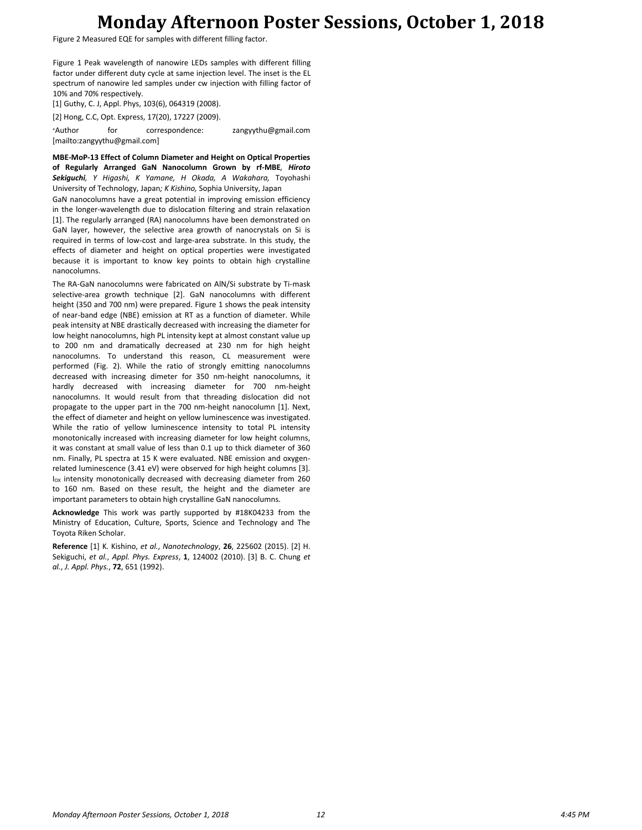## **Monday Afternoon Poster Sessions, October 1, 2018**

Figure 2 Measured EQE for samples with different filling factor.

Figure 1 Peak wavelength of nanowire LEDs samples with different filling factor under different duty cycle at same injection level. The inset is the EL spectrum of nanowire led samples under cw injection with filling factor of 10% and 70% respectively.

[1] Guthy, C. J, Appl. Phys, 103(6), 064319 (2008).

[2] Hong, C.C, Opt. Express, 17(20), 17227 (2009).

<sup>+</sup>Author for correspondence: zangyythu@gmail.com [mailto:zangyythu@gmail.com]

**MBE-MoP-13 Effect of Column Diameter and Height on Optical Properties of Regularly Arranged GaN Nanocolumn Grown by rf-MBE***, Hiroto Sekiguchi, Y Higashi, K Yamane, H Okada, A Wakahara,* Toyohashi University of Technology, Japan*; K Kishino,* Sophia University, Japan

GaN nanocolumns have a great potential in improving emission efficiency in the longer-wavelength due to dislocation filtering and strain relaxation [1]. The regularly arranged (RA) nanocolumns have been demonstrated on GaN layer, however, the selective area growth of nanocrystals on Si is required in terms of low-cost and large-area substrate. In this study, the effects of diameter and height on optical properties were investigated because it is important to know key points to obtain high crystalline nanocolumns.

The RA-GaN nanocolumns were fabricated on AlN/Si substrate by Ti-mask selective-area growth technique [2]. GaN nanocolumns with different height (350 and 700 nm) were prepared. Figure 1 shows the peak intensity of near-band edge (NBE) emission at RT as a function of diameter. While peak intensity at NBE drastically decreased with increasing the diameter for low height nanocolumns, high PL intensity kept at almost constant value up to 200 nm and dramatically decreased at 230 nm for high height nanocolumns. To understand this reason, CL measurement were performed (Fig. 2). While the ratio of strongly emitting nanocolumns decreased with increasing dimeter for 350 nm-height nanocolumns, it hardly decreased with increasing diameter for 700 nm-height nanocolumns. It would result from that threading dislocation did not propagate to the upper part in the 700 nm-height nanocolumn [1]. Next, the effect of diameter and height on yellow luminescence was investigated. While the ratio of yellow luminescence intensity to total PL intensity monotonically increased with increasing diameter for low height columns, it was constant at small value of less than 0.1 up to thick diameter of 360 nm. Finally, PL spectra at 15 K were evaluated. NBE emission and oxygenrelated luminescence (3.41 eV) were observed for high height columns [3].  $I<sub>OX</sub>$  intensity monotonically decreased with decreasing diameter from 260 to 160 nm. Based on these result, the height and the diameter are important parameters to obtain high crystalline GaN nanocolumns.

**Acknowledge** This work was partly supported by #18K04233 from the Ministry of Education, Culture, Sports, Science and Technology and The Toyota Riken Scholar.

**Reference** [1] K. Kishino, *et al.*, *Nanotechnology*, **26**, 225602 (2015). [2] H. Sekiguchi, *et al.*, *Appl. Phys. Express*, **1**, 124002 (2010). [3] B. C. Chung *et al.*, *J. Appl. Phys.*, **72**, 651 (1992).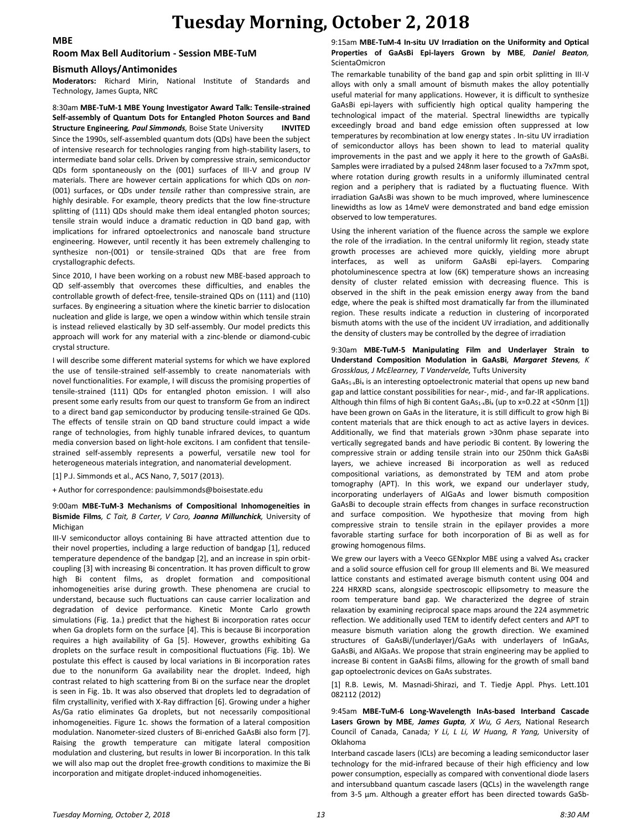## **Tuesday Morning, October 2, 2018**

### **MBE**

#### **Room Max Bell Auditorium - Session MBE-TuM**

#### **Bismuth Alloys/Antimonides**

**Moderators:** Richard Mirin, National Institute of Standards and Technology, James Gupta, NRC

8:30am **MBE-TuM-1 MBE Young Investigator Award Talk: Tensile-strained Self-assembly of Quantum Dots for Entangled Photon Sources and Band Structure Engineering***, Paul Simmonds,* Boise State University **INVITED** Since the 1990s, self-assembled quantum dots (QDs) have been the subject of intensive research for technologies ranging from high-stability lasers, to intermediate band solar cells. Driven by compressive strain, semiconductor QDs form spontaneously on the (001) surfaces of III-V and group IV materials. There are however certain applications for which QDs on *non*- (001) surfaces, or QDs under *tensile* rather than compressive strain, are highly desirable. For example, theory predicts that the low fine-structure splitting of (111) QDs should make them ideal entangled photon sources; tensile strain would induce a dramatic reduction in QD band gap, with implications for infrared optoelectronics and nanoscale band structure engineering. However, until recently it has been extremely challenging to synthesize non-(001) or tensile-strained QDs that are free from crystallographic defects.

Since 2010, I have been working on a robust new MBE-based approach to QD self-assembly that overcomes these difficulties, and enables the controllable growth of defect-free, tensile-strained QDs on (111) and (110) surfaces. By engineering a situation where the kinetic barrier to dislocation nucleation and glide is large, we open a window within which tensile strain is instead relieved elastically by 3D self-assembly. Our model predicts this approach will work for any material with a zinc-blende or diamond-cubic crystal structure.

I will describe some different material systems for which we have explored the use of tensile-strained self-assembly to create nanomaterials with novel functionalities. For example, I will discuss the promising properties of tensile-strained (111) QDs for entangled photon emission. I will also present some early results from our quest to transform Ge from an indirect to a direct band gap semiconductor by producing tensile-strained Ge QDs. The effects of tensile strain on QD band structure could impact a wide range of technologies, from highly tunable infrared devices, to quantum media conversion based on light-hole excitons. I am confident that tensilestrained self-assembly represents a powerful, versatile new tool for heterogeneous materials integration, and nanomaterial development.

[1] P.J. Simmonds et al., ACS Nano, 7, 5017 (2013).

+ Author for correspondence: paulsimmonds@boisestate.edu

#### 9:00am **MBE-TuM-3 Mechanisms of Compositional Inhomogeneities in Bismide Films***, C Tait, B Carter, V Caro, Joanna Millunchick,* University of Michigan

III-V semiconductor alloys containing Bi have attracted attention due to their novel properties, including a large reduction of bandgap [1], reduced temperature dependence of the bandgap [2], and an increase in spin orbitcoupling [3] with increasing Bi concentration. It has proven difficult to grow high Bi content films, as droplet formation and compositional inhomogeneities arise during growth. These phenomena are crucial to understand, because such fluctuations can cause carrier localization and degradation of device performance. Kinetic Monte Carlo growth simulations (Fig. 1a.) predict that the highest Bi incorporation rates occur when Ga droplets form on the surface [4]. This is because Bi incorporation requires a high availability of Ga [5]. However, growths exhibiting Ga droplets on the surface result in compositional fluctuations (Fig. 1b). We postulate this effect is caused by local variations in Bi incorporation rates due to the nonuniform Ga availability near the droplet. Indeed, high contrast related to high scattering from Bi on the surface near the droplet is seen in Fig. 1b. It was also observed that droplets led to degradation of film crystallinity, verified with X-Ray diffraction [6]. Growing under a higher As/Ga ratio eliminates Ga droplets, but not necessarily compositional inhomogeneities. Figure 1c. shows the formation of a lateral composition modulation. Nanometer-sized clusters of Bi-enriched GaAsBi also form [7]. Raising the growth temperature can mitigate lateral composition modulation and clustering, but results in lower Bi incorporation. In this talk we will also map out the droplet free-growth conditions to maximize the Bi incorporation and mitigate droplet-induced inhomogeneities.

### 9:15am **MBE-TuM-4 In-situ UV Irradiation on the Uniformity and Optical Properties of GaAsBi Epi-layers Grown by MBE***, Daniel Beaton,*  ScientaOmicron

The remarkable tunability of the band gap and spin orbit splitting in III-V alloys with only a small amount of bismuth makes the alloy potentially useful material for many applications. However, it is difficult to synthesize GaAsBi epi-layers with sufficiently high optical quality hampering the technological impact of the material. Spectral linewidths are typically exceedingly broad and band edge emission often suppressed at low temperatures by recombination at low energy states . In-situ UV irradiation of semiconductor alloys has been shown to lead to material quality improvements in the past and we apply it here to the growth of GaAsBi. Samples were irradiated by a pulsed 248nm laser focused to a 7x7mm spot, where rotation during growth results in a uniformly illuminated central region and a periphery that is radiated by a fluctuating fluence. With irradiation GaAsBi was shown to be much improved, where luminescence linewidths as low as 14meV were demonstrated and band edge emission observed to low temperatures.

Using the inherent variation of the fluence across the sample we explore the role of the irradiation. In the central uniformly lit region, steady state growth processes are achieved more quickly, yielding more abrupt interfaces, as well as uniform GaAsBi epi-layers. Comparing photoluminescence spectra at low (6K) temperature shows an increasing density of cluster related emission with decreasing fluence. This is observed in the shift in the peak emission energy away from the band edge, where the peak is shifted most dramatically far from the illuminated region. These results indicate a reduction in clustering of incorporated bismuth atoms with the use of the incident UV irradiation, and additionally the density of clusters may be controlled by the degree of irradiation

#### 9:30am **MBE-TuM-5 Manipulating Film and Underlayer Strain to Understand Composition Modulation in GaAsBi***, Margaret Stevens, K Grossklaus, J McElearney, T Vandervelde,* Tufts University

GaAs<sub>1-x</sub>Bi<sub>x</sub> is an interesting optoelectronic material that opens up new band gap and lattice constant possibilities for near-, mid-, and far-IR applications. Although thin films of high Bi content  $GaAs_{1-x}Bi_x$  (up to x=0.22 at <50nm [1]) have been grown on GaAs in the literature, it is still difficult to grow high Bi content materials that are thick enough to act as active layers in devices. Additionally, we find that materials grown >30nm phase separate into vertically segregated bands and have periodic Bi content. By lowering the compressive strain or adding tensile strain into our 250nm thick GaAsBi layers, we achieve increased Bi incorporation as well as reduced compositional variations, as demonstrated by TEM and atom probe tomography (APT). In this work, we expand our underlayer study, incorporating underlayers of AlGaAs and lower bismuth composition GaAsBi to decouple strain effects from changes in surface reconstruction and surface composition. We hypothesize that moving from high compressive strain to tensile strain in the epilayer provides a more favorable starting surface for both incorporation of Bi as well as for growing homogenous films.

We grew our layers with a Veeco GENxplor MBE using a valved As4 cracker and a solid source effusion cell for group III elements and Bi. We measured lattice constants and estimated average bismuth content using 004 and 224 HRXRD scans, alongside spectroscopic ellipsometry to measure the room temperature band gap. We characterized the degree of strain relaxation by examining reciprocal space maps around the 224 asymmetric reflection. We additionally used TEM to identify defect centers and APT to measure bismuth variation along the growth direction. We examined structures of GaAsBi/(underlayer)/GaAs with underlayers of InGaAs, GaAsBi, and AlGaAs. We propose that strain engineering may be applied to increase Bi content in GaAsBi films, allowing for the growth of small band gap optoelectronic devices on GaAs substrates.

[1] R.B. Lewis, M. Masnadi-Shirazi, and T. Tiedje Appl. Phys. Lett.101 082112 (2012)

9:45am **MBE-TuM-6 Long-Wavelength InAs-based Interband Cascade Lasers Grown by MBE***, James Gupta, X Wu, G Aers,* National Research Council of Canada, Canada*; Y Li, L Li, W Huang, R Yang,* University of Oklahoma

Interband cascade lasers (ICLs) are becoming a leading semiconductor laser technology for the mid-infrared because of their high efficiency and low power consumption, especially as compared with conventional diode lasers and intersubband quantum cascade lasers (QCLs) in the wavelength range from 3-5 μm. Although a greater effort has been directed towards GaSb-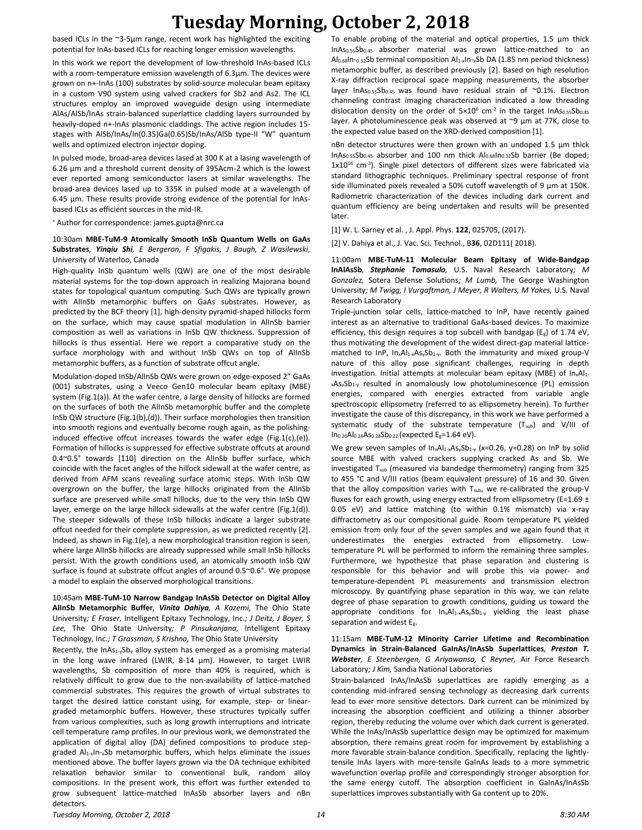## **Tuesday Morning, October 2, 2018**

based ICLs in the ~3-5μm range, recent work has highlighted the exciting potential for InAs-based ICLs for reaching longer emission wavelengths.

In this work we report the development of low-threshold InAs-based ICLs with a room-temperature emission wavelength of 6.3μm. The devices were grown on n+-InAs (100) substrates by solid-source molecular beam epitaxy in a custom V90 system using valved crackers for Sb2 and As2. The ICL structures employ an improved waveguide design using intermediate AlAs/AlSb/InAs strain-balanced superlattice cladding layers surrounded by heavily-doped n+-InAs plasmonic claddings. The active region includes 15 stages with AlSb/InAs/In(0.35)Ga(0.65)Sb/InAs/AlSb type-II "W" quantum wells and optimized electron injector doping.

In pulsed mode, broad-area devices lased at 300 K at a lasing wavelength of 6.26 μm and a threshold current density of 395Acm-2 which is the lowest ever reported among semiconductor lasers at similar wavelengths. The broad-area devices lased up to 335K in pulsed mode at a wavelength of 6.45 μm. These results provide strong evidence of the potential for InAsbased ICLs as efficient sources in the mid-IR.

<sup>+</sup> Author for correspondence: james.gupta@nrc.ca

### 10:30am **MBE-TuM-9 Atomically Smooth InSb Quantum Wells on GaAs Substrates***, Yinqiu Shi, E Bergeron, F Sfigakis, J Baugh, Z Wasilewski,*  University of Waterloo, Canada

High-quality InSb quantum wells (QW) are one of the most desirable material systems for the top-down approach in realizing Majorana bound states for topological quantum computing. Such QWs are typically grown with AlInSb metamorphic buffers on GaAs substrates. However, as predicted by the BCF theory [1], high-density pyramid-shaped hillocks form on the surface, which may cause spatial modulation in AlInSb barrier composition as well as variations in InSb QW thickness. Suppression of hillocks is thus essential. Here we report a comparative study on the surface morphology with and without InSb QWs on top of AlInSb metamorphic buffers, as a function of substrate offcut angle.

Modulation-doped InSb/AlInSb QWs were grown on edge-exposed 2" GaAs (001) substrates, using a Veeco Gen10 molecular beam epitaxy (MBE) system (Fig.1(a)). At the wafer centre, a large density of hillocks are formed on the surfaces of both the AlInSb metamorphic buffer and the complete InSb QW structure (Fig.1(b),(d)). Their surface morphologies then transition into smooth regions and eventually become rough again, as the polishinginduced effective offcut increases towards the wafer edge (Fig.1(c),(e)). Formation of hillocks is suppressed for effective substrate offcuts at around 0.4~0.5° towards [1̄10] direction on the AlInSb buffer surface, which coincide with the facet angles of the hillock sidewall at the wafer centre, as derived from AFM scans revealing surface atomic steps. With InSb QW overgrown on the buffer, the large hillocks originated from the AlInSb surface are preserved while small hillocks, due to the very thin InSb QW layer, emerge on the large hillock sidewalls at the wafer centre (Fig.1(d)). The steeper sidewalls of these InSb hillocks indicate a larger substrate offcut needed for their complete suppression, as we predicted recently [2]. Indeed, as shown in Fig.1(e), a new morphological transition region is seen, where large AlInSb hillocks are already suppressed while small InSb hillocks persist. With the growth conditions used, an atomically smooth InSb QW surface is found at substrate offcut angles of around 0.5~0.6°. We propose a model to explain the observed morphological transitions.

### 10:45am **MBE-TuM-10 Narrow Bandgap InAsSb Detector on Digital Alloy AlInSb Metamorphic Buffer***, Vinita Dahiya, A Kazemi,* The Ohio State University*; E Fraser,* Intelligent Epitaxy Technology, Inc.*; J Deitz, J Boyer, S Lee,* The Ohio State University*; P Pinsukanjana,* Intelligent Epitaxy Technology, Inc.*; T Grassman, S Krishna,* The Ohio State University

Recently, the InAs<sub>1-y</sub>Sb<sub>y</sub> alloy system has emerged as a promising material in the long wave infrared (LWIR, 8-14 µm). However, to target LWIR wavelengths, Sb composition of more than 40% is required, which is relatively difficult to grow due to the non-availability of lattice-matched commercial substrates. This requires the growth of virtual substrates to target the desired lattice constant using, for example, step- or lineargraded metamorphic buffers. However, these structures typically suffer from various complexities, such as long growth interruptions and intricate cell temperature ramp profiles. In our previous work, we demonstrated the application of digital alloy (DA) defined compositions to produce stepgraded Al<sub>1-x</sub>In-<sub>x</sub>Sb metamorphic buffers, which helps eliminate the issues mentioned above. The buffer layers grown via the DA technique exhibited relaxation behavior similar to conventional bulk, random alloy compositions. In the present work, this effort was further extended to grow subsequent lattice-matched InAsSb absorber layers and nBn detectors.

To enable probing of the material and optical properties, 1.5 µm thick InAs0.55Sb0.45 absorber material was grown lattice-matched to an Al $_{0.68}$ In- $_{0.32}$ Sb terminal composition Al<sub>1-x</sub>In-<sub>x</sub>Sb DA (1.85 nm period thickness) metamorphic buffer, as described previously [2]. Based on high resolution X-ray diffraction reciprocal space mapping measurements, the absorber layer InAs0.55Sb0.45 was found have residual strain of ~0.1%. Electron channeling contrast imaging characterization indicated a low threading dislocation density on the order of  $5 \times 10^6$  cm<sup>-2</sup> in the target InAs<sub>0.55</sub>Sb<sub>0.45</sub> layer. A photoluminescence peak was observed at ~9 µm at 77K, close to the expected value based on the XRD-derived composition [1].

nBn detector structures were then grown with an undoped 1.5 µm thick InAs $_{0.55}$ Sb<sub>0.45</sub> absorber and 100 nm thick  $Al_{0.68}$ In<sub>0.32</sub>Sb barrier (Be doped; 1x10<sup>16</sup> cm-3 ). Single pixel detectors of different sizes were fabricated via standard lithographic techniques. Preliminary spectral response of front side illuminated pixels revealed a 50% cutoff wavelength of 9 µm at 150K. Radiometric characterization of the devices including dark current and quantum efficiency are being undertaken and results will be presented later.

[1] W. L. Sarney et al. , J. Appl. Phys. **122**, 025705, (2017).

[2] V. Dahiya et al., J. Vac. Sci. Technol., B**36**, 02D111( 2018).

11:00am **MBE-TuM-11 Molecular Beam Epitaxy of Wide-Bandgap InAlAsSb***, Stephanie Tomasulo,* U.S. Naval Research Laboratory*; M Gonzalez,* Sotera Defense Solutions*; M Lumb,* The George Washington University*; M Twigg, I Vurgaftman, J Meyer, R Walters, M Yakes,* U.S. Naval Research Laboratory

Triple-junction solar cells, lattice-matched to InP, have recently gained interest as an alternative to traditional GaAs-based devices. To maximize efficiency, this design requires a top subcell with bandgap ( $E_g$ ) of 1.74 eV, thus motivating the development of the widest direct-gap material latticematched to InP,  $In_xAl_{1-x}As_ySb_{1-y}$ . Both the immaturity and mixed group-V nature of this alloy pose significant challenges, requiring in depth investigation. Initial attempts at molecular beam epitaxy (MBE) of In<sub>x</sub>Al<sub>1</sub>.  $x$ As<sub>y</sub>Sb<sub>1-y</sub> resulted in anomalously low photoluminescence (PL) emission energies, compared with energies extracted from variable angle spectroscopic ellipsometry (referred to as ellipsometry herein). To further investigate the cause of this discrepancy, in this work we have performed a systematic study of the substrate temperature (T<sub>sub</sub>) and V/III of  $In_{0.26}Al_{0.24}As_{0.28}Sb_{0.22}$  (expected  $E_g=1.64$  eV).

We grew seven samples of In<sub>x</sub>Al<sub>1-x</sub>As<sub>y</sub>Sb<sub>1-y</sub> (x≈0.26, y≈0.28) on InP by solid source MBE with valved crackers supplying cracked As and Sb. We investigated T<sub>sub</sub> (measured via bandedge thermometry) ranging from 325 to 455 °C and V/III ratios (beam equivalent pressure) of 16 and 30. Given that the alloy composition varies with T<sub>sub</sub>, we re-calibrated the group-V fluxes for each growth, using energy extracted from ellipsometry (E=1.69  $\pm$ 0.05 eV) and lattice matching (to within 0.1% mismatch) via x-ray diffractometry as our compositional guide. Room temperature PL yielded emission from only four of the seven samples and we again found that it underestimates the energies extracted from ellipsometry. Lowtemperature PL will be performed to inform the remaining three samples. Furthermore, we hypothesize that phase separation and clustering is responsible for this behavior and will probe this via power- and temperature-dependent PL measurements and transmission electron microscopy. By quantifying phase separation in this way, we can relate degree of phase separation to growth conditions, guiding us toward the appropriate conditions for  $In_xAI_{1-x}As_ySb_{1-y}$  yielding the least phase separation and widest Eg.

### 11:15am **MBE-TuM-12 Minority Carrier Lifetime and Recombination Dynamics in Strain-Balanced GaInAs/InAsSb Superlattices***, Preston T. Webster, E Steenbergen, G Ariyawansa, C Reyner,* Air Force Research Laboratory*; J Kim,* Sandia National Laboratories

Strain-balanced InAs/InAsSb superlattices are rapidly emerging as a contending mid-infrared sensing technology as decreasing dark currents lead to ever more sensitive detectors. Dark current can be minimized by increasing the absorption coefficient and utilizing a thinner absorber region, thereby reducing the volume over which dark current is generated. While the InAs/InAsSb superlattice design may be optimized for maximum absorption, there remains great room for improvement by establishing a more favorable strain-balance condition. Specifically, replacing the lightlytensile InAs layers with more-tensile GaInAs leads to a more symmetric wavefunction overlap profile and correspondingly stronger absorption for the same energy cutoff. The absorption coefficient in GaInAs/InAsSb superlattices improves substantially with Ga content up to 20%.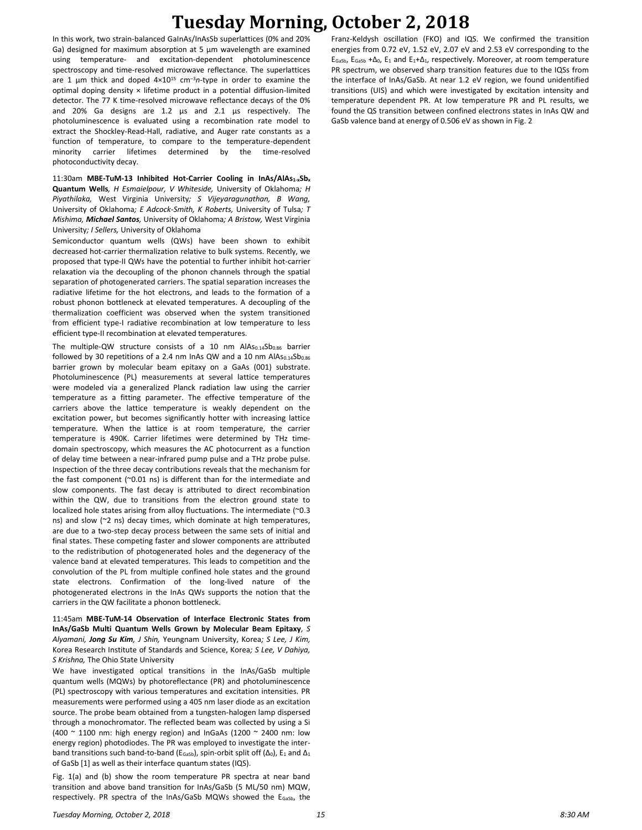# **Tuesday Morning, October 2, 2018**

In this work, two strain-balanced GaInAs/InAsSb superlattices (0% and 20% Ga) designed for maximum absorption at 5 µm wavelength are examined using temperature- and excitation-dependent photoluminescence spectroscopy and time-resolved microwave reflectance. The superlattices are 1 µm thick and doped  $4 \times 10^{15}$  cm<sup>-3</sup>n-type in order to examine the optimal doping density × lifetime product in a potential diffusion-limited detector. The 77 K time-resolved microwave reflectance decays of the 0% and 20% Ga designs are 1.2 µs and 2.1 µs respectively. The photoluminescence is evaluated using a recombination rate model to extract the Shockley-Read-Hall, radiative, and Auger rate constants as a function of temperature, to compare to the temperature-dependent minority carrier lifetimes determined by the time-resolved photoconductivity decay.

11:30am **MBE-TuM-13 Inhibited Hot-Carrier Cooling in InAs/AlAs1-xSb<sup>x</sup> Quantum Wells***, H Esmaielpour, V Whiteside,* University of Oklahoma*; H Piyathilaka,* West Virginia University*; S Vijeyaragunathan, B Wang,*  University of Oklahoma*; E Adcock-Smith, K Roberts,* University of Tulsa*; T Mishima, Michael Santos,* University of Oklahoma*; A Bristow,* West Virginia University*; I Sellers,* University of Oklahoma

Semiconductor quantum wells (QWs) have been shown to exhibit decreased hot-carrier thermalization relative to bulk systems. Recently, we proposed that type-II QWs have the potential to further inhibit hot-carrier relaxation via the decoupling of the phonon channels through the spatial separation of photogenerated carriers. The spatial separation increases the radiative lifetime for the hot electrons, and leads to the formation of a robust phonon bottleneck at elevated temperatures. A decoupling of the thermalization coefficient was observed when the system transitioned from efficient type-I radiative recombination at low temperature to less efficient type-II recombination at elevated temperatures.

The multiple-QW structure consists of a 10 nm  $AlAs<sub>0.14</sub>sb<sub>0.86</sub>$  barrier followed by 30 repetitions of a 2.4 nm InAs QW and a 10 nm  $AlAs_{0.14}Sb_{0.86}$ barrier grown by molecular beam epitaxy on a GaAs (001) substrate. Photoluminescence (PL) measurements at several lattice temperatures were modeled via a generalized Planck radiation law using the carrier temperature as a fitting parameter. The effective temperature of the carriers above the lattice temperature is weakly dependent on the excitation power, but becomes significantly hotter with increasing lattice temperature. When the lattice is at room temperature, the carrier temperature is 490K. Carrier lifetimes were determined by THz timedomain spectroscopy, which measures the AC photocurrent as a function of delay time between a near-infrared pump pulse and a THz probe pulse. Inspection of the three decay contributions reveals that the mechanism for the fast component ( $\sim$ 0.01 ns) is different than for the intermediate and slow components. The fast decay is attributed to direct recombination within the QW, due to transitions from the electron ground state to localized hole states arising from alloy fluctuations. The intermediate (~0.3 ns) and slow (~2 ns) decay times, which dominate at high temperatures, are due to a two-step decay process between the same sets of initial and final states. These competing faster and slower components are attributed to the redistribution of photogenerated holes and the degeneracy of the valence band at elevated temperatures. This leads to competition and the convolution of the PL from multiple confined hole states and the ground state electrons. Confirmation of the long-lived nature of the photogenerated electrons in the InAs QWs supports the notion that the carriers in the QW facilitate a phonon bottleneck.

11:45am **MBE-TuM-14 Observation of Interface Electronic States from InAs/GaSb Multi Quantum Wells Grown by Molecular Beam Epitaxy***, S Alyamani, Jong Su Kim, J Shin,* Yeungnam University, Korea*; S Lee, J Kim,*  Korea Research Institute of Standards and Science, Korea*; S Lee, V Dahiya, S Krishna,* The Ohio State University

We have investigated optical transitions in the InAs/GaSb multiple quantum wells (MQWs) by photoreflectance (PR) and photoluminescence (PL) spectroscopy with various temperatures and excitation intensities. PR measurements were performed using a 405 nm laser diode as an excitation source. The probe beam obtained from a tungsten-halogen lamp dispersed through a monochromator. The reflected beam was collected by using a Si (400 ~ 1100 nm: high energy region) and InGaAs (1200 ~ 2400 nm: low energy region) photodiodes. The PR was employed to investigate the interband transitions such band-to-band (E<sub>GaSb</sub>), spin-orbit split off ( $\Delta_0$ ), E<sub>1</sub> and  $\Delta_1$ of GaSb [1] as well as their interface quantum states (IQS).

Fig. 1(a) and (b) show the room temperature PR spectra at near band transition and above band transition for InAs/GaSb (5 ML/50 nm) MQW, respectively. PR spectra of the InAs/GaSb MQWs showed the E<sub>GaSb</sub>, the

Franz-Keldysh oscillation (FKO) and IQS. We confirmed the transition energies from 0.72 eV, 1.52 eV, 2.07 eV and 2.53 eV corresponding to the EGaSb, EGaSb +∆0, E<sup>1</sup> and E1+∆1, respectively. Moreover, at room temperature PR spectrum, we observed sharp transition features due to the IQSs from the interface of InAs/GaSb. At near 1.2 eV region, we found unidentified transitions (UIS) and which were investigated by excitation intensity and temperature dependent PR. At low temperature PR and PL results, we found the QS transition between confined electrons states in InAs QW and GaSb valence band at energy of 0.506 eV as shown in Fig. 2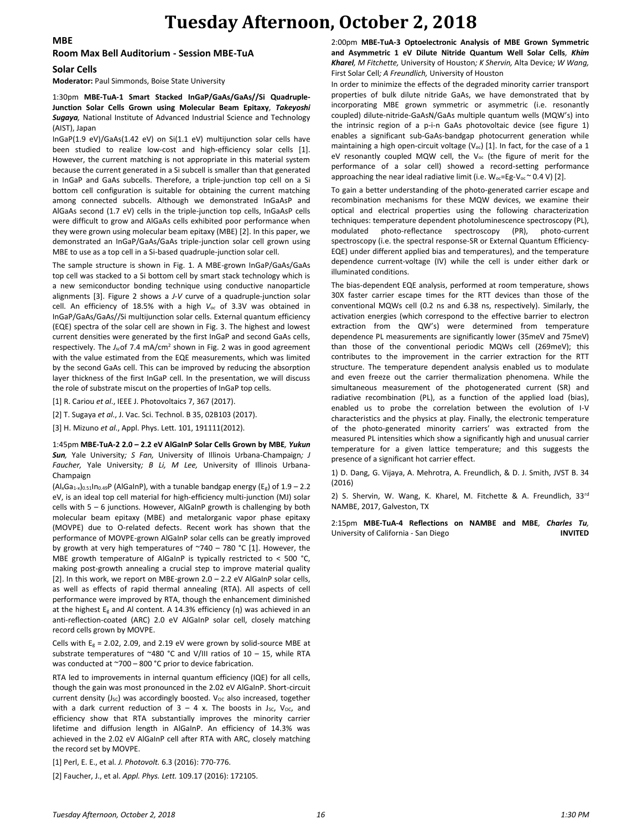## **Tuesday Afternoon, October 2, 2018**

### **MBE**

#### **Room Max Bell Auditorium - Session MBE-TuA**

#### **Solar Cells**

**Moderator:** Paul Simmonds, Boise State University

1:30pm **MBE-TuA-1 Smart Stacked InGaP/GaAs/GaAs//Si Quadruple-Junction Solar Cells Grown using Molecular Beam Epitaxy***, Takeyoshi Sugaya,* National Institute of Advanced Industrial Science and Technology (AIST), Japan

InGaP(1.9 eV)/GaAs(1.42 eV) on Si(1.1 eV) multijunction solar cells have been studied to realize low-cost and high-efficiency solar cells [1]. However, the current matching is not appropriate in this material system because the current generated in a Si subcell is smaller than that generated in InGaP and GaAs subcells. Therefore, a triple-junction top cell on a Si bottom cell configuration is suitable for obtaining the current matching among connected subcells. Although we demonstrated InGaAsP and AlGaAs second (1.7 eV) cells in the triple-junction top cells, InGaAsP cells were difficult to grow and AlGaAs cells exhibited poor performance when they were grown using molecular beam epitaxy (MBE) [2]. In this paper, we demonstrated an InGaP/GaAs/GaAs triple-junction solar cell grown using MBE to use as a top cell in a Si-based quadruple-junction solar cell.

The sample structure is shown in Fig. 1. A MBE-grown InGaP/GaAs/GaAs top cell was stacked to a Si bottom cell by smart stack technology which is a new semiconductor bonding technique using conductive nanoparticle alignments [3]. Figure 2 shows a *J-V* curve of a quadruple-junction solar cell. An efficiency of 18.5% with a high *Voc* of 3.3V was obtained in InGaP/GaAs/GaAs//Si multijunction solar cells. External quantum efficiency (EQE) spectra of the solar cell are shown in Fig. 3. The highest and lowest current densities were generated by the first InGaP and second GaAs cells, respectively. The *J<sub>sc</sub>*of 7.4 mA/cm<sup>2</sup> shown in Fig. 2 was in good agreement with the value estimated from the EQE measurements, which was limited by the second GaAs cell. This can be improved by reducing the absorption layer thickness of the first InGaP cell. In the presentation, we will discuss the role of substrate miscut on the properties of InGaP top cells.

[1] R. Cariou *et al*., IEEE J. Photovoltaics 7, 367 (2017).

[2] T. Sugaya *et al*., J. Vac. Sci. Technol. B 35, 02B103 (2017).

[3] H. Mizuno *et al*., Appl. Phys. Lett. 101, 191111(2012).

1:45pm **MBE-TuA-2 2.0 – 2.2 eV AlGaInP Solar Cells Grown by MBE***, Yukun Sun,* Yale University*; S Fan,* University of Illinois Urbana-Champaign*; J Faucher,* Yale University*; B Li, M Lee,* University of Illinois Urbana-Champaign

 $(A_xGa_{1-x})_{0.51}In_{0.49}P$  (AlGaInP), with a tunable bandgap energy (E<sub>g</sub>) of 1.9 – 2.2 eV, is an ideal top cell material for high-efficiency multi-junction (MJ) solar cells with  $5 - 6$  junctions. However, AlGaInP growth is challenging by both molecular beam epitaxy (MBE) and metalorganic vapor phase epitaxy (MOVPE) due to O-related defects. Recent work has shown that the performance of MOVPE-grown AlGaInP solar cells can be greatly improved by growth at very high temperatures of ~740 – 780 °C [1]. However, the MBE growth temperature of AlGaInP is typically restricted to < 500 °C, making post-growth annealing a crucial step to improve material quality [2]. In this work, we report on MBE-grown 2.0 - 2.2 eV AlGaInP solar cells, as well as effects of rapid thermal annealing (RTA). All aspects of cell performance were improved by RTA, though the enhancement diminished at the highest  $E<sub>g</sub>$  and Al content. A 14.3% efficiency (η) was achieved in an anti-reflection-coated (ARC) 2.0 eV AlGaInP solar cell, closely matching record cells grown by MOVPE.

Cells with  $E_g = 2.02$ , 2.09, and 2.19 eV were grown by solid-source MBE at substrate temperatures of ~480 °C and V/III ratios of 10 - 15, while RTA was conducted at ~700 – 800 °C prior to device fabrication.

RTA led to improvements in internal quantum efficiency (IQE) for all cells, though the gain was most pronounced in the 2.02 eV AlGaInP. Short-circuit current density (Jsc) was accordingly boosted. Voc also increased, together with a dark current reduction of  $3 - 4$  x. The boosts in J<sub>sc</sub>, V<sub>oc</sub>, and efficiency show that RTA substantially improves the minority carrier lifetime and diffusion length in AlGaInP. An efficiency of 14.3% was achieved in the 2.02 eV AlGaInP cell after RTA with ARC, closely matching the record set by MOVPE.

[1] Perl, E. E., et al. *J. Photovolt.* 6.3 (2016): 770-776.

[2] Faucher, J., et al. *Appl. Phys. Lett.* 109.17 (2016): 172105.

2:00pm **MBE-TuA-3 Optoelectronic Analysis of MBE Grown Symmetric and Asymmetric 1 eV Dilute Nitride Quantum Well Solar Cells***, Khim Kharel, M Fitchette,* University of Houston*; K Shervin,* Alta Device*; W Wang,*  First Solar Cell*; A Freundlich,* University of Houston

In order to minimize the effects of the degraded minority carrier transport properties of bulk dilute nitride GaAs, we have demonstrated that by incorporating MBE grown symmetric or asymmetric (i.e. resonantly coupled) dilute-nitride-GaAsN/GaAs multiple quantum wells (MQW's) into the intrinsic region of a p-i-n GaAs photovoltaic device (see figure 1) enables a significant sub-GaAs-bandgap photocurrent generation while maintaining a high open-circuit voltage ( $V_{oc}$ ) [1]. In fact, for the case of a 1 eV resonantly coupled MQW cell, the  $V_{oc}$  (the figure of merit for the performance of a solar cell) showed a record-setting performance approaching the near ideal radiative limit (i.e.  $W_{oc} = Eg-V_{oc} \sim 0.4 V$ ) [2].

To gain a better understanding of the photo-generated carrier escape and recombination mechanisms for these MQW devices, we examine their optical and electrical properties using the following characterization techniques: temperature dependent photoluminescence spectroscopy (PL), modulated photo-reflectance spectroscopy (PR), photo-current spectroscopy (i.e. the spectral response-SR or External Quantum Efficiency-EQE) under different applied bias and temperatures), and the temperature dependence current-voltage (IV) while the cell is under either dark or illuminated conditions.

The bias-dependent EQE analysis, performed at room temperature, shows 30X faster carrier escape times for the RTT devices than those of the conventional MQWs cell (0.2 ns and 6.38 ns, respectively). Similarly, the activation energies (which correspond to the effective barrier to electron extraction from the QW's) were determined from temperature dependence PL measurements are significantly lower (35meV and 75meV) than those of the conventional periodic MQWs cell (269meV); this contributes to the improvement in the carrier extraction for the RTT structure. The temperature dependent analysis enabled us to modulate and even freeze out the carrier thermalization phenomena. While the simultaneous measurement of the photogenerated current (SR) and radiative recombination (PL), as a function of the applied load (bias), enabled us to probe the correlation between the evolution of I-V characteristics and the physics at play. Finally, the electronic temperature of the photo-generated minority carriers' was extracted from the measured PL intensities which show a significantly high and unusual carrier temperature for a given lattice temperature; and this suggests the presence of a significant hot carrier effect.

1) D. Dang, G. Vijaya, A. Mehrotra, A. Freundlich, & D. J. Smith, JVST B. 34 (2016)

2) S. Shervin, W. Wang, K. Kharel, M. Fitchette & A. Freundlich, 33rd NAMBE, 2017, Galveston, TX

2:15pm **MBE-TuA-4 Reflections on NAMBE and MBE***, Charles Tu,*  University of California - San Diego **INVITED**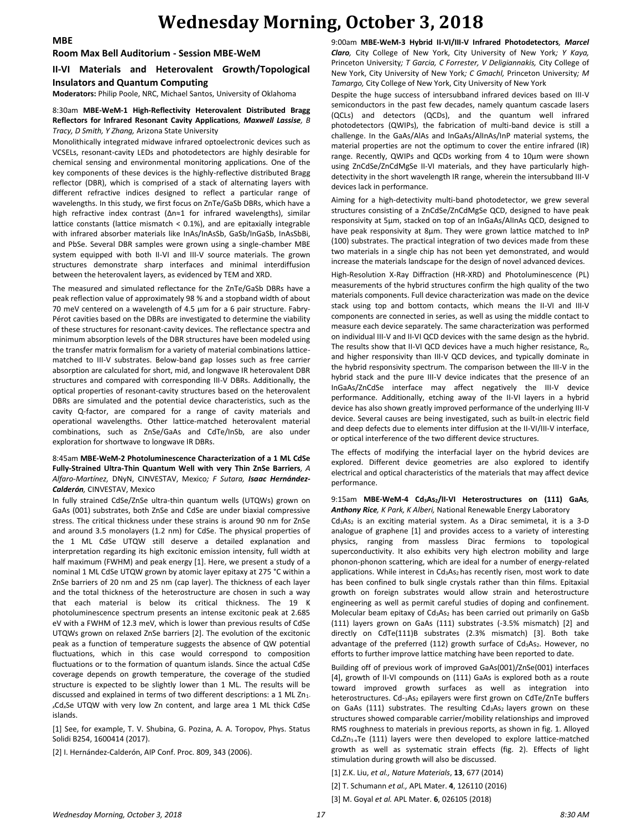## **Wednesday Morning, October 3, 2018**

#### **Room Max Bell Auditorium - Session MBE-WeM**

### **II-VI Materials and Heterovalent Growth/Topological Insulators and Quantum Computing**

**Moderators:** Philip Poole, NRC, Michael Santos, University of Oklahoma

### 8:30am **MBE-WeM-1 High-Reflectivity Heterovalent Distributed Bragg Reflectors for Infrared Resonant Cavity Applications***, Maxwell Lassise, B Tracy, D Smith, Y Zhang,* Arizona State University

Monolithically integrated midwave infrared optoelectronic devices such as VCSELs, resonant-cavity LEDs and photodetectors are highly desirable for chemical sensing and environmental monitoring applications. One of the key components of these devices is the highly-reflective distributed Bragg reflector (DBR), which is comprised of a stack of alternating layers with different refractive indices designed to reflect a particular range of wavelengths. In this study, we first focus on ZnTe/GaSb DBRs, which have a high refractive index contrast (Δn≈1 for infrared wavelengths), similar lattice constants (lattice mismatch < 0.1%), and are epitaxially integrable with infrared absorber materials like InAs/InAsSb, GaSb/InGaSb, InAsSbBi, and PbSe. Several DBR samples were grown using a single-chamber MBE system equipped with both II-VI and III-V source materials. The grown structures demonstrate sharp interfaces and minimal interdiffusion between the heterovalent layers, as evidenced by TEM and XRD.

The measured and simulated reflectance for the ZnTe/GaSb DBRs have a peak reflection value of approximately 98 % and a stopband width of about 70 meV centered on a wavelength of 4.5 μm for a 6 pair structure. Fabry-Pérot cavities based on the DBRs are investigated to determine the viability of these structures for resonant-cavity devices. The reflectance spectra and minimum absorption levels of the DBR structures have been modeled using the transfer matrix formalism for a variety of material combinations latticematched to III-V substrates. Below-band gap losses such as free carrier absorption are calculated for short, mid, and longwave IR heterovalent DBR structures and compared with corresponding III-V DBRs. Additionally, the optical properties of resonant-cavity structures based on the heterovalent DBRs are simulated and the potential device characteristics, such as the cavity Q-factor, are compared for a range of cavity materials and operational wavelengths. Other lattice-matched heterovalent material combinations, such as ZnSe/GaAs and CdTe/InSb, are also under exploration for shortwave to longwave IR DBRs.

### 8:45am **MBE-WeM-2 Photoluminescence Characterization of a 1 ML CdSe Fully-Strained Ultra-Thin Quantum Well with very Thin ZnSe Barriers***, A Alfaro-Martínez,* DNyN, CINVESTAV, Mexico*; F Sutara, Isaac Hernández-Calderón,* CINVESTAV, Mexico

In fully strained CdSe/ZnSe ultra-thin quantum wells (UTQWs) grown on GaAs (001) substrates, both ZnSe and CdSe are under biaxial compressive stress. The critical thickness under these strains is around 90 nm for ZnSe and around 3.5 monolayers (1.2 nm) for CdSe. The physical properties of the 1 ML CdSe UTQW still deserve a detailed explanation and interpretation regarding its high excitonic emission intensity, full width at half maximum (FWHM) and peak energy [1]. Here, we present a study of a nominal 1 ML CdSe UTQW grown by atomic layer epitaxy at 275 °C within a ZnSe barriers of 20 nm and 25 nm (cap layer). The thickness of each layer and the total thickness of the heterostructure are chosen in such a way that each material is below its critical thickness. The 19 K photoluminescence spectrum presents an intense excitonic peak at 2.685 eV with a FWHM of 12.3 meV, which is lower than previous results of CdSe UTQWs grown on relaxed ZnSe barriers [2]. The evolution of the excitonic peak as a function of temperature suggests the absence of QW potential fluctuations, which in this case would correspond to composition fluctuations or to the formation of quantum islands. Since the actual CdSe coverage depends on growth temperature, the coverage of the studied structure is expected to be slightly lower than 1 ML. The results will be discussed and explained in terms of two different descriptions: a 1 ML Zn<sub>1</sub>. *<sup>x</sup>*Cd*x*Se UTQW with very low Zn content, and large area 1 ML thick CdSe islands.

[1] See, for example, T. V. Shubina, G. Pozina, A. A. Toropov, Phys. Status Solidi B254, 1600414 (2017).

[2] I. Hernández-Calderón, AIP Conf. Proc. 809, 343 (2006).

9:00am **MBE-WeM-3 Hybrid II-VI/III-V Infrared Photodetectors***, Marcel Claro,* City College of New York, City University of New York*; Y Kaya,*  Princeton University*; T Garcia, C Forrester, V Deligiannakis,* City College of New York, City University of New York*; C Gmachl,* Princeton University*; M Tamargo,* City College of New York, City University of New York

Despite the huge success of intersubband infrared devices based on III-V semiconductors in the past few decades, namely quantum cascade lasers (QCLs) and detectors (QCDs), and the quantum well infrared photodetectors (QWIPs), the fabrication of multi-band device is still a challenge. In the GaAs/AlAs and InGaAs/AlInAs/InP material systems, the material properties are not the optimum to cover the entire infrared (IR) range. Recently, QWIPs and QCDs working from 4 to 10µm were shown using ZnCdSe/ZnCdMgSe II-VI materials, and they have particularly highdetectivity in the short wavelength IR range, wherein the intersubband III-V devices lack in performance.

Aiming for a high-detectivity multi-band photodetector, we grew several structures consisting of a ZnCdSe/ZnCdMgSe QCD, designed to have peak responsivity at 5µm, stacked on top of an InGaAs/AlInAs QCD, designed to have peak responsivity at 8µm. They were grown lattice matched to InP (100) substrates. The practical integration of two devices made from these two materials in a single chip has not been yet demonstrated, and would increase the materials landscape for the design of novel advanced devices.

High-Resolution X-Ray Diffraction (HR-XRD) and Photoluminescence (PL) measurements of the hybrid structures confirm the high quality of the two materials components. Full device characterization was made on the device stack using top and bottom contacts, which means the II-VI and III-V components are connected in series, as well as using the middle contact to measure each device separately. The same characterization was performed on individual III-V and II-VI QCD devices with the same design as the hybrid. The results show that II-VI QCD devices have a much higher resistance, R<sub>0</sub>, and higher responsivity than III-V QCD devices, and typically dominate in the hybrid responsivity spectrum. The comparison between the III-V in the hybrid stack and the pure III-V device indicates that the presence of an InGaAs/ZnCdSe interface may affect negatively the III-V device performance. Additionally, etching away of the II-VI layers in a hybrid device has also shown greatly improved performance of the underlying III-V device. Several causes are being investigated, such as built-in electric field and deep defects due to elements inter diffusion at the II-VI/III-V interface, or optical interference of the two different device structures.

The effects of modifying the interfacial layer on the hybrid devices are explored. Different device geometries are also explored to identify electrical and optical characteristics of the materials that may affect device performance.

9:15am **MBE-WeM-4 Cd3As2/II-VI Heterostructures on (111) GaAs***, Anthony Rice, K Park, K Alberi,* National Renewable Energy Laboratory

 $Cd<sub>3</sub>As<sub>2</sub>$  is an exciting material system. As a Dirac semimetal, it is a 3-D analogue of graphene [1] and provides access to a variety of interesting physics, ranging from massless Dirac fermions to topological superconductivity. It also exhibits very high electron mobility and large phonon-phonon scattering, which are ideal for a number of energy-related applications. While interest in Cd<sub>3</sub>As<sub>2</sub> has recently risen, most work to date has been confined to bulk single crystals rather than thin films. Epitaxial growth on foreign substrates would allow strain and heterostructure engineering as well as permit careful studies of doping and confinement. Molecular beam epitaxy of Cd<sub>3</sub>As<sub>2</sub> has been carried out primarily on GaSb (111) layers grown on GaAs (111) substrates (-3.5% mismatch) [2] and directly on CdTe(111)B substrates (2.3% mismatch) [3]. Both take advantage of the preferred (112) growth surface of Cd<sub>3</sub>As<sub>2</sub>. However, no efforts to further improve lattice matching have been reported to date.

Building off of previous work of improved GaAs(001)/ZnSe(001) interfaces [4], growth of II-VI compounds on (111) GaAs is explored both as a route toward improved growth surfaces as well as integration into heterostructures. Cd-3As<sub>2</sub> epilayers were first grown on CdTe/ZnTe buffers on GaAs (111) substrates. The resulting  $Cd<sub>3</sub>As<sub>2</sub>$  layers grown on these structures showed comparable carrier/mobility relationships and improved RMS roughness to materials in previous reports, as shown in fig. 1. Alloyed  $Cd<sub>x</sub>Zn<sub>1-x</sub>Te$  (111) layers were then developed to explore lattice-matched growth as well as systematic strain effects (fig. 2). Effects of light stimulation during growth will also be discussed.

[1] Z.K. Liu, *et al., Nature Materials*, **13**, 677 (2014)

[2] T. Schumann *et al.,* APL Mater. **4**, 126110 (2016)

[3] M. Goyal *et al.* APL Mater. **6**, 026105 (2018)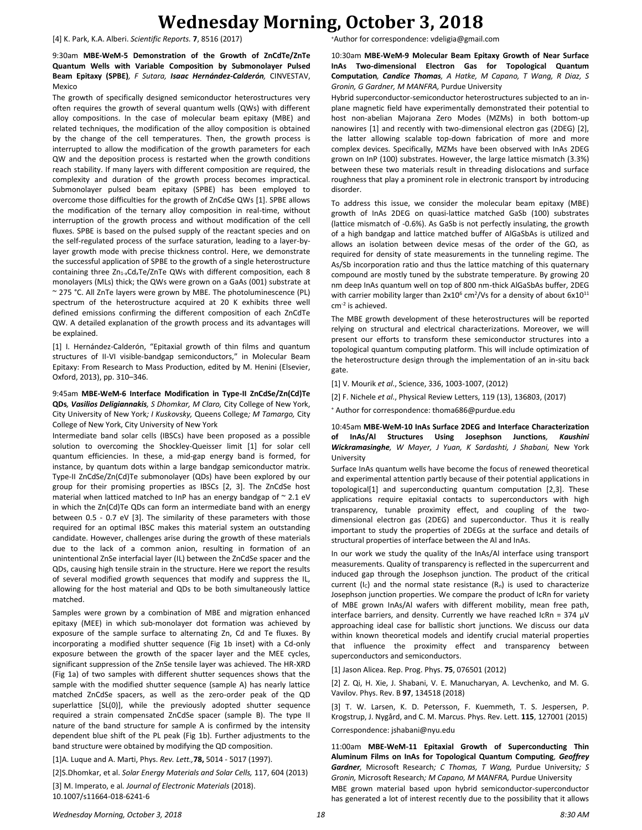## **Wednesday Morning, October 3, 2018**

[4] K. Park, K.A. Alberi. *Scientific Reports.* **7**, 8516 (2017)

9:30am **MBE-WeM-5 Demonstration of the Growth of ZnCdTe/ZnTe Quantum Wells with Variable Composition by Submonolayer Pulsed Beam Epitaxy (SPBE)***, F Sutara, Isaac Hernández-Calderón,* CINVESTAV, Mexico

The growth of specifically designed semiconductor heterostructures very often requires the growth of several quantum wells (QWs) with different alloy compositions. In the case of molecular beam epitaxy (MBE) and related techniques, the modification of the alloy composition is obtained by the change of the cell temperatures. Then, the growth process is interrupted to allow the modification of the growth parameters for each QW and the deposition process is restarted when the growth conditions reach stability. If many layers with different composition are required, the complexity and duration of the growth process becomes impractical. Submonolayer pulsed beam epitaxy (SPBE) has been employed to overcome those difficulties for the growth of ZnCdSe QWs [1]. SPBE allows the modification of the ternary alloy composition in real-time, without interruption of the growth process and without modification of the cell fluxes. SPBE is based on the pulsed supply of the reactant species and on the self-regulated process of the surface saturation, leading to a layer-bylayer growth mode with precise thickness control. Here, we demonstrate the successful application of SPBE to the growth of a single heterostructure containing three Zn1-*x*Cd*x*Te/ZnTe QWs with different composition, each 8 monolayers (MLs) thick; the QWs were grown on a GaAs (001) substrate at ~ 275 °C. All ZnTe layers were grown by MBE. The photoluminescence (PL) spectrum of the heterostructure acquired at 20 K exhibits three well defined emissions confirming the different composition of each ZnCdTe QW. A detailed explanation of the growth process and its advantages will be explained.

[1] I. Hernández-Calderón, "Epitaxial growth of thin films and quantum structures of II-VI visible-bandgap semiconductors," in Molecular Beam Epitaxy: From Research to Mass Production, edited by M. Henini (Elsevier, Oxford, 2013), pp. 310–346.

9:45am **MBE-WeM-6 Interface Modification in Type-II ZnCdSe/Zn(Cd)Te QDs***, Vasilios Deligiannakis, S Dhomkar, M Claro,* City College of New York, City University of New York*; I Kuskovsky,* Queens College*; M Tamargo,* City College of New York, City University of New York

Intermediate band solar cells (IBSCs) have been proposed as a possible solution to overcoming the Shockley-Queisser limit [1] for solar cell quantum efficiencies. In these, a mid-gap energy band is formed, for instance, by quantum dots within a large bandgap semiconductor matrix. Type-II ZnCdSe/Zn(Cd)Te submonolayer (QDs) have been explored by our group for their promising properties as IBSCs [2, 3]. The ZnCdSe host material when latticed matched to InP has an energy bandgap of  $\sim$  2.1 eV in which the Zn(Cd)Te QDs can form an intermediate band with an energy between 0.5 - 0.7 eV [3]. The similarity of these parameters with those required for an optimal IBSC makes this material system an outstanding candidate. However, challenges arise during the growth of these materials due to the lack of a common anion, resulting in formation of an unintentional ZnSe interfacial layer (IL) between the ZnCdSe spacer and the QDs, causing high tensile strain in the structure. Here we report the results of several modified growth sequences that modify and suppress the IL, allowing for the host material and QDs to be both simultaneously lattice matched.

Samples were grown by a combination of MBE and migration enhanced epitaxy (MEE) in which sub-monolayer dot formation was achieved by exposure of the sample surface to alternating Zn, Cd and Te fluxes. By incorporating a modified shutter sequence (Fig 1b inset) with a Cd-only exposure between the growth of the spacer layer and the MEE cycles, significant suppression of the ZnSe tensile layer was achieved. The HR-XRD (Fig 1a) of two samples with different shutter sequences shows that the sample with the modified shutter sequence (sample A) has nearly lattice matched ZnCdSe spacers, as well as the zero-order peak of the QD superlattice [SL(0)], while the previously adopted shutter sequence required a strain compensated ZnCdSe spacer (sample B). The type II nature of the band structure for sample A is confirmed by the intensity dependent blue shift of the PL peak (Fig 1b). Further adjustments to the band structure were obtained by modifying the QD composition.

[1]A. Luque and A. Marti, Phys. *Rev. Lett.,***78,** 5014 - 5017 (1997).

[2]S.Dhomkar, et al. *Solar Energy Materials and Solar Cells,* 117, 604 (2013)

[3] M. Imperato, e al*. Journal of Electronic Materials* (2018). 10.1007/s11664-018-6241-6

<sup>+</sup>Author for correspondence: vdeligia@gmail.com

10:30am **MBE-WeM-9 Molecular Beam Epitaxy Growth of Near Surface InAs Two-dimensional Electron Gas for Topological Quantum Computation***, Candice Thomas, A Hatke, M Capano, T Wang, R Diaz, S Gronin, G Gardner, M MANFRA,* Purdue University

Hybrid superconductor-semiconductor heterostructures subjected to an inplane magnetic field have experimentally demonstrated their potential to host non-abelian Majorana Zero Modes (MZMs) in both bottom-up nanowires [1] and recently with two-dimensional electron gas (2DEG) [2], the latter allowing scalable top-down fabrication of more and more complex devices. Specifically, MZMs have been observed with InAs 2DEG grown on InP (100) substrates. However, the large lattice mismatch (3.3%) between these two materials result in threading dislocations and surface roughness that play a prominent role in electronic transport by introducing disorder.

To address this issue, we consider the molecular beam epitaxy (MBE) growth of InAs 2DEG on quasi-lattice matched GaSb (100) substrates (lattice mismatch of -0.6%). As GaSb is not perfectly insulating, the growth of a high bandgap and lattice matched buffer of AlGaSbAs is utilized and allows an isolation between device mesas of the order of the GΩ, as required for density of state measurements in the tunneling regime. The As/Sb incorporation ratio and thus the lattice matching of this quaternary compound are mostly tuned by the substrate temperature. By growing 20 nm deep InAs quantum well on top of 800 nm-thick AlGaSbAs buffer, 2DEG with carrier mobility larger than  $2x10^6$  cm<sup>2</sup>/Vs for a density of about  $6x10^{11}$ cm-2 is achieved.

The MBE growth development of these heterostructures will be reported relying on structural and electrical characterizations. Moreover, we will present our efforts to transform these semiconductor structures into a topological quantum computing platform. This will include optimization of the heterostructure design through the implementation of an in-situ back gate.

[1] V. Mourik *et al*., Science, 336, 1003-1007, (2012)

[2] F. Nichele *et al*., Physical Review Letters, 119 (13), 136803, (2017)

<sup>+</sup> Author for correspondence: thoma686@purdue.edu

10:45am **MBE-WeM-10 InAs Surface 2DEG and Interface Characterization of InAs/Al Structures Using Josephson Junctions***, Kaushini Wickramasinghe, W Mayer, J Yuan, K Sardashti, J Shabani,* New York University

Surface InAs quantum wells have become the focus of renewed theoretical and experimental attention partly because of their potential applications in topological[1] and superconducting quantum computation [2,3]. These applications require epitaxial contacts to superconductors with high transparency, tunable proximity effect, and coupling of the twodimensional electron gas (2DEG) and superconductor. Thus it is really important to study the properties of 2DEGs at the surface and details of structural properties of interface between the Al and InAs.

In our work we study the quality of the InAs/Al interface using transport measurements. Quality of transparency is reflected in the supercurrent and induced gap through the Josephson junction. The product of the critical current (I<sub>C</sub>) and the normal state resistance  $(R_n)$  is used to characterize Josephson junction properties. We compare the product of IcRn for variety of MBE grown InAs/Al wafers with different mobility, mean free path, interface barriers, and density. Currently we have reached IcRn = 374  $\mu$ V approaching ideal case for ballistic short junctions. We discuss our data within known theoretical models and identify crucial material properties that influence the proximity effect and transparency between superconductors and semiconductors.

[1] Jason Alicea. Rep. Prog. Phys. **75**, 076501 (2012)

[2] Z. Qi, H. Xie, J. Shabani, V. E. Manucharyan, A. Levchenko, and M. G. Vavilov. Phys. Rev. B **97**, 134518 (2018)

[3] T. W. Larsen, K. D. Petersson, F. Kuemmeth, T. S. Jespersen, P. Krogstrup, J. Nygård, and C. M. Marcus. Phys. Rev. Lett. **115**, 127001 (2015) Correspondence: jshabani@nyu.edu

11:00am **MBE-WeM-11 Epitaxial Growth of Superconducting Thin Aluminum Films on InAs for Topological Quantum Computing***, Geoffrey Gardner,* Microsoft Research*; C Thomas, T Wang,* Purdue University*; S Gronin,* Microsoft Research*; M Capano, M MANFRA,* Purdue University MBE grown material based upon hybrid semiconductor-superconductor has generated a lot of interest recently due to the possibility that it allows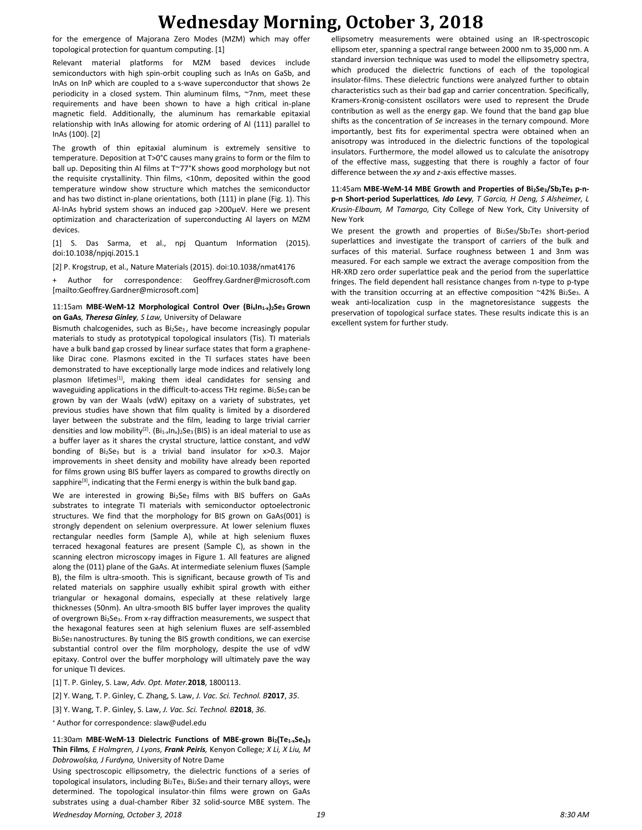## **Wednesday Morning, October 3, 2018**

for the emergence of Majorana Zero Modes (MZM) which may offer topological protection for quantum computing. [1]

Relevant material platforms for MZM based devices include semiconductors with high spin-orbit coupling such as InAs on GaSb, and InAs on InP which are coupled to a s-wave superconductor that shows 2e periodicity in a closed system. Thin aluminum films, ~7nm, meet these requirements and have been shown to have a high critical in-plane magnetic field. Additionally, the aluminum has remarkable epitaxial relationship with InAs allowing for atomic ordering of Al (111) parallel to InAs (100). [2]

The growth of thin epitaxial aluminum is extremely sensitive to temperature. Deposition at T>0°C causes many grains to form or the film to ball up. Depositing thin Al films at T~77°K shows good morphology but not the requisite crystallinity. Thin films, <10nm, deposited within the good temperature window show structure which matches the semiconductor and has two distinct in-plane orientations, both (111) in plane (Fig. 1). This Al-InAs hybrid system shows an induced gap >200µeV. Here we present optimization and characterization of superconducting Al layers on MZM devices.

[1] S. Das Sarma, et al., npj Quantum Information (2015). doi:10.1038/npjqi.2015.1

[2] P. Krogstrup, et al., Nature Materials (2015). doi:10.1038/nmat4176

+ Author for correspondence: Geoffrey.Gardner@microsoft.com [mailto:Geoffrey.Gardner@microsoft.com]

### 11:15am **MBE-WeM-12 Morphological Control Over (BixIn1-x)2Se3 Grown on GaAs***, Theresa Ginley, S Law,* University of Delaware

Bismuth chalcogenides, such as Bi<sub>2</sub>Se<sub>3</sub>, have become increasingly popular materials to study as prototypical topological insulators (Tis). TI materials have a bulk band gap crossed by linear surface states that form a graphenelike Dirac cone. Plasmons excited in the TI surfaces states have been demonstrated to have exceptionally large mode indices and relatively long plasmon lifetimes<sup>[1]</sup>, making them ideal candidates for sensing and waveguiding applications in the difficult-to-access THz regime. Bi2Se3 can be grown by van der Waals (vdW) epitaxy on a variety of substrates, yet previous studies have shown that film quality is limited by a disordered layer between the substrate and the film, leading to large trivial carrier densities and low mobility<sup>[2]</sup>. (Bi<sub>1-x</sub>In<sub>x</sub>)<sub>2</sub>Se<sub>3</sub> (BIS) is an ideal material to use as a buffer layer as it shares the crystal structure, lattice constant, and vdW bonding of Bi<sub>2</sub>Se<sub>3</sub> but is a trivial band insulator for  $x > 0.3$ . Major improvements in sheet density and mobility have already been reported for films grown using BIS buffer layers as compared to growths directly on sapphire<sup>[3]</sup>, indicating that the Fermi energy is within the bulk band gap.

We are interested in growing Bi<sub>2</sub>Se<sub>3</sub> films with BIS buffers on GaAs substrates to integrate TI materials with semiconductor optoelectronic structures. We find that the morphology for BIS grown on GaAs(001) is strongly dependent on selenium overpressure. At lower selenium fluxes rectangular needles form (Sample A), while at high selenium fluxes terraced hexagonal features are present (Sample C), as shown in the scanning electron microscopy images in Figure 1. All features are aligned along the (011) plane of the GaAs. At intermediate selenium fluxes (Sample B), the film is ultra-smooth. This is significant, because growth of Tis and related materials on sapphire usually exhibit spiral growth with either triangular or hexagonal domains, especially at these relatively large thicknesses (50nm). An ultra-smooth BIS buffer layer improves the quality of overgrown Bi2Se3. From x-ray diffraction measurements, we suspect that the hexagonal features seen at high selenium fluxes are self-assembled Bi<sub>2</sub>Se<sub>3</sub> nanostructures. By tuning the BIS growth conditions, we can exercise substantial control over the film morphology, despite the use of vdW epitaxy. Control over the buffer morphology will ultimately pave the way for unique TI devices.

[1] T. P. Ginley, S. Law, *Adv. Opt. Mater.***2018**, 1800113.

[2] Y. Wang, T. P. Ginley, C. Zhang, S. Law, *J. Vac. Sci. Technol. B***2017**, *35*.

[3] Y. Wang, T. P. Ginley, S. Law, *J. Vac. Sci. Technol. B***2018**, *36*.

<sup>+</sup> Author for correspondence: slaw@udel.edu

11:30am **MBE-WeM-13 Dielectric Functions of MBE-grown Bi2(Te1-xSex)<sup>3</sup> Thin Films***, E Holmgren, J Lyons, Frank Peiris,* Kenyon College*; X Li, X Liu, M Dobrowolska, J Furdyna,* University of Notre Dame

*Wednesday Morning, October 3, 2018 19 8:30 AM* Using spectroscopic ellipsometry, the dielectric functions of a series of topological insulators, including Bi<sub>2</sub>Te<sub>3</sub>, Bi<sub>2</sub>Se<sub>3</sub> and their ternary alloys, were determined. The topological insulator-thin films were grown on GaAs substrates using a dual-chamber Riber 32 solid-source MBE system. The

ellipsometry measurements were obtained using an IR-spectroscopic ellipsom eter, spanning a spectral range between 2000 nm to 35,000 nm. A standard inversion technique was used to model the ellipsometry spectra, which produced the dielectric functions of each of the topological insulator-films. These dielectric functions were analyzed further to obtain characteristics such as their bad gap and carrier concentration. Specifically, Kramers-Kronig-consistent oscillators were used to represent the Drude contribution as well as the energy gap. We found that the band gap blue shifts as the concentration of *Se* increases in the ternary compound. More importantly, best fits for experimental spectra were obtained when an anisotropy was introduced in the dielectric functions of the topological insulators. Furthermore, the model allowed us to calculate the anisotropy of the effective mass, suggesting that there is roughly a factor of four difference between the *xy* and *z*-axis effective masses.

11:45am **MBE-WeM-14 MBE Growth and Properties of Bi2Se3/Sb2Te<sup>3</sup> p-np-n Short-period Superlattices***, Ido Levy, T Garcia, H Deng, S Alsheimer, L Krusin-Elbaum, M Tamargo,* City College of New York, City University of New York

We present the growth and properties of  $Bi_2Se_3/Sh_2Te_3$  short-period superlattices and investigate the transport of carriers of the bulk and surfaces of this material. Surface roughness between 1 and 3nm was measured. For each sample we extract the average composition from the HR-XRD zero order superlattice peak and the period from the superlattice fringes. The field dependent hall resistance changes from n-type to p-type with the transition occurring at an effective composition ~42% Bi2Se3. A weak anti-localization cusp in the magnetoresistance suggests the preservation of topological surface states. These results indicate this is an excellent system for further study.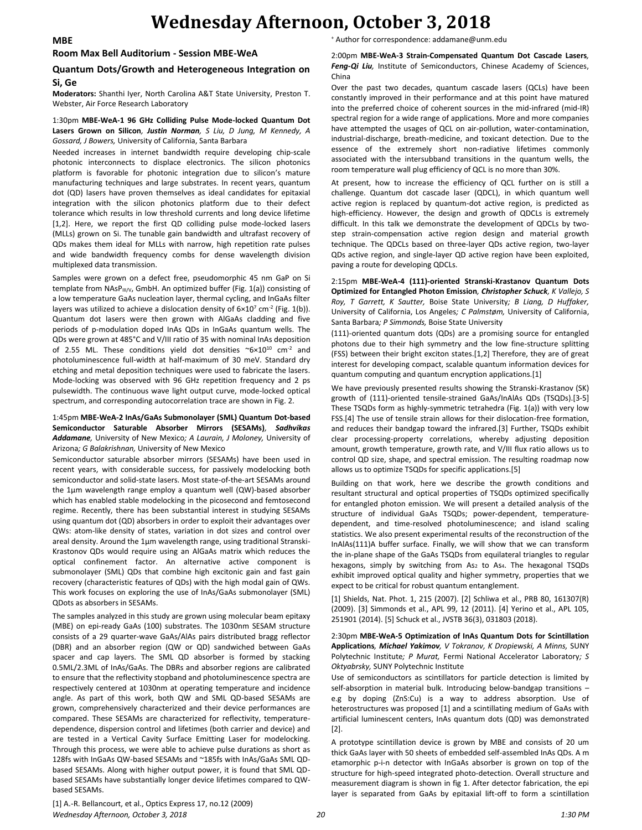## **Wednesday Afternoon, October 3, 2018**

#### **Room Max Bell Auditorium - Session MBE-WeA**

### **Quantum Dots/Growth and Heterogeneous Integration on Si, Ge**

**Moderators:** Shanthi Iyer, North Carolina A&T State University, Preston T. Webster, Air Force Research Laboratory

#### 1:30pm **MBE-WeA-1 96 GHz Colliding Pulse Mode-locked Quantum Dot Lasers Grown on Silicon***, Justin Norman, S Liu, D Jung, M Kennedy, A Gossard, J Bowers,* University of California, Santa Barbara

Needed increases in internet bandwidth require developing chip-scale photonic interconnects to displace electronics. The silicon photonics platform is favorable for photonic integration due to silicon's mature manufacturing techniques and large substrates. In recent years, quantum dot (QD) lasers have proven themselves as ideal candidates for epitaxial integration with the silicon photonics platform due to their defect tolerance which results in low threshold currents and long device lifetime [1,2]. Here, we report the first QD colliding pulse mode-locked lasers (MLLs) grown on Si. The tunable gain bandwidth and ultrafast recovery of QDs makes them ideal for MLLs with narrow, high repetition rate pulses and wide bandwidth frequency combs for dense wavelength division multiplexed data transmission.

Samples were grown on a defect free, pseudomorphic 45 nm GaP on Si template from  $NASP_{\text{III/V}}$ , GmbH. An optimized buffer (Fig. 1(a)) consisting of a low temperature GaAs nucleation layer, thermal cycling, and InGaAs filter layers was utilized to achieve a dislocation density of  $6\times10^7$  cm<sup>-2</sup> (Fig. 1(b)). Quantum dot lasers were then grown with AlGaAs cladding and five periods of p-modulation doped InAs QDs in InGaAs quantum wells. The QDs were grown at 485°C and V/III ratio of 35 with nominal InAs deposition of 2.55 ML. These conditions yield dot densities  $\sim 6 \times 10^{10}$  cm<sup>-2</sup> and photoluminescence full-width at half-maximum of 30 meV. Standard dry etching and metal deposition techniques were used to fabricate the lasers. Mode-locking was observed with 96 GHz repetition frequency and 2 ps pulsewidth. The continuous wave light output curve, mode-locked optical spectrum, and corresponding autocorrelation trace are shown in Fig. 2.

### 1:45pm **MBE-WeA-2 InAs/GaAs Submonolayer (SML) Quantum Dot-based Semiconductor Saturable Absorber Mirrors (SESAMs)***, Sadhvikas Addamane,* University of New Mexico*; A Laurain, J Moloney,* University of Arizona*; G Balakrishnan,* University of New Mexico

Semiconductor saturable absorber mirrors (SESAMs) have been used in recent years, with considerable success, for passively modelocking both semiconductor and solid-state lasers. Most state-of-the-art SESAMs around the 1µm wavelength range employ a quantum well (QW)-based absorber which has enabled stable modelocking in the picosecond and femtosecond regime. Recently, there has been substantial interest in studying SESAMs using quantum dot (QD) absorbers in order to exploit their advantages over QWs: atom-like density of states, variation in dot sizes and control over areal density. Around the 1µm wavelength range, using traditional Stranski-Krastonov QDs would require using an AlGaAs matrix which reduces the optical confinement factor. An alternative active component is submonolayer (SML) QDs that combine high excitonic gain and fast gain recovery (characteristic features of QDs) with the high modal gain of QWs. This work focuses on exploring the use of InAs/GaAs submonolayer (SML) QDots as absorbers in SESAMs.

The samples analyzed in this study are grown using molecular beam epitaxy (MBE) on epi-ready GaAs (100) substrates. The 1030nm SESAM structure consists of a 29 quarter-wave GaAs/AlAs pairs distributed bragg reflector (DBR) and an absorber region (QW or QD) sandwiched between GaAs spacer and cap layers. The SML QD absorber is formed by stacking 0.5ML/2.3ML of InAs/GaAs. The DBRs and absorber regions are calibrated to ensure that the reflectivity stopband and photoluminescence spectra are respectively centered at 1030nm at operating temperature and incidence angle. As part of this work, both QW and SML QD-based SESAMs are grown, comprehensively characterized and their device performances are compared. These SESAMs are characterized for reflectivity, temperaturedependence, dispersion control and lifetimes (both carrier and device) and are tested in a Vertical Cavity Surface Emitting Laser for modelocking. Through this process, we were able to achieve pulse durations as short as 128fs with InGaAs QW-based SESAMs and ~185fs with InAs/GaAs SML QDbased SESAMs. Along with higher output power, it is found that SML QDbased SESAMs have substantially longer device lifetimes compared to QWbased SESAMs.

<sup>+</sup> Author for correspondence: addamane@unm.edu

2:00pm **MBE-WeA-3 Strain-Compensated Quantum Dot Cascade Lasers***, Feng-Qi Liu,* Institute of Semiconductors, Chinese Academy of Sciences, China

Over the past two decades, quantum cascade lasers (QCLs) have been constantly improved in their performance and at this point have matured into the preferred choice of coherent sources in the mid-infrared (mid-IR) spectral region for a wide range of applications. More and more companies have attempted the usages of QCL on air-pollution, water-contamination, industrial-discharge, breath-medicine, and toxicant detection. Due to the essence of the extremely short non-radiative lifetimes commonly associated with the intersubband transitions in the quantum wells, the room temperature wall plug efficiency of QCL is no more than 30%.

At present, how to increase the efficiency of QCL further on is still a challenge. Quantum dot cascade laser (QDCL), in which quantum well active region is replaced by quantum-dot active region, is predicted as high-efficiency. However, the design and growth of QDCLs is extremely difficult. In this talk we demonstrate the development of QDCLs by twostep strain-compensation active region design and material growth technique. The QDCLs based on three-layer QDs active region, two-layer QDs active region, and single-layer QD active region have been exploited, paving a route for developing QDCLs.

2:15pm **MBE-WeA-4 (111)-oriented Stranski-Krastanov Quantum Dots Optimized for Entangled Photon Emission***, Christopher Schuck, K Vallejo, S Roy, T Garrett, K Sautter,* Boise State University*; B Liang, D Huffaker,*  University of California, Los Angeles*; C Palmstøm,* University of California, Santa Barbara*; P Simmonds,* Boise State University

(111)-oriented quantum dots (QDs) are a promising source for entangled photons due to their high symmetry and the low fine-structure splitting (FSS) between their bright exciton states.[1,2] Therefore, they are of great interest for developing compact, scalable quantum information devices for quantum computing and quantum encryption applications.[1]

We have previously presented results showing the Stranski-Krastanov (SK) growth of (111)-oriented tensile-strained GaAs/InAlAs QDs (TSQDs).[3-5] These TSQDs form as highly-symmetric tetrahedra (Fig. 1(a)) with very low FSS.[4] The use of tensile strain allows for their dislocation-free formation, and reduces their bandgap toward the infrared.[3] Further, TSQDs exhibit clear processing-property correlations, whereby adjusting deposition amount, growth temperature, growth rate, and V/III flux ratio allows us to control QD size, shape, and spectral emission. The resulting roadmap now allows us to optimize TSQDs for specific applications.[5]

Building on that work, here we describe the growth conditions and resultant structural and optical properties of TSQDs optimized specifically for entangled photon emission. We will present a detailed analysis of the structure of individual GaAs TSQDs; power-dependent, temperaturedependent, and time-resolved photoluminescence; and island scaling statistics. We also present experimental results of the reconstruction of the InAlAs(111)A buffer surface. Finally, we will show that we can transform the in-plane shape of the GaAs TSQDs from equilateral triangles to regular hexagons, simply by switching from  $As<sub>2</sub>$  to  $As<sub>4</sub>$ . The hexagonal TSQDs exhibit improved optical quality and higher symmetry, properties that we expect to be critical for robust quantum entanglement.

[1] Shields, Nat. Phot. 1, 215 (2007). [2] Schliwa et al., PRB 80, 161307(R) (2009). [3] Simmonds et al., APL 99, 12 (2011). [4] Yerino et al., APL 105, 251901 (2014). [5] Schuck et al., JVSTB 36(3), 031803 (2018).

2:30pm **MBE-WeA-5 Optimization of InAs Quantum Dots for Scintillation Applications***, Michael Yakimov, V Tokranov, K Dropiewski, A Minns,* SUNY Polytechnic Institute*; P Murat,* Fermi National Accelerator Laboratory*; S Oktyabrsky,* SUNY Polytechnic Institute

Use of semiconductors as scintillators for particle detection is limited by self-absorption in material bulk. Introducing below-bandgap transitions – e.g by doping (ZnS:Cu) is a way to address absorption. Use of heterostructures was proposed [1] and a scintillating medium of GaAs with artificial luminescent centers, InAs quantum dots (QD) was demonstrated [2].

A prototype scintillation device is grown by MBE and consists of 20 um thick GaAs layer with 50 sheets of embedded self-assembled InAs QDs. A m etamorphic p-i-n detector with InGaAs absorber is grown on top of the structure for high-speed integrated photo-detection. Overall structure and measurement diagram is shown in fig 1. After detector fabrication, the epi layer is separated from GaAs by epitaxial lift-off to form a scintillation

*Wednesday Afternoon, October 3, 2018 20 1:30 PM* [1] A.-R. Bellancourt, et al., Optics Express 17, no.12 (2009)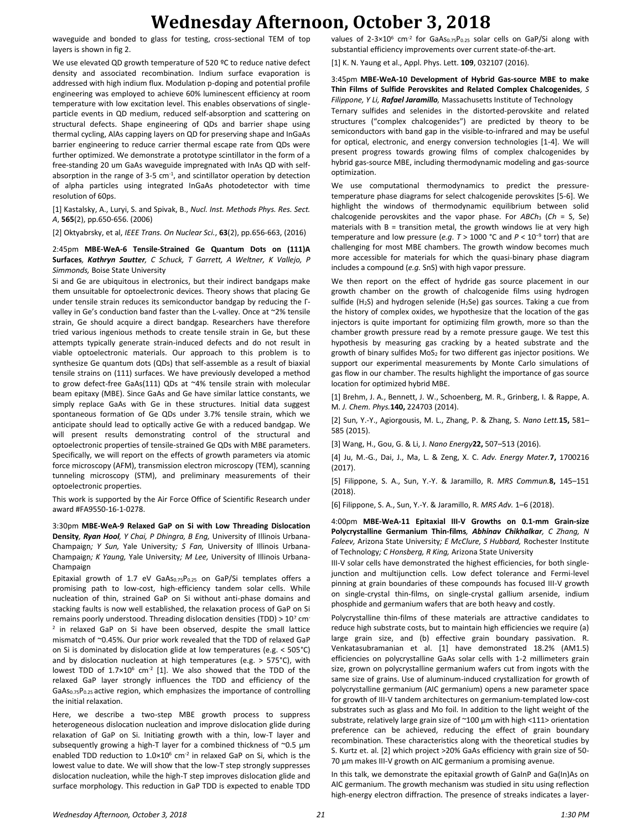## **Wednesday Afternoon, October 3, 2018**

waveguide and bonded to glass for testing, cross-sectional TEM of top layers is shown in fig 2.

We use elevated QD growth temperature of 520 °C to reduce native defect density and associated recombination. Indium surface evaporation is addressed with high indium flux. Modulation p-doping and potential profile engineering was employed to achieve 60% luminescent efficiency at room temperature with low excitation level. This enables observations of singleparticle events in QD medium, reduced self-absorption and scattering on structural defects. Shape engineering of QDs and barrier shape using thermal cycling, AlAs capping layers on QD for preserving shape and InGaAs barrier engineering to reduce carrier thermal escape rate from QDs were further optimized. We demonstrate a prototype scintillator in the form of a free-standing 20 um GaAs waveguide impregnated with InAs QD with selfabsorption in the range of  $3-5$  cm $^{-1}$ , and scintillator operation by detection of alpha particles using integrated InGaAs photodetector with time resolution of 60ps.

[1] Kastalsky, A., Luryi, S. and Spivak, B., *Nucl. Inst. Methods Phys. Res. Sect. A*, **565**(2), pp.650-656. (2006)

[2] Oktyabrsky, et al, *IEEE Trans. On Nuclear Sci.*, **63**(2), pp.656-663, (2016)

2:45pm **MBE-WeA-6 Tensile-Strained Ge Quantum Dots on (111)A Surfaces***, Kathryn Sautter, C Schuck, T Garrett, A Weltner, K Vallejo, P Simmonds,* Boise State University

Si and Ge are ubiquitous in electronics, but their indirect bandgaps make them unsuitable for optoelectronic devices. Theory shows that placing Ge under tensile strain reduces its semiconductor bandgap by reducing the Γvalley in Ge's conduction band faster than the L-valley. Once at ~2% tensile strain, Ge should acquire a direct bandgap. Researchers have therefore tried various ingenious methods to create tensile strain in Ge, but these attempts typically generate strain-induced defects and do not result in viable optoelectronic materials. Our approach to this problem is to synthesize Ge quantum dots (QDs) that self-assemble as a result of biaxial tensile strains on (111) surfaces. We have previously developed a method to grow defect-free GaAs(111) QDs at ~4% tensile strain with molecular beam epitaxy (MBE). Since GaAs and Ge have similar lattice constants, we simply replace GaAs with Ge in these structures. Initial data suggest spontaneous formation of Ge QDs under 3.7% tensile strain, which we anticipate should lead to optically active Ge with a reduced bandgap. We will present results demonstrating control of the structural and optoelectronic properties of tensile-strained Ge QDs with MBE parameters. Specifically, we will report on the effects of growth parameters via atomic force microscopy (AFM), transmission electron microscopy (TEM), scanning tunneling microscopy (STM), and preliminary measurements of their optoelectronic properties.

This work is supported by the Air Force Office of Scientific Research under award #FA9550-16-1-0278.

3:30pm **MBE-WeA-9 Relaxed GaP on Si with Low Threading Dislocation Density***, Ryan Hool, Y Chai, P Dhingra, B Eng,* University of Illinois Urbana-Champaign*; Y Sun,* Yale University*; S Fan,* University of Illinois Urbana-Champaign*; K Yaung,* Yale University*; M Lee,* University of Illinois Urbana-Champaign

Epitaxial growth of 1.7 eV GaAs $_{0.75}P_{0.25}$  on GaP/Si templates offers a promising path to low-cost, high-efficiency tandem solar cells. While nucleation of thin, strained GaP on Si without anti-phase domains and stacking faults is now well established, the relaxation process of GaP on Si remains poorly understood. Threading dislocation densities (TDD)  $> 10<sup>7</sup>$  cm<sup>-</sup> <sup>2</sup> in relaxed GaP on Si have been observed, despite the small lattice mismatch of ~0.45%. Our prior work revealed that the TDD of relaxed GaP on Si is dominated by dislocation glide at low temperatures (e.g. < 505°C) and by dislocation nucleation at high temperatures (e.g. > 575°C), with lowest TDD of  $1.7 \times 10^6$  cm<sup>-2</sup> [1]. We also showed that the TDD of the relaxed GaP layer strongly influences the TDD and efficiency of the GaAs0.75P0.25 active region, which emphasizes the importance of controlling the initial relaxation.

Here, we describe a two-step MBE growth process to suppress heterogeneous dislocation nucleation and improve dislocation glide during relaxation of GaP on Si. Initiating growth with a thin, low-T layer and subsequently growing a high-T layer for a combined thickness of ~0.5 μm enabled TDD reduction to  $1.0 \times 10^6$  cm<sup>-2</sup> in relaxed GaP on Si, which is the lowest value to date. We will show that the low-T step strongly suppresses dislocation nucleation, while the high-T step improves dislocation glide and surface morphology. This reduction in GaP TDD is expected to enable TDD

values of 2-3×10 $^6$  cm<sup>-2</sup> for GaAs $_{0.75}P_{0.25}$  solar cells on GaP/Si along with substantial efficiency improvements over current state-of-the-art.

[1] K. N. Yaung et al., Appl. Phys. Lett. **109**, 032107 (2016).

#### 3:45pm **MBE-WeA-10 Development of Hybrid Gas-source MBE to make Thin Films of Sulfide Perovskites and Related Complex Chalcogenides***, S Filippone, Y Li, Rafael Jaramillo,* Massachusetts Institute of Technology

Ternary sulfides and selenides in the distorted-perovskite and related structures ("complex chalcogenides") are predicted by theory to be semiconductors with band gap in the visible-to-infrared and may be useful for optical, electronic, and energy conversion technologies [1-4]. We will present progress towards growing films of complex chalcogenides by hybrid gas-source MBE, including thermodynamic modeling and gas-source optimization.

We use computational thermodynamics to predict the pressuretemperature phase diagrams for select chalcogenide perovskites [5-6]. We highlight the windows of thermodynamic equilibrium between solid chalcogenide perovskites and the vapor phase. For *ABCh*<sup>3</sup> (*Ch* = S, Se) materials with  $B =$  transition metal, the growth windows lie at very high temperature and low pressure (*e.g*. *T* > 1000 °C and *P* < 10<sup>−</sup><sup>9</sup> torr) that are challenging for most MBE chambers. The growth window becomes much more accessible for materials for which the quasi-binary phase diagram includes a compound (*e.g.* SnS) with high vapor pressure.

We then report on the effect of hydride gas source placement in our growth chamber on the growth of chalcogenide films using hydrogen sulfide ( $H_2S$ ) and hydrogen selenide ( $H_2Se$ ) gas sources. Taking a cue from the history of complex oxides, we hypothesize that the location of the gas injectors is quite important for optimizing film growth, more so than the chamber growth pressure read by a remote pressure gauge. We test this hypothesis by measuring gas cracking by a heated substrate and the growth of binary sulfides MoS<sub>2</sub> for two different gas injector positions. We support our experimental measurements by Monte Carlo simulations of gas flow in our chamber. The results highlight the importance of gas source location for optimized hybrid MBE.

[1] Brehm, J. A., Bennett, J. W., Schoenberg, M. R., Grinberg, I. & Rappe, A. M. *J. Chem. Phys.***140,** 224703 (2014).

[2] Sun, Y.-Y., Agiorgousis, M. L., Zhang, P. & Zhang, S. *Nano Lett.***15,** 581– 585 (2015).

[3] Wang, H., Gou, G. & Li, J. *Nano Energy***22,** 507–513 (2016).

[4] Ju, M.-G., Dai, J., Ma, L. & Zeng, X. C. *Adv. Energy Mater.***7,** 1700216 (2017).

[5] Filippone, S. A., Sun, Y.-Y. & Jaramillo, R. *MRS Commun.***8,** 145–151 (2018).

[6] Filippone, S. A., Sun, Y.-Y. & Jaramillo, R. *MRS Adv.* 1–6 (2018).

4:00pm **MBE-WeA-11 Epitaxial III-V Growths on 0.1-mm Grain-size Polycrystalline Germanium Thin-films***, Abhinav Chikhalkar, C Zhang, N Faleev,* Arizona State University*; E McClure, S Hubbard,* Rochester Institute of Technology*; C Honsberg, R King,* Arizona State University

III-V solar cells have demonstrated the highest efficiencies, for both singlejunction and multijunction cells. Low defect tolerance and Fermi-level pinning at grain boundaries of these compounds has focused III-V growth on single-crystal thin-films, on single-crystal gallium arsenide, indium phosphide and germanium wafers that are both heavy and costly.

Polycrystalline thin-films of these materials are attractive candidates to reduce high substrate costs, but to maintain high efficiencies we require (a) large grain size, and (b) effective grain boundary passivation. R. Venkatasubramanian et al. [1] have demonstrated 18.2% (AM1.5) efficiencies on polycrystalline GaAs solar cells with 1-2 millimeters grain size, grown on polycrystalline germanium wafers cut from ingots with the same size of grains. Use of aluminum-induced crystallization for growth of polycrystalline germanium (AIC germanium) opens a new parameter space for growth of III-V tandem architectures on germanium-templated low-cost substrates such as glass and Mo foil. In addition to the light weight of the substrate, relatively large grain size of ~100 μm with high <111> orientation preference can be achieved, reducing the effect of grain boundary recombination. These characteristics along with the theoretical studies by S. Kurtz et. al. [2] which project >20% GaAs efficiency with grain size of 50- 70 μm makes III-V growth on AIC germanium a promising avenue.

In this talk, we demonstrate the epitaxial growth of GaInP and Ga(In)As on AIC germanium. The growth mechanism was studied in situ using reflection high-energy electron diffraction. The presence of streaks indicates a layer-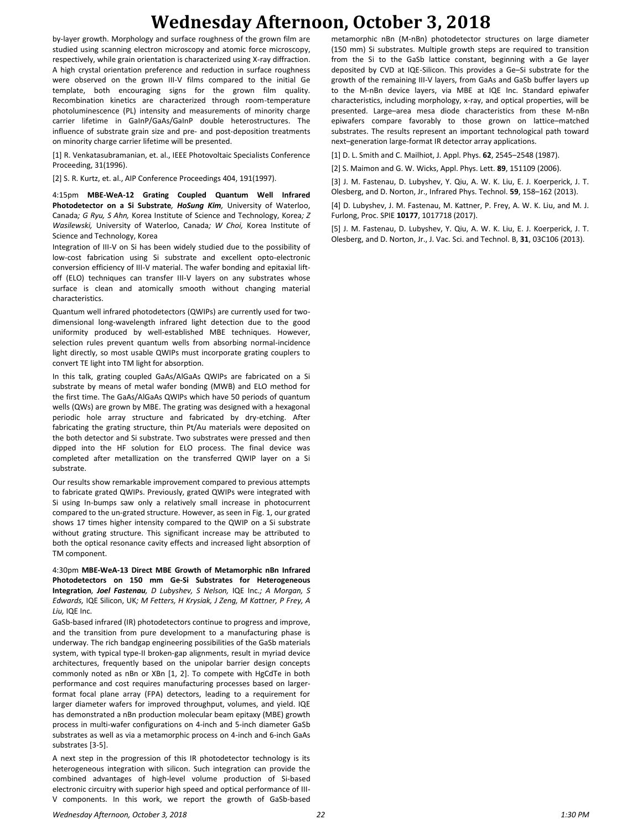# **Wednesday Afternoon, October 3, 2018**

by-layer growth. Morphology and surface roughness of the grown film are studied using scanning electron microscopy and atomic force microscopy, respectively, while grain orientation is characterized using X-ray diffraction. A high crystal orientation preference and reduction in surface roughness were observed on the grown III-V films compared to the initial Ge template, both encouraging signs for the grown film quality. Recombination kinetics are characterized through room-temperature photoluminescence (PL) intensity and measurements of minority charge carrier lifetime in GaInP/GaAs/GaInP double heterostructures. The influence of substrate grain size and pre- and post-deposition treatments on minority charge carrier lifetime will be presented.

[1] R. Venkatasubramanian, et. al., IEEE Photovoltaic Specialists Conference Proceeding, 31(1996).

[2] S. R. Kurtz, et. al., AIP Conference Proceedings 404, 191(1997).

4:15pm **MBE-WeA-12 Grating Coupled Quantum Well Infrared Photodetector on a Si Substrate***, HoSung Kim,* University of Waterloo, Canada*; G Ryu, S Ahn,* Korea Institute of Science and Technology, Korea*; Z Wasilewski,* University of Waterloo, Canada*; W Choi,* Korea Institute of Science and Technology, Korea

Integration of III-V on Si has been widely studied due to the possibility of low-cost fabrication using Si substrate and excellent opto-electronic conversion efficiency of III-V material. The wafer bonding and epitaxial liftoff (ELO) techniques can transfer III-V layers on any substrates whose surface is clean and atomically smooth without changing material characteristics.

Quantum well infrared photodetectors (QWIPs) are currently used for twodimensional long-wavelength infrared light detection due to the good uniformity produced by well-established MBE techniques. However, selection rules prevent quantum wells from absorbing normal-incidence light directly, so most usable QWIPs must incorporate grating couplers to convert TE light into TM light for absorption.

In this talk, grating coupled GaAs/AlGaAs QWIPs are fabricated on a Si substrate by means of metal wafer bonding (MWB) and ELO method for the first time. The GaAs/AlGaAs QWIPs which have 50 periods of quantum wells (QWs) are grown by MBE. The grating was designed with a hexagonal periodic hole array structure and fabricated by dry-etching. After fabricating the grating structure, thin Pt/Au materials were deposited on the both detector and Si substrate. Two substrates were pressed and then dipped into the HF solution for ELO process. The final device was completed after metallization on the transferred QWIP layer on a Si substrate.

Our results show remarkable improvement compared to previous attempts to fabricate grated QWIPs. Previously, grated QWIPs were integrated with Si using In-bumps saw only a relatively small increase in photocurrent compared to the un-grated structure. However, as seen in Fig. 1, our grated shows 17 times higher intensity compared to the QWIP on a Si substrate without grating structure. This significant increase may be attributed to both the optical resonance cavity effects and increased light absorption of TM component.

4:30pm **MBE-WeA-13 Direct MBE Growth of Metamorphic nBn Infrared Photodetectors on 150 mm Ge-Si Substrates for Heterogeneous Integration***, Joel Fastenau, D Lubyshev, S Nelson,* IQE Inc.*; A Morgan, S Edwards,* IQE Silicon, UK*; M Fetters, H Krysiak, J Zeng, M Kattner, P Frey, A Liu,* IQE Inc.

GaSb-based infrared (IR) photodetectors continue to progress and improve, and the transition from pure development to a manufacturing phase is underway. The rich bandgap engineering possibilities of the GaSb materials system, with typical type-II broken-gap alignments, result in myriad device architectures, frequently based on the unipolar barrier design concepts commonly noted as nBn or XBn [1, 2]. To compete with HgCdTe in both performance and cost requires manufacturing processes based on largerformat focal plane array (FPA) detectors, leading to a requirement for larger diameter wafers for improved throughput, volumes, and yield. IQE has demonstrated a nBn production molecular beam epitaxy (MBE) growth process in multi-wafer configurations on 4-inch and 5-inch diameter GaSb substrates as well as via a metamorphic process on 4-inch and 6-inch GaAs substrates [3-5].

A next step in the progression of this IR photodetector technology is its heterogeneous integration with silicon. Such integration can provide the combined advantages of high-level volume production of Si-based electronic circuitry with superior high speed and optical performance of III-V components. In this work, we report the growth of GaSb-based

metamorphic nBn (M-nBn) photodetector structures on large diameter (150 mm) Si substrates. Multiple growth steps are required to transition from the Si to the GaSb lattice constant, beginning with a Ge layer deposited by CVD at IQE-Silicon. This provides a Ge–Si substrate for the growth of the remaining III-V layers, from GaAs and GaSb buffer layers up to the M-nBn device layers, via MBE at IQE Inc. Standard epiwafer characteristics, including morphology, x-ray, and optical properties, will be presented. Large–area mesa diode characteristics from these M-nBn epiwafers compare favorably to those grown on lattice–matched substrates. The results represent an important technological path toward next–generation large-format IR detector array applications.

[1] D. L. Smith and C. Mailhiot, J. Appl. Phys. **62**, 2545–2548 (1987).

[2] S. Maimon and G. W. Wicks, Appl. Phys. Lett. **89**, 151109 (2006).

[3] J. M. Fastenau, D. Lubyshev, Y. Qiu, A. W. K. Liu, E. J. Koerperick, J. T. Olesberg, and D. Norton, Jr., Infrared Phys. Technol. **59**, 158–162 (2013).

[4] D. Lubyshev, J. M. Fastenau, M. Kattner, P. Frey, A. W. K. Liu, and M. J. Furlong, Proc. SPIE **10177**, 1017718 (2017).

[5] J. M. Fastenau, D. Lubyshev, Y. Qiu, A. W. K. Liu, E. J. Koerperick, J. T. Olesberg, and D. Norton, Jr., J. Vac. Sci. and Technol. B, **31**, 03C106 (2013).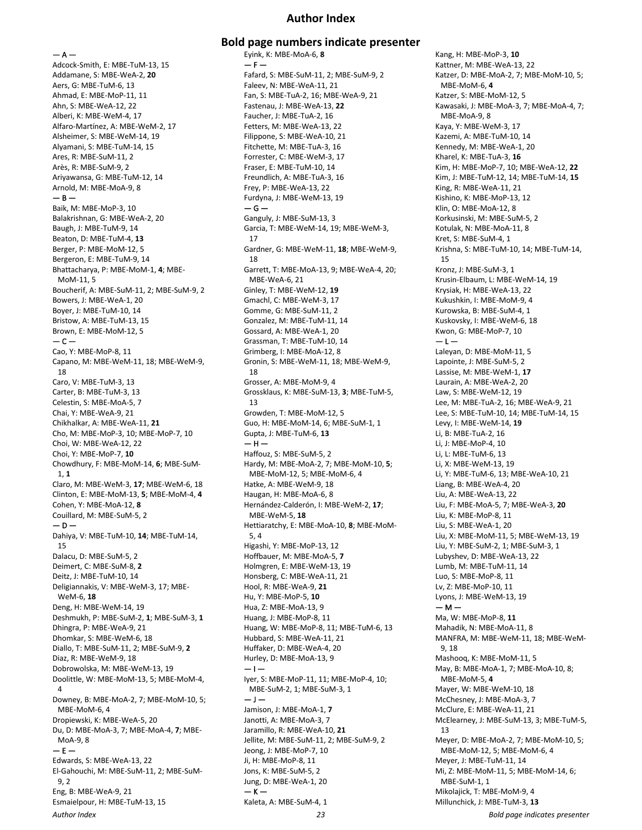## **Author Index**

— A —

Adcock-Smith, E: MBE-TuM-13, 15 Addamane, S: MBE-WeA-2, **20** Aers, G: MBE-TuM-6, 13 Ahmad, E: MBE-MoP-11, 11 Ahn, S: MBE-WeA-12, 22 Alberi, K: MBE-WeM-4, 17 Alfaro-Martínez, A: MBE-WeM-2, 17 Alsheimer, S: MBE-WeM-14, 19 Alyamani, S: MBE-TuM-14, 15 Ares, R: MBE-SuM-11, 2 Arès, R: MBE-SuM-9, 2 Ariyawansa, G: MBE-TuM-12, 14 Arnold, M: MBE-MoA-9, 8  $-$  B  $-$ Baik, M: MBE-MoP-3, 10 Balakrishnan, G: MBE-WeA-2, 20 Baugh, J: MBE-TuM-9, 14 Beaton, D: MBE-TuM-4, **13** Berger, P: MBE-MoM-12, 5 Bergeron, E: MBE-TuM-9, 14 Bhattacharya, P: MBE-MoM-1, **4**; MBE-MoM-11, 5 Boucherif, A: MBE-SuM-11, 2; MBE-SuM-9, 2 Bowers, J: MBE-WeA-1, 20 Boyer, J: MBE-TuM-10, 14 Bristow, A: MBE-TuM-13, 15 Brown, E: MBE-MoM-12, 5  $-$ Cao, Y: MBE-MoP-8, 11 Capano, M: MBE-WeM-11, 18; MBE-WeM-9, 18 Caro, V: MBE-TuM-3, 13 Carter, B: MBE-TuM-3, 13 Celestin, S: MBE-MoA-5, 7 Chai, Y: MBE-WeA-9, 21 Chikhalkar, A: MBE-WeA-11, **21** Cho, M: MBE-MoP-3, 10; MBE-MoP-7, 10 Choi, W: MBE-WeA-12, 22 Choi, Y: MBE-MoP-7, **10** Chowdhury, F: MBE-MoM-14, **6**; MBE-SuM-1, **1** Claro, M: MBE-WeM-3, **17**; MBE-WeM-6, 18 Clinton, E: MBE-MoM-13, **5**; MBE-MoM-4, **4** Cohen, Y: MBE-MoA-12, **8** Couillard, M: MBE-SuM-5, 2  $-$  D  $-$ Dahiya, V: MBE-TuM-10, **14**; MBE-TuM-14, 15 Dalacu, D: MBE-SuM-5, 2 Deimert, C: MBE-SuM-8, **2** Deitz, J: MBE-TuM-10, 14 Deligiannakis, V: MBE-WeM-3, 17; MBE-WeM-6, **18** Deng, H: MBE-WeM-14, 19 Deshmukh, P: MBE-SuM-2, **1**; MBE-SuM-3, **1** Dhingra, P: MBE-WeA-9, 21 Dhomkar, S: MBE-WeM-6, 18 Diallo, T: MBE-SuM-11, 2; MBE-SuM-9, **2** Diaz, R: MBE-WeM-9, 18 Dobrowolska, M: MBE-WeM-13, 19 Doolittle, W: MBE-MoM-13, 5; MBE-MoM-4, 4 Downey, B: MBE-MoA-2, 7; MBE-MoM-10, 5; MBE-MoM-6, 4 Dropiewski, K: MBE-WeA-5, 20 Du, D: MBE-MoA-3, 7; MBE-MoA-4, **7**; MBE-MoA-9, 8 — E — Edwards, S: MBE-WeA-13, 22 El-Gahouchi, M: MBE-SuM-11, 2; MBE-SuM-9, 2 Eng, B: MBE-WeA-9, 21 Esmaielpour, H: MBE-TuM-13, 15

## **Bold page numbers indicate presenter** Eyink, K: MBE-MoA-6, **8**

*Author Index 23 Bold page indicates presenter*  $- F -$ Fafard, S: MBE-SuM-11, 2; MBE-SuM-9, 2 Faleev, N: MBE-WeA-11, 21 Fan, S: MBE-TuA-2, 16; MBE-WeA-9, 21 Fastenau, J: MBE-WeA-13, **22** Faucher, J: MBE-TuA-2, 16 Fetters, M: MBE-WeA-13, 22 Filippone, S: MBE-WeA-10, 21 Fitchette, M: MBE-TuA-3, 16 Forrester, C: MBE-WeM-3, 17 Fraser, E: MBE-TuM-10, 14 Freundlich, A: MBE-TuA-3, 16 Frey, P: MBE-WeA-13, 22 Furdyna, J: MBE-WeM-13, 19  $-$  G  $-$ Ganguly, J: MBE-SuM-13, 3 Garcia, T: MBE-WeM-14, 19; MBE-WeM-3, 17 Gardner, G: MBE-WeM-11, **18**; MBE-WeM-9, 18 Garrett, T: MBE-MoA-13, 9; MBE-WeA-4, 20; MBE-WeA-6, 21 Ginley, T: MBE-WeM-12, **19** Gmachl, C: MBE-WeM-3, 17 Gomme, G: MBE-SuM-11, 2 Gonzalez, M: MBE-TuM-11, 14 Gossard, A: MBE-WeA-1, 20 Grassman, T: MBE-TuM-10, 14 Grimberg, I: MBE-MoA-12, 8 Gronin, S: MBE-WeM-11, 18; MBE-WeM-9, 18 Grosser, A: MBE-MoM-9, 4 Grossklaus, K: MBE-SuM-13, **3**; MBE-TuM-5, 13 Growden, T: MBE-MoM-12, 5 Guo, H: MBE-MoM-14, 6; MBE-SuM-1, 1 Gupta, J: MBE-TuM-6, **13**  $-$  H  $-$ Haffouz, S: MBE-SuM-5, 2 Hardy, M: MBE-MoA-2, 7; MBE-MoM-10, **5**; MBE-MoM-12, 5; MBE-MoM-6, 4 Hatke, A: MBE-WeM-9, 18 Haugan, H: MBE-MoA-6, 8 Hernández-Calderón, I: MBE-WeM-2, **17**; MBE-WeM-5, **18** Hettiaratchy, E: MBE-MoA-10, **8**; MBE-MoM-5, 4 Higashi, Y: MBE-MoP-13, 12 Hoffbauer, M: MBE-MoA-5, **7** Holmgren, E: MBE-WeM-13, 19 Honsberg, C: MBE-WeA-11, 21 Hool, R: MBE-WeA-9, **21** Hu, Y: MBE-MoP-5, **10** Hua, Z: MBE-MoA-13, 9 Huang, J: MBE-MoP-8, 11 Huang, W: MBE-MoP-8, 11; MBE-TuM-6, 13 Hubbard, S: MBE-WeA-11, 21 Huffaker, D: MBE-WeA-4, 20 Hurley, D: MBE-MoA-13, 9  $-1-$ Iyer, S: MBE-MoP-11, 11; MBE-MoP-4, 10; MBE-SuM-2, 1; MBE-SuM-3, 1 — J — Jamison, J: MBE-MoA-1, **7** Janotti, A: MBE-MoA-3, 7 Jaramillo, R: MBE-WeA-10, **21** Jellite, M: MBE-SuM-11, 2; MBE-SuM-9, 2 Jeong, J: MBE-MoP-7, 10 Ji, H: MBE-MoP-8, 11 Jons, K: MBE-SuM-5, 2 Jung, D: MBE-WeA-1, 20  $-$  K  $-$ Kaleta, A: MBE-SuM-4, 1

Kang, H: MBE-MoP-3, **10** Kattner, M: MBE-WeA-13, 22 Katzer, D: MBE-MoA-2, 7; MBE-MoM-10, 5; MBE-MoM-6, **4** Katzer, S: MBE-MoM-12, 5 Kawasaki, J: MBE-MoA-3, 7; MBE-MoA-4, 7; MBE-MoA-9, 8 Kaya, Y: MBE-WeM-3, 17 Kazemi, A: MBE-TuM-10, 14 Kennedy, M: MBE-WeA-1, 20 Kharel, K: MBE-TuA-3, **16** Kim, H: MBE-MoP-7, 10; MBE-WeA-12, **22** Kim, J: MBE-TuM-12, 14; MBE-TuM-14, **15** King, R: MBE-WeA-11, 21 Kishino, K: MBE-MoP-13, 12 Klin, O: MBE-MoA-12, 8 Korkusinski, M: MBE-SuM-5, 2 Kotulak, N: MBE-MoA-11, 8 Kret, S: MBE-SuM-4, 1 Krishna, S: MBE-TuM-10, 14; MBE-TuM-14, 15 Kronz, J: MBE-SuM-3, 1 Krusin-Elbaum, L: MBE-WeM-14, 19 Krysiak, H: MBE-WeA-13, 22 Kukushkin, I: MBE-MoM-9, 4 Kurowska, B: MBE-SuM-4, 1 Kuskovsky, I: MBE-WeM-6, 18 Kwon, G: MBE-MoP-7, 10  $-1-$ Laleyan, D: MBE-MoM-11, 5 Lapointe, J: MBE-SuM-5, 2 Lassise, M: MBE-WeM-1, **17** Laurain, A: MBE-WeA-2, 20 Law, S: MBE-WeM-12, 19 Lee, M: MBE-TuA-2, 16; MBE-WeA-9, 21 Lee, S: MBE-TuM-10, 14; MBE-TuM-14, 15 Levy, I: MBE-WeM-14, **19** Li, B: MBE-TuA-2, 16 Li, J: MBE-MoP-4, 10 Li, L: MBE-TuM-6, 13 Li, X: MBE-WeM-13, 19 Li, Y: MBE-TuM-6, 13; MBE-WeA-10, 21 Liang, B: MBE-WeA-4, 20 Liu, A: MBE-WeA-13, 22 Liu, F: MBE-MoA-5, 7; MBE-WeA-3, **20** Liu, K: MBE-MoP-8, 11 Liu, S: MBE-WeA-1, 20 Liu, X: MBE-MoM-11, 5; MBE-WeM-13, 19 Liu, Y: MBE-SuM-2, 1; MBE-SuM-3, 1 Lubyshev, D: MBE-WeA-13, 22 Lumb, M: MBE-TuM-11, 14 Luo, S: MBE-MoP-8, 11 Lv, Z: MBE-MoP-10, 11 Lyons, J: MBE-WeM-13, 19  $- M -$ Ma, W: MBE-MoP-8, **11** Mahadik, N: MBE-MoA-11, 8 MANFRA, M: MBE-WeM-11, 18; MBE-WeM-9, 18 Mashooq, K: MBE-MoM-11, 5 May, B: MBE-MoA-1, 7; MBE-MoA-10, 8; MBE-MoM-5, **4** Mayer, W: MBE-WeM-10, 18 McChesney, J: MBE-MoA-3, 7 McClure, E: MBE-WeA-11, 21 McElearney, J: MBE-SuM-13, 3; MBE-TuM-5, 13 Meyer, D: MBE-MoA-2, 7; MBE-MoM-10, 5; MBE-MoM-12, 5; MBE-MoM-6, 4 Meyer, J: MBE-TuM-11, 14 Mi, Z: MBE-MoM-11, 5; MBE-MoM-14, 6; MBE-SuM-1, 1 Mikolajick, T: MBE-MoM-9, 4 Millunchick, J: MBE-TuM-3, **13**